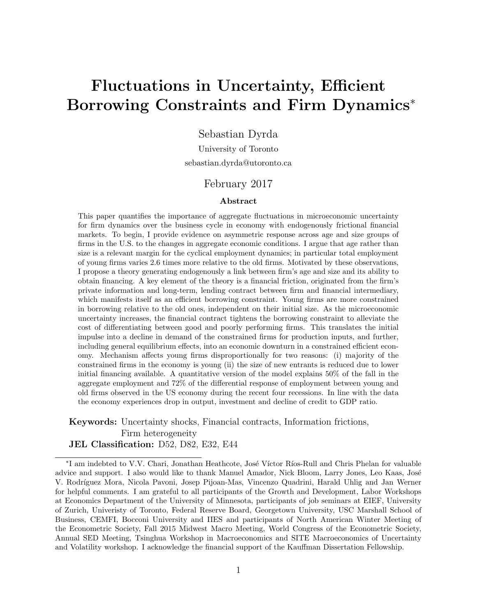# Fluctuations in Uncertainty, Efficient Borrowing Constraints and Firm Dynamics<sup>\*</sup>

Sebastian Dyrda

University of Toronto sebastian.dyrda@utoronto.ca

#### February 2017

#### Abstract

This paper quantifies the importance of aggregate fluctuations in microeconomic uncertainty for firm dynamics over the business cycle in economy with endogenously frictional financial markets. To begin, I provide evidence on asymmetric response across age and size groups of firms in the U.S. to the changes in aggregate economic conditions. I argue that age rather than size is a relevant margin for the cyclical employment dynamics; in particular total employment of young firms varies 2.6 times more relative to the old firms. Motivated by these observations, I propose a theory generating endogenously a link between firm's age and size and its ability to obtain financing. A key element of the theory is a financial friction, originated from the firm's private information and long-term, lending contract between firm and financial intermediary, which manifests itself as an efficient borrowing constraint. Young firms are more constrained in borrowing relative to the old ones, independent on their initial size. As the microeconomic uncertainty increases, the financial contract tightens the borrowing constraint to alleviate the cost of differentiating between good and poorly performing firms. This translates the initial impulse into a decline in demand of the constrained firms for production inputs, and further, including general equilibrium effects, into an economic downturn in a constrained efficient economy. Mechanism affects young firms disproportionally for two reasons: (i) majority of the constrained firms in the economy is young (ii) the size of new entrants is reduced due to lower initial financing available. A quantitative version of the model explains 50% of the fall in the aggregate employment and 72% of the differential response of employment between young and old firms observed in the US economy during the recent four recessions. In line with the data the economy experiences drop in output, investment and decline of credit to GDP ratio.

Keywords: Uncertainty shocks, Financial contracts, Information frictions, Firm heterogeneity JEL Classification: D52, D82, E32, E44

<sup>\*</sup>I am indebted to V.V. Chari, Jonathan Heathcote, José Víctor Ríos-Rull and Chris Phelan for valuable advice and support. I also would like to thank Manuel Amador, Nick Bloom, Larry Jones, Leo Kaas, José V. Rodríguez Mora, Nicola Pavoni, Josep Pijoan-Mas, Vincenzo Quadrini, Harald Uhlig and Jan Werner for helpful comments. I am grateful to all participants of the Growth and Development, Labor Workshops at Economics Department of the University of Minnesota, participants of job seminars at EIEF, University of Zurich, Univeristy of Toronto, Federal Reserve Board, Georgetown University, USC Marshall School of Business, CEMFI, Bocconi University and IIES and participants of North American Winter Meeting of the Econometric Society, Fall 2015 Midwest Macro Meeting, World Congress of the Econometric Society, Annual SED Meeting, Tsinghua Workshop in Macroeconomics and SITE Macroeconomics of Uncertainty and Volatility workshop. I acknowledge the financial support of the Kauffman Dissertation Fellowship.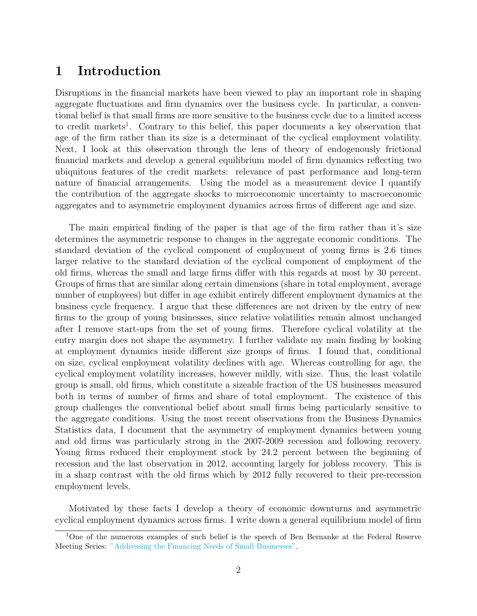# 1 Introduction

Disruptions in the financial markets have been viewed to play an important role in shaping aggregate fluctuations and firm dynamics over the business cycle. In particular, a conventional belief is that small firms are more sensitive to the business cycle due to a limited access to credit markets<sup>[1](#page-1-0)</sup>. Contrary to this belief, this paper documents a key observation that age of the firm rather than its size is a determinant of the cyclical employment volatility. Next, I look at this observation through the lens of theory of endogenously frictional financial markets and develop a general equilibrium model of firm dynamics reflecting two ubiquitous features of the credit markets: relevance of past performance and long-term nature of financial arrangements. Using the model as a measurement device I quantify the contribution of the aggregate shocks to microeconomic uncertainty to macroeconomic aggregates and to asymmetric employment dynamics across firms of different age and size.

The main empirical finding of the paper is that age of the firm rather than it's size determines the asymmetric response to changes in the aggregate economic conditions. The standard deviation of the cyclical component of employment of young firms is 2.6 times larger relative to the standard deviation of the cyclical component of employment of the old firms, whereas the small and large firms differ with this regards at most by 30 percent. Groups of firms that are similar along certain dimensions (share in total employment, average number of employees) but differ in age exhibit entirely different employment dynamics at the business cycle frequency. I argue that these differences are not driven by the entry of new firms to the group of young businesses, since relative volatilities remain almost unchanged after I remove start-ups from the set of young firms. Therefore cyclical volatility at the entry margin does not shape the asymmetry. I further validate my main finding by looking at employment dynamics inside different size groups of firms. I found that, conditional on size, cyclical employment volatility declines with age. Whereas controlling for age, the cyclical employment volatility increases, however mildly, with size. Thus, the least volatile group is small, old firms, which constitute a sizeable fraction of the US businesses measured both in terms of number of firms and share of total employment. The existence of this group challenges the conventional belief about small firms being particularly sensitive to the aggregate conditions. Using the most recent observations from the Business Dynamics Statistics data, I document that the asymmetry of employment dynamics between young and old firms was particularly strong in the 2007-2009 recession and following recovery. Young firms reduced their employment stock by 24.2 percent between the beginning of recession and the last observation in 2012, accounting largely for jobless recovery. This is in a sharp contrast with the old firms which by 2012 fully recovered to their pre-recession employment levels.

Motivated by these facts I develop a theory of economic downturns and asymmetric cyclical employment dynamics across firms. I write down a general equilibrium model of firm

<span id="page-1-0"></span><sup>&</sup>lt;sup>1</sup>One of the numerous examples of such belief is the speech of Ben Bernanke at the Federal Reserve Meeting Series: ["Addressing the Financing Needs of Small Businesses".](http://www.federalreserve.gov/newsevents/speech/bernanke20100712a.htm)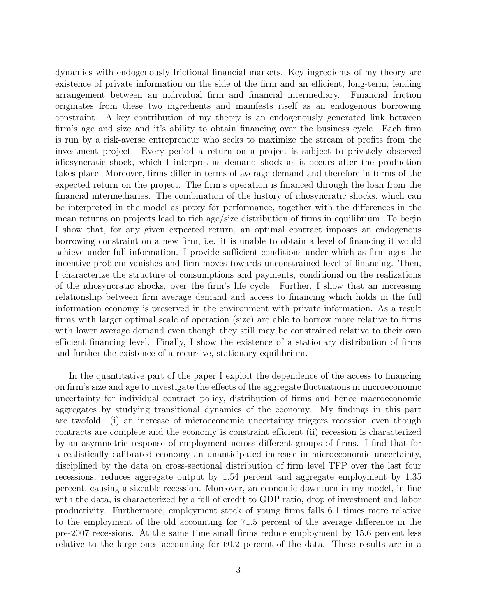dynamics with endogenously frictional financial markets. Key ingredients of my theory are existence of private information on the side of the firm and an efficient, long-term, lending arrangement between an individual firm and financial intermediary. Financial friction originates from these two ingredients and manifests itself as an endogenous borrowing constraint. A key contribution of my theory is an endogenously generated link between firm's age and size and it's ability to obtain financing over the business cycle. Each firm is run by a risk-averse entrepreneur who seeks to maximize the stream of profits from the investment project. Every period a return on a project is subject to privately observed idiosyncratic shock, which I interpret as demand shock as it occurs after the production takes place. Moreover, firms differ in terms of average demand and therefore in terms of the expected return on the project. The firm's operation is financed through the loan from the financial intermediaries. The combination of the history of idiosyncratic shocks, which can be interpreted in the model as proxy for performance, together with the differences in the mean returns on projects lead to rich age/size distribution of firms in equilibrium. To begin I show that, for any given expected return, an optimal contract imposes an endogenous borrowing constraint on a new firm, i.e. it is unable to obtain a level of financing it would achieve under full information. I provide sufficient conditions under which as firm ages the incentive problem vanishes and firm moves towards unconstrained level of financing. Then, I characterize the structure of consumptions and payments, conditional on the realizations of the idiosyncratic shocks, over the firm's life cycle. Further, I show that an increasing relationship between firm average demand and access to financing which holds in the full information economy is preserved in the environment with private information. As a result firms with larger optimal scale of operation (size) are able to borrow more relative to firms with lower average demand even though they still may be constrained relative to their own efficient financing level. Finally, I show the existence of a stationary distribution of firms and further the existence of a recursive, stationary equilibrium.

In the quantitative part of the paper I exploit the dependence of the access to financing on firm's size and age to investigate the effects of the aggregate fluctuations in microeconomic uncertainty for individual contract policy, distribution of firms and hence macroeconomic aggregates by studying transitional dynamics of the economy. My findings in this part are twofold: (i) an increase of microeconomic uncertainty triggers recession even though contracts are complete and the economy is constraint efficient (ii) recession is characterized by an asymmetric response of employment across different groups of firms. I find that for a realistically calibrated economy an unanticipated increase in microeconomic uncertainty, disciplined by the data on cross-sectional distribution of firm level TFP over the last four recessions, reduces aggregate output by 1.54 percent and aggregate employment by 1.35 percent, causing a sizeable recession. Moreover, an economic downturn in my model, in line with the data, is characterized by a fall of credit to GDP ratio, drop of investment and labor productivity. Furthermore, employment stock of young firms falls 6.1 times more relative to the employment of the old accounting for 71.5 percent of the average difference in the pre-2007 recessions. At the same time small firms reduce employment by 15.6 percent less relative to the large ones accounting for 60.2 percent of the data. These results are in a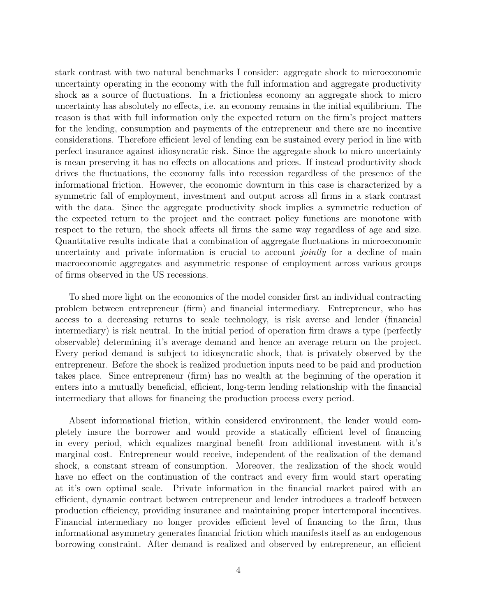stark contrast with two natural benchmarks I consider: aggregate shock to microeconomic uncertainty operating in the economy with the full information and aggregate productivity shock as a source of fluctuations. In a frictionless economy an aggregate shock to micro uncertainty has absolutely no effects, i.e. an economy remains in the initial equilibrium. The reason is that with full information only the expected return on the firm's project matters for the lending, consumption and payments of the entrepreneur and there are no incentive considerations. Therefore efficient level of lending can be sustained every period in line with perfect insurance against idiosyncratic risk. Since the aggregate shock to micro uncertainty is mean preserving it has no effects on allocations and prices. If instead productivity shock drives the fluctuations, the economy falls into recession regardless of the presence of the informational friction. However, the economic downturn in this case is characterized by a symmetric fall of employment, investment and output across all firms in a stark contrast with the data. Since the aggregate productivity shock implies a symmetric reduction of the expected return to the project and the contract policy functions are monotone with respect to the return, the shock affects all firms the same way regardless of age and size. Quantitative results indicate that a combination of aggregate fluctuations in microeconomic uncertainty and private information is crucial to account *jointly* for a decline of main macroeconomic aggregates and asymmetric response of employment across various groups of firms observed in the US recessions.

To shed more light on the economics of the model consider first an individual contracting problem between entrepreneur (firm) and financial intermediary. Entrepreneur, who has access to a decreasing returns to scale technology, is risk averse and lender (financial intermediary) is risk neutral. In the initial period of operation firm draws a type (perfectly observable) determining it's average demand and hence an average return on the project. Every period demand is subject to idiosyncratic shock, that is privately observed by the entrepreneur. Before the shock is realized production inputs need to be paid and production takes place. Since entrepreneur (firm) has no wealth at the beginning of the operation it enters into a mutually beneficial, efficient, long-term lending relationship with the financial intermediary that allows for financing the production process every period.

Absent informational friction, within considered environment, the lender would completely insure the borrower and would provide a statically efficient level of financing in every period, which equalizes marginal benefit from additional investment with it's marginal cost. Entrepreneur would receive, independent of the realization of the demand shock, a constant stream of consumption. Moreover, the realization of the shock would have no effect on the continuation of the contract and every firm would start operating at it's own optimal scale. Private information in the financial market paired with an efficient, dynamic contract between entrepreneur and lender introduces a tradeoff between production efficiency, providing insurance and maintaining proper intertemporal incentives. Financial intermediary no longer provides efficient level of financing to the firm, thus informational asymmetry generates financial friction which manifests itself as an endogenous borrowing constraint. After demand is realized and observed by entrepreneur, an efficient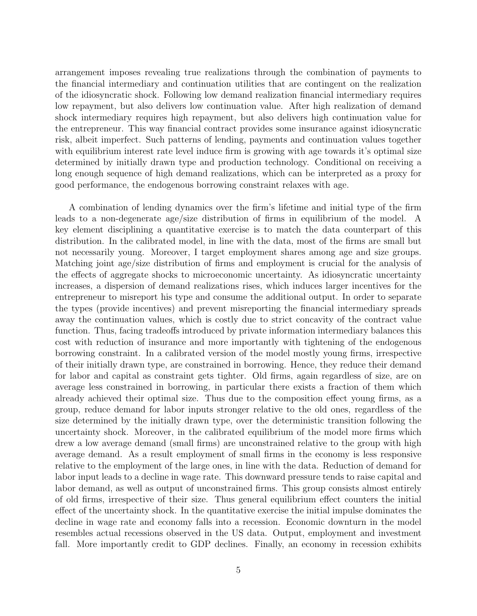arrangement imposes revealing true realizations through the combination of payments to the financial intermediary and continuation utilities that are contingent on the realization of the idiosyncratic shock. Following low demand realization financial intermediary requires low repayment, but also delivers low continuation value. After high realization of demand shock intermediary requires high repayment, but also delivers high continuation value for the entrepreneur. This way financial contract provides some insurance against idiosyncratic risk, albeit imperfect. Such patterns of lending, payments and continuation values together with equilibrium interest rate level induce firm is growing with age towards it's optimal size determined by initially drawn type and production technology. Conditional on receiving a long enough sequence of high demand realizations, which can be interpreted as a proxy for good performance, the endogenous borrowing constraint relaxes with age.

A combination of lending dynamics over the firm's lifetime and initial type of the firm leads to a non-degenerate age/size distribution of firms in equilibrium of the model. A key element disciplining a quantitative exercise is to match the data counterpart of this distribution. In the calibrated model, in line with the data, most of the firms are small but not necessarily young. Moreover, I target employment shares among age and size groups. Matching joint age/size distribution of firms and employment is crucial for the analysis of the effects of aggregate shocks to microeconomic uncertainty. As idiosyncratic uncertainty increases, a dispersion of demand realizations rises, which induces larger incentives for the entrepreneur to misreport his type and consume the additional output. In order to separate the types (provide incentives) and prevent misreporting the financial intermediary spreads away the continuation values, which is costly due to strict concavity of the contract value function. Thus, facing tradeoffs introduced by private information intermediary balances this cost with reduction of insurance and more importantly with tightening of the endogenous borrowing constraint. In a calibrated version of the model mostly young firms, irrespective of their initially drawn type, are constrained in borrowing. Hence, they reduce their demand for labor and capital as constraint gets tighter. Old firms, again regardless of size, are on average less constrained in borrowing, in particular there exists a fraction of them which already achieved their optimal size. Thus due to the composition effect young firms, as a group, reduce demand for labor inputs stronger relative to the old ones, regardless of the size determined by the initially drawn type, over the deterministic transition following the uncertainty shock. Moreover, in the calibrated equilibrium of the model more firms which drew a low average demand (small firms) are unconstrained relative to the group with high average demand. As a result employment of small firms in the economy is less responsive relative to the employment of the large ones, in line with the data. Reduction of demand for labor input leads to a decline in wage rate. This downward pressure tends to raise capital and labor demand, as well as output of unconstrained firms. This group consists almost entirely of old firms, irrespective of their size. Thus general equilibrium effect counters the initial effect of the uncertainty shock. In the quantitative exercise the initial impulse dominates the decline in wage rate and economy falls into a recession. Economic downturn in the model resembles actual recessions observed in the US data. Output, employment and investment fall. More importantly credit to GDP declines. Finally, an economy in recession exhibits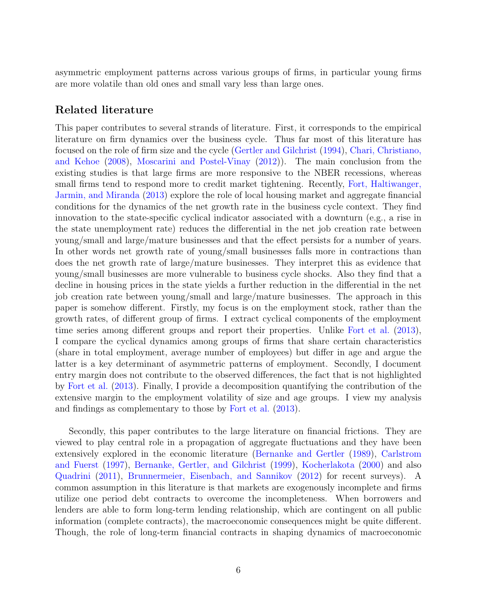asymmetric employment patterns across various groups of firms, in particular young firms are more volatile than old ones and small vary less than large ones.

# Related literature

This paper contributes to several strands of literature. First, it corresponds to the empirical literature on firm dynamics over the business cycle. Thus far most of this literature has focused on the role of firm size and the cycle [\(Gertler and Gilchrist](#page-59-0) [\(1994\)](#page-59-0), [Chari, Christiano,](#page-59-1) [and Kehoe](#page-59-1) [\(2008\)](#page-59-1), [Moscarini and Postel-Vinay](#page-60-0) [\(2012\)](#page-60-0)). The main conclusion from the existing studies is that large firms are more responsive to the NBER recessions, whereas small firms tend to respond more to credit market tightening. Recently, [Fort, Haltiwanger,](#page-59-2) [Jarmin, and Miranda](#page-59-2) [\(2013\)](#page-59-2) explore the role of local housing market and aggregate financial conditions for the dynamics of the net growth rate in the business cycle context. They find innovation to the state-specific cyclical indicator associated with a downturn (e.g., a rise in the state unemployment rate) reduces the differential in the net job creation rate between young/small and large/mature businesses and that the effect persists for a number of years. In other words net growth rate of young/small businesses falls more in contractions than does the net growth rate of large/mature businesses. They interpret this as evidence that young/small businesses are more vulnerable to business cycle shocks. Also they find that a decline in housing prices in the state yields a further reduction in the differential in the net job creation rate between young/small and large/mature businesses. The approach in this paper is somehow different. Firstly, my focus is on the employment stock, rather than the growth rates, of different group of firms. I extract cyclical components of the employment time series among different groups and report their properties. Unlike [Fort et al.](#page-59-2) [\(2013\)](#page-59-2), I compare the cyclical dynamics among groups of firms that share certain characteristics (share in total employment, average number of employees) but differ in age and argue the latter is a key determinant of asymmetric patterns of employment. Secondly, I document entry margin does not contribute to the observed differences, the fact that is not highlighted by [Fort et al.](#page-59-2) [\(2013\)](#page-59-2). Finally, I provide a decomposition quantifying the contribution of the extensive margin to the employment volatility of size and age groups. I view my analysis and findings as complementary to those by [Fort et al.](#page-59-2) [\(2013\)](#page-59-2).

Secondly, this paper contributes to the large literature on financial frictions. They are viewed to play central role in a propagation of aggregate fluctuations and they have been extensively explored in the economic literature [\(Bernanke and Gertler](#page-58-0) [\(1989\)](#page-58-0), [Carlstrom](#page-58-1) [and Fuerst](#page-58-1) [\(1997\)](#page-58-1), [Bernanke, Gertler, and Gilchrist](#page-58-2) [\(1999\)](#page-58-2), [Kocherlakota](#page-60-1) [\(2000\)](#page-60-1) and also [Quadrini](#page-60-2) [\(2011\)](#page-60-2), [Brunnermeier, Eisenbach, and Sannikov](#page-58-3) [\(2012\)](#page-58-3) for recent surveys). A common assumption in this literature is that markets are exogenously incomplete and firms utilize one period debt contracts to overcome the incompleteness. When borrowers and lenders are able to form long-term lending relationship, which are contingent on all public information (complete contracts), the macroeconomic consequences might be quite different. Though, the role of long-term financial contracts in shaping dynamics of macroeconomic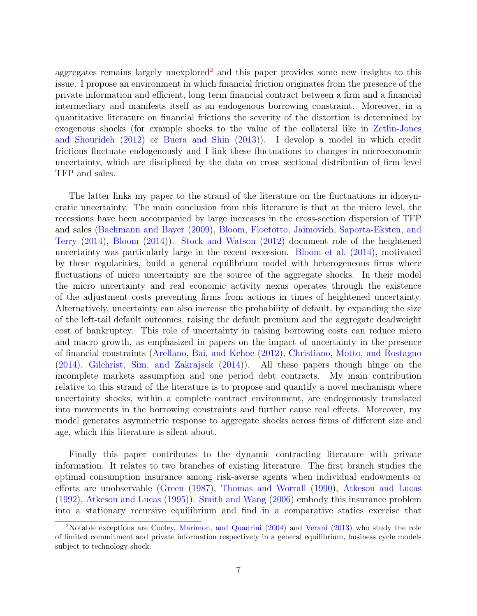aggregates remains largely unexplored<sup>[2](#page-6-0)</sup> and this paper provides some new insights to this issue. I propose an environment in which financial friction originates from the presence of the private information and efficient, long term financial contract between a firm and a financial intermediary and manifests itself as an endogenous borrowing constraint. Moreover, in a quantitative literature on financial frictions the severity of the distortion is determined by exogenous shocks (for example shocks to the value of the collateral like in [Zetlin-Jones](#page-60-3) [and Shourideh](#page-60-3) [\(2012\)](#page-60-3) or [Buera and Shin](#page-58-4) [\(2013\)](#page-58-4)). I develop a model in which credit frictions fluctuate endogenously and I link these fluctuations to changes in microeconomic uncertainty, which are disciplined by the data on cross sectional distribution of firm level TFP and sales.

The latter links my paper to the strand of the literature on the fluctuations in idiosyncratic uncertainty. The main conclusion from this literature is that at the micro level, the recessions have been accompanied by large increases in the cross-section dispersion of TFP and sales [\(Bachmann and Bayer](#page-58-5) [\(2009\)](#page-58-5), [Bloom, Floetotto, Jaimovich, Saporta-Eksten, and](#page-58-6) [Terry](#page-58-6) [\(2014\)](#page-58-6), [Bloom](#page-58-7) [\(2014\)](#page-58-7)). [Stock and Watson](#page-60-4) [\(2012\)](#page-60-4) document role of the heightened uncertainty was particularly large in the recent recession. [Bloom et al.](#page-58-6) [\(2014\)](#page-58-6), motivated by these regularities, build a general equilibrium model with heterogeneous firms where fluctuations of micro uncertainty are the source of the aggregate shocks. In their model the micro uncertainty and real economic activity nexus operates through the existence of the adjustment costs preventing firms from actions in times of heightened uncertainty. Alternatively, uncertainty can also increase the probability of default, by expanding the size of the left-tail default outcomes, raising the default premium and the aggregate deadweight cost of bankruptcy. This role of uncertainty in raising borrowing costs can reduce micro and macro growth, as emphasized in papers on the impact of uncertainty in the presence of financial constraints [\(Arellano, Bai, and Kehoe](#page-58-8) [\(2012\)](#page-58-8), [Christiano, Motto, and Rostagno](#page-59-3) [\(2014\)](#page-59-3), [Gilchrist, Sim, and Zakrajsek](#page-59-4) [\(2014\)](#page-59-4)). All these papers though hinge on the incomplete markets assumption and one period debt contracts. My main contribution relative to this strand of the literature is to propose and quantify a novel mechanism where uncertainty shocks, within a complete contract environment, are endogenously translated into movements in the borrowing constraints and further cause real effects. Moreover, my model generates asymmetric response to aggregate shocks across firms of different size and age, which this literature is silent about.

Finally this paper contributes to the dynamic contracting literature with private information. It relates to two branches of existing literature. The first branch studies the optimal consumption insurance among risk-averse agents when individual endowments or efforts are unobservable [\(Green](#page-59-5) [\(1987\)](#page-59-5), [Thomas and Worrall](#page-60-5) [\(1990\)](#page-60-5), [Atkeson and Lucas](#page-58-9) [\(1992\)](#page-58-9), [Atkeson and Lucas](#page-58-10) [\(1995\)](#page-58-10)). [Smith and Wang](#page-60-6) [\(2006\)](#page-60-6) embody this insurance problem into a stationary recursive equilibrium and find in a comparative statics exercise that

<span id="page-6-0"></span><sup>2</sup>Notable exceptions are [Cooley, Marimon, and Quadrini](#page-59-6) [\(2004\)](#page-59-6) and [Verani](#page-60-7) [\(2013\)](#page-60-7) who study the role of limited commitment and private information respectively in a general equilibrium, business cycle models subject to technology shock.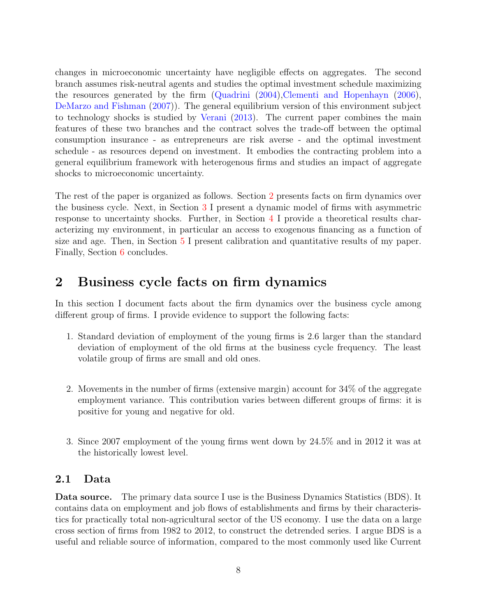changes in microeconomic uncertainty have negligible effects on aggregates. The second branch assumes risk-neutral agents and studies the optimal investment schedule maximizing the resources generated by the firm [\(Quadrini](#page-60-8) [\(2004\)](#page-60-8)[,Clementi and Hopenhayn](#page-59-7) [\(2006\)](#page-59-7), [DeMarzo and Fishman](#page-59-8) [\(2007\)](#page-59-8)). The general equilibrium version of this environment subject to technology shocks is studied by [Verani](#page-60-7) [\(2013\)](#page-60-7). The current paper combines the main features of these two branches and the contract solves the trade-off between the optimal consumption insurance - as entrepreneurs are risk averse - and the optimal investment schedule - as resources depend on investment. It embodies the contracting problem into a general equilibrium framework with heterogenous firms and studies an impact of aggregate shocks to microeconomic uncertainty.

The rest of the paper is organized as follows. Section [2](#page-7-0) presents facts on firm dynamics over the business cycle. Next, in Section [3](#page-14-0) I present a dynamic model of firms with asymmetric response to uncertainty shocks. Further, in Section [4](#page-22-0) I provide a theoretical results characterizing my environment, in particular an access to exogenous financing as a function of size and age. Then, in Section [5](#page-30-0) I present calibration and quantitative results of my paper. Finally, Section 6 concludes.

# <span id="page-7-0"></span>2 Business cycle facts on firm dynamics

In this section I document facts about the firm dynamics over the business cycle among different group of firms. I provide evidence to support the following facts:

- 1. Standard deviation of employment of the young firms is 2.6 larger than the standard deviation of employment of the old firms at the business cycle frequency. The least volatile group of firms are small and old ones.
- 2. Movements in the number of firms (extensive margin) account for 34% of the aggregate employment variance. This contribution varies between different groups of firms: it is positive for young and negative for old.
- 3. Since 2007 employment of the young firms went down by 24.5% and in 2012 it was at the historically lowest level.

# 2.1 Data

Data source. The primary data source I use is the Business Dynamics Statistics (BDS). It contains data on employment and job flows of establishments and firms by their characteristics for practically total non-agricultural sector of the US economy. I use the data on a large cross section of firms from 1982 to 2012, to construct the detrended series. I argue BDS is a useful and reliable source of information, compared to the most commonly used like Current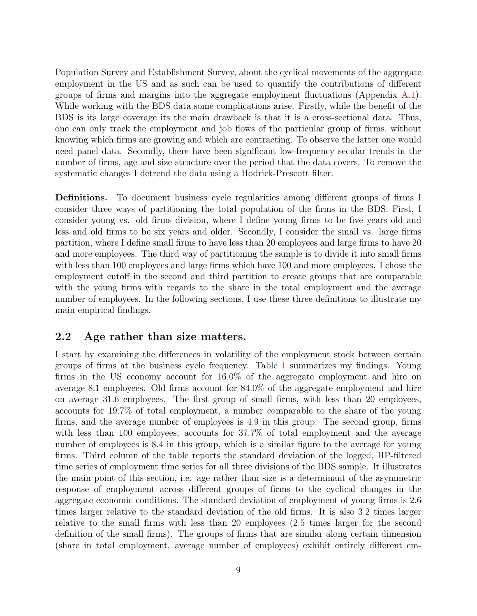Population Survey and Establishment Survey, about the cyclical movements of the aggregate employment in the US and as such can be used to quantify the contributions of different groups of firms and margins into the aggregate employment fluctuations (Appendix  $A.1$ ). While working with the BDS data some complications arise. Firstly, while the benefit of the BDS is its large coverage its the main drawback is that it is a cross-sectional data. Thus, one can only track the employment and job flows of the particular group of firms, without knowing which firms are growing and which are contracting. To observe the latter one would need panel data. Secondly, there have been significant low-frequency secular trends in the number of firms, age and size structure over the period that the data covers. To remove the systematic changes I detrend the data using a Hodrick-Prescott filter.

Definitions. To document business cycle regularities among different groups of firms I consider three ways of partitioning the total population of the firms in the BDS. First, I consider young vs. old firms division, where I define young firms to be five years old and less and old firms to be six years and older. Secondly, I consider the small vs. large firms partition, where I define small firms to have less than 20 employees and large firms to have 20 and more employees. The third way of partitioning the sample is to divide it into small firms with less than 100 employees and large firms which have 100 and more employees. I chose the employment cutoff in the second and third partition to create groups that are comparable with the young firms with regards to the share in the total employment and the average number of employees. In the following sections, I use these three definitions to illustrate my main empirical findings.

## 2.2 Age rather than size matters.

I start by examining the differences in volatility of the employment stock between certain groups of firms at the business cycle frequency. Table [1](#page-9-0) summarizes my findings. Young firms in the US economy account for 16.0% of the aggregate employment and hire on average 8.1 employees. Old firms account for 84.0% of the aggregate employment and hire on average 31.6 employees. The first group of small firms, with less than 20 employees, accounts for 19.7% of total employment, a number comparable to the share of the young firms, and the average number of employees is 4.9 in this group. The second group, firms with less than 100 employees, accounts for 37.7% of total employment and the average number of employees is 8.4 in this group, which is a similar figure to the average for young firms. Third column of the table reports the standard deviation of the logged, HP-filtered time series of employment time series for all three divisions of the BDS sample. It illustrates the main point of this section, i.e. age rather than size is a determinant of the asymmetric response of employment across different groups of firms to the cyclical changes in the aggregate economic conditions. The standard deviation of employment of young firms is 2.6 times larger relative to the standard deviation of the old firms. It is also 3.2 times larger relative to the small firms with less than 20 employees (2.5 times larger for the second definition of the small firms). The groups of firms that are similar along certain dimension (share in total employment, average number of employees) exhibit entirely different em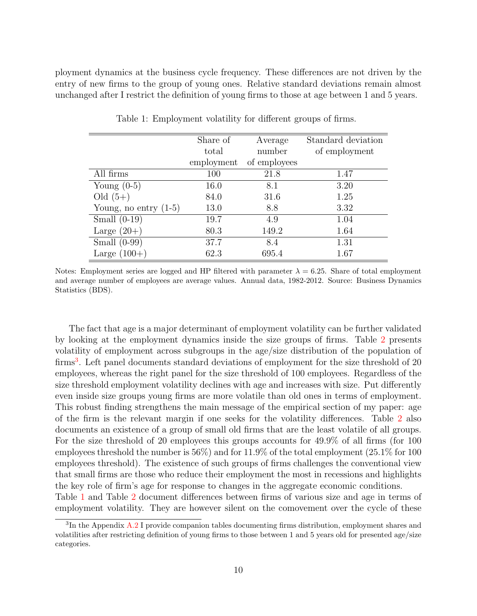<span id="page-9-0"></span>ployment dynamics at the business cycle frequency. These differences are not driven by the entry of new firms to the group of young ones. Relative standard deviations remain almost unchanged after I restrict the definition of young firms to those at age between 1 and 5 years.

|                         | Share of   | Average      | Standard deviation |
|-------------------------|------------|--------------|--------------------|
|                         | total      | number       | of employment      |
|                         | employment | of employees |                    |
| All firms               | 100        | 21.8         | 1.47               |
| Young $(0-5)$           | 16.0       | 8.1          | 3.20               |
| Old $(5+)$              | 84.0       | 31.6         | 1.25               |
| Young, no entry $(1-5)$ | 13.0       | 8.8          | 3.32               |
| Small $(0-19)$          | 19.7       | 4.9          | 1.04               |
| Large $(20+)$           | 80.3       | 149.2        | 1.64               |
| Small $(0-99)$          | 37.7       | 8.4          | 1.31               |
| Large $(100+)$          | 62.3       | 695.4        | 1.67               |

Table 1: Employment volatility for different groups of firms.

Notes: Employment series are logged and HP filtered with parameter  $\lambda = 6.25$ . Share of total employment and average number of employees are average values. Annual data, 1982-2012. Source: Business Dynamics Statistics (BDS).

The fact that age is a major determinant of employment volatility can be further validated by looking at the employment dynamics inside the size groups of firms. Table [2](#page-10-0) presents volatility of employment across subgroups in the age/size distribution of the population of firms<sup>[3](#page-9-1)</sup>. Left panel documents standard deviations of employment for the size threshold of 20 employees, whereas the right panel for the size threshold of 100 employees. Regardless of the size threshold employment volatility declines with age and increases with size. Put differently even inside size groups young firms are more volatile than old ones in terms of employment. This robust finding strengthens the main message of the empirical section of my paper: age of the firm is the relevant margin if one seeks for the volatility differences. Table [2](#page-10-0) also documents an existence of a group of small old firms that are the least volatile of all groups. For the size threshold of 20 employees this groups accounts for 49.9% of all firms (for 100 employees threshold the number is 56%) and for 11.9% of the total employment (25.1% for 100 employees threshold). The existence of such groups of firms challenges the conventional view that small firms are those who reduce their employment the most in recessions and highlights the key role of firm's age for response to changes in the aggregate economic conditions. Table [1](#page-9-0) and Table [2](#page-10-0) document differences between firms of various size and age in terms of

employment volatility. They are however silent on the comovement over the cycle of these

<span id="page-9-1"></span> ${}^{3}$ In the Appendix  $A.2$  I provide companion tables documenting firms distribution, employment shares and volatilities after restricting definition of young firms to those between 1 and 5 years old for presented age/size categories.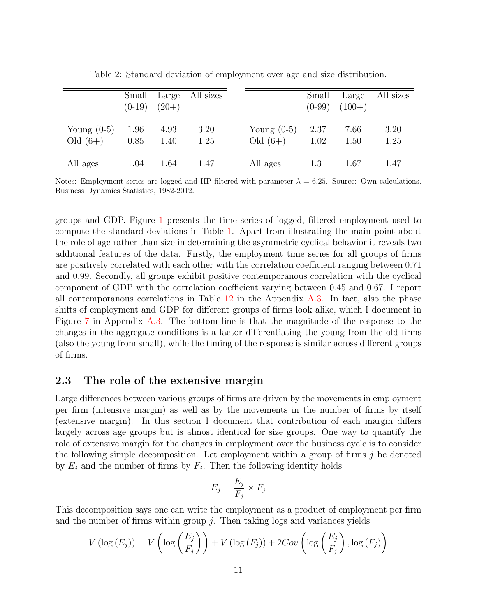<span id="page-10-0"></span>

|                             | Small<br>$(0-19)$ | Large<br>$(20+)$ | All sizes    |                             | Small<br>$(0-99)$ | Large<br>$(100+)$ | All sizes    |
|-----------------------------|-------------------|------------------|--------------|-----------------------------|-------------------|-------------------|--------------|
| Young $(0-5)$<br>Old $(6+)$ | 1.96<br>0.85      | 4.93<br>1.40     | 3.20<br>1.25 | Young $(0-5)$<br>Old $(6+)$ | 2.37<br>1.02      | 7.66<br>1.50      | 3.20<br>1.25 |
| All ages                    | 1.04              | 1.64             | 1.47         | All ages                    | 1.31              | 1.67              | 1.47         |

Table 2: Standard deviation of employment over age and size distribution.

Notes: Employment series are logged and HP filtered with parameter  $\lambda = 6.25$ . Source: Own calculations. Business Dynamics Statistics, 1982-2012.

groups and GDP. Figure [1](#page-11-0) presents the time series of logged, filtered employment used to compute the standard deviations in Table [1.](#page-9-0) Apart from illustrating the main point about the role of age rather than size in determining the asymmetric cyclical behavior it reveals two additional features of the data. Firstly, the employment time series for all groups of firms are positively correlated with each other with the correlation coefficient ranging between 0.71 and 0.99. Secondly, all groups exhibit positive contemporanous correlation with the cyclical component of GDP with the correlation coefficient varying between 0.45 and 0.67. I report all contemporanous correlations in Table  $12$  in the Appendix [A.3.](#page-40-1) In fact, also the phase shifts of employment and GDP for different groups of firms look alike, which I document in Figure [7](#page-41-1) in Appendix [A.3.](#page-40-1) The bottom line is that the magnitude of the response to the changes in the aggregate conditions is a factor differentiating the young from the old firms (also the young from small), while the timing of the response is similar across different groups of firms.

### 2.3 The role of the extensive margin

Large differences between various groups of firms are driven by the movements in employment per firm (intensive margin) as well as by the movements in the number of firms by itself (extensive margin). In this section I document that contribution of each margin differs largely across age groups but is almost identical for size groups. One way to quantify the role of extensive margin for the changes in employment over the business cycle is to consider the following simple decomposition. Let employment within a group of firms j be denoted by  $E_j$  and the number of firms by  $F_j$ . Then the following identity holds

$$
E_j = \frac{E_j}{F_j} \times F_j
$$

This decomposition says one can write the employment as a product of employment per firm and the number of firms within group  $j$ . Then taking logs and variances yields

$$
V\left(\log\left(E_j\right)\right) = V\left(\log\left(\frac{E_j}{F_j}\right)\right) + V\left(\log\left(F_j\right)\right) + 2Cov\left(\log\left(\frac{E_j}{F_j}\right), \log\left(F_j\right)\right)
$$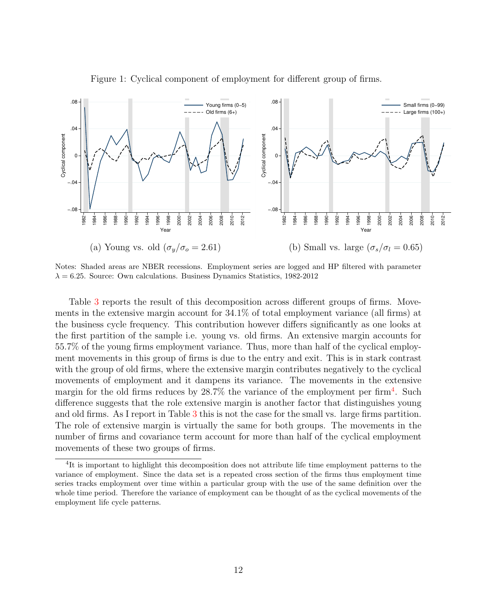<span id="page-11-0"></span>

Figure 1: Cyclical component of employment for different group of firms.

Notes: Shaded areas are NBER recessions. Employment series are logged and HP filtered with parameter  $\lambda = 6.25$ . Source: Own calculations. Business Dynamics Statistics, 1982-2012

Table [3](#page-12-0) reports the result of this decomposition across different groups of firms. Movements in the extensive margin account for 34.1% of total employment variance (all firms) at the business cycle frequency. This contribution however differs significantly as one looks at the first partition of the sample i.e. young vs. old firms. An extensive margin accounts for 55.7% of the young firms employment variance. Thus, more than half of the cyclical employment movements in this group of firms is due to the entry and exit. This is in stark contrast with the group of old firms, where the extensive margin contributes negatively to the cyclical movements of employment and it dampens its variance. The movements in the extensive margin for the old firms reduces by  $28.7\%$  the variance of the employment per firm<sup>[4](#page-11-1)</sup>. Such difference suggests that the role extensive margin is another factor that distinguishes young and old firms. As I report in Table [3](#page-12-0) this is not the case for the small vs. large firms partition. The role of extensive margin is virtually the same for both groups. The movements in the number of firms and covariance term account for more than half of the cyclical employment movements of these two groups of firms.

<span id="page-11-1"></span><sup>&</sup>lt;sup>4</sup>It is important to highlight this decomposition does not attribute life time employment patterns to the variance of employment. Since the data set is a repeated cross section of the firms thus employment time series tracks employment over time within a particular group with the use of the same definition over the whole time period. Therefore the variance of employment can be thought of as the cyclical movements of the employment life cycle patterns.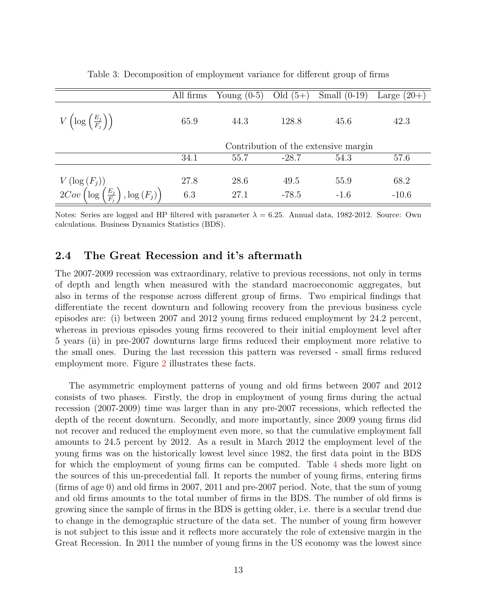<span id="page-12-0"></span>

|                                                                                                                     | All firms | Young $(0-5)$ | Old $(5+)$ | Small $(0-19)$                       | Large $(20+)$ |
|---------------------------------------------------------------------------------------------------------------------|-----------|---------------|------------|--------------------------------------|---------------|
| $V\left(\log\left(\frac{E_j}{F_j}\right)\right)$                                                                    | 65.9      | 44.3          | 128.8      | 45.6                                 | 42.3          |
|                                                                                                                     |           |               |            | Contribution of the extensive margin |               |
|                                                                                                                     | 34.1      | 55.7          | $-28.7$    | 54.3                                 | 57.6          |
|                                                                                                                     |           |               |            |                                      |               |
|                                                                                                                     | 27.8      | 28.6          | 49.5       | 55.9                                 | 68.2          |
| V $\left(\log\left(F_j\right)\right)$<br>2Cov $\left(\log\left(\frac{E_j}{F_j}\right), \log\left(F_j\right)\right)$ | 6.3       | 27.1          | $-78.5$    | $-1.6$                               | $-10.6$       |

Table 3: Decomposition of employment variance for different group of firms

Notes: Series are logged and HP filtered with parameter  $\lambda = 6.25$ . Annual data, 1982-2012. Source: Own calculations. Business Dynamics Statistics (BDS).

# <span id="page-12-1"></span>2.4 The Great Recession and it's aftermath

The 2007-2009 recession was extraordinary, relative to previous recessions, not only in terms of depth and length when measured with the standard macroeconomic aggregates, but also in terms of the response across different group of firms. Two empirical findings that differentiate the recent downturn and following recovery from the previous business cycle episodes are: (i) between 2007 and 2012 young firms reduced employment by 24.2 percent, whereas in previous episodes young firms recovered to their initial employment level after 5 years (ii) in pre-2007 downturns large firms reduced their employment more relative to the small ones. During the last recession this pattern was reversed - small firms reduced employment more. Figure [2](#page-13-0) illustrates these facts.

The asymmetric employment patterns of young and old firms between 2007 and 2012 consists of two phases. Firstly, the drop in employment of young firms during the actual recession (2007-2009) time was larger than in any pre-2007 recessions, which reflected the depth of the recent downturn. Secondly, and more importantly, since 2009 young firms did not recover and reduced the employment even more, so that the cumulative employment fall amounts to 24.5 percent by 2012. As a result in March 2012 the employment level of the young firms was on the historically lowest level since 1982, the first data point in the BDS for which the employment of young firms can be computed. Table [4](#page-14-1) sheds more light on the sources of this un-precedential fall. It reports the number of young firms, entering firms (firms of age 0) and old firms in 2007, 2011 and pre-2007 period. Note, that the sum of young and old firms amounts to the total number of firms in the BDS. The number of old firms is growing since the sample of firms in the BDS is getting older, i.e. there is a secular trend due to change in the demographic structure of the data set. The number of young firm however is not subject to this issue and it reflects more accurately the role of extensive margin in the Great Recession. In 2011 the number of young firms in the US economy was the lowest since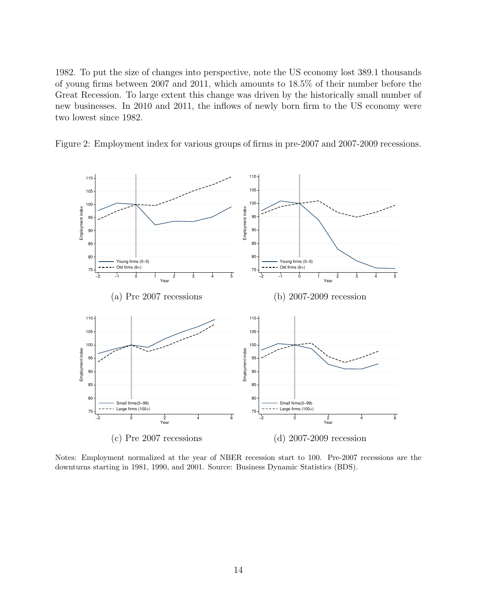1982. To put the size of changes into perspective, note the US economy lost 389.1 thousands of young firms between 2007 and 2011, which amounts to 18.5% of their number before the Great Recession. To large extent this change was driven by the historically small number of new businesses. In 2010 and 2011, the inflows of newly born firm to the US economy were two lowest since 1982.

<span id="page-13-0"></span>



Notes: Employment normalized at the year of NBER recession start to 100. Pre-2007 recessions are the downturns starting in 1981, 1990, and 2001. Source: Business Dynamic Statistics (BDS).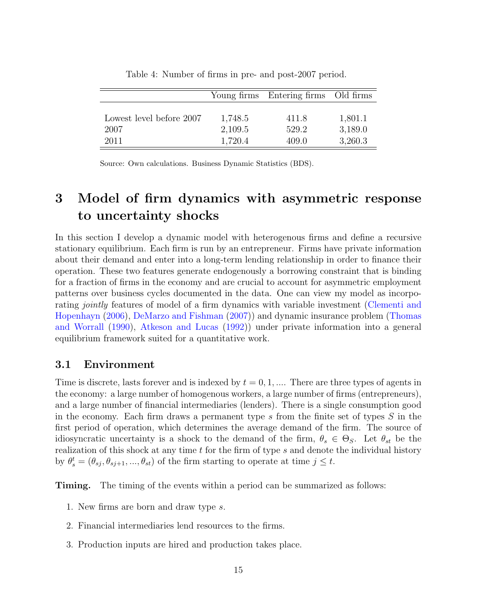<span id="page-14-1"></span>

|                          |         | Young firms Entering firms Old firms |         |
|--------------------------|---------|--------------------------------------|---------|
|                          |         |                                      |         |
| Lowest level before 2007 | 1,748.5 | 411.8                                | 1,801.1 |
| 2007                     | 2,109.5 | 529.2                                | 3,189.0 |
| 2011                     | 1,720.4 | 409.0                                | 3,260.3 |

Table 4: Number of firms in pre- and post-2007 period.

Source: Own calculations. Business Dynamic Statistics (BDS).

# <span id="page-14-0"></span>3 Model of firm dynamics with asymmetric response to uncertainty shocks

In this section I develop a dynamic model with heterogenous firms and define a recursive stationary equilibrium. Each firm is run by an entrepreneur. Firms have private information about their demand and enter into a long-term lending relationship in order to finance their operation. These two features generate endogenously a borrowing constraint that is binding for a fraction of firms in the economy and are crucial to account for asymmetric employment patterns over business cycles documented in the data. One can view my model as incorporating jointly features of model of a firm dynamics with variable investment [\(Clementi and](#page-59-7) [Hopenhayn](#page-59-7) [\(2006\)](#page-59-7), [DeMarzo and Fishman](#page-59-8) [\(2007\)](#page-59-8)) and dynamic insurance problem [\(Thomas](#page-60-5) [and Worrall](#page-60-5) [\(1990\)](#page-60-5), [Atkeson and Lucas](#page-58-9) [\(1992\)](#page-58-9)) under private information into a general equilibrium framework suited for a quantitative work.

# 3.1 Environment

Time is discrete, lasts forever and is indexed by  $t = 0, 1, \dots$  There are three types of agents in the economy: a large number of homogenous workers, a large number of firms (entrepreneurs), and a large number of financial intermediaries (lenders). There is a single consumption good in the economy. Each firm draws a permanent type  $s$  from the finite set of types  $S$  in the first period of operation, which determines the average demand of the firm. The source of idiosyncratic uncertainty is a shock to the demand of the firm,  $\theta_s \in \Theta_S$ . Let  $\theta_{st}$  be the realization of this shock at any time  $t$  for the firm of type  $s$  and denote the individual history by  $\theta_s^t = (\theta_{sj}, \theta_{sj+1}, ..., \theta_{st})$  of the firm starting to operate at time  $j \leq t$ .

**Timing.** The timing of the events within a period can be summarized as follows:

- 1. New firms are born and draw type s.
- 2. Financial intermediaries lend resources to the firms.
- 3. Production inputs are hired and production takes place.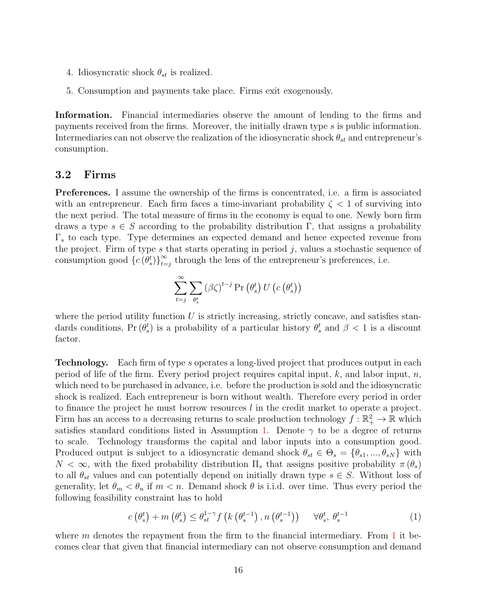- 4. Idiosyncratic shock  $\theta_{st}$  is realized.
- 5. Consumption and payments take place. Firms exit exogenously.

Information. Financial intermediaries observe the amount of lending to the firms and payments received from the firms. Moreover, the initially drawn type s is public information. Intermediaries can not observe the realization of the idiosyncratic shock  $\theta_{st}$  and entrepreneur's consumption.

#### 3.2 Firms

Preferences. I assume the ownership of the firms is concentrated, i.e. a firm is associated with an entrepreneur. Each firm faces a time-invariant probability  $\zeta < 1$  of surviving into the next period. The total measure of firms in the economy is equal to one. Newly born firm draws a type  $s \in S$  according to the probability distribution  $\Gamma$ , that assigns a probability  $\Gamma_s$  to each type. Type determines an expected demand and hence expected revenue from the project. Firm of type  $s$  that starts operating in period  $j$ , values a stochastic sequence of consumption good  $\{c(\theta_s^t)\}_{t=1}^{\infty}$  $\sum_{t=j}^{\infty}$  through the lens of the entrepreneur's preferences, i.e.

$$
\sum_{t=j}^{\infty} \sum_{\theta_{s}^{t}} \left(\beta \zeta\right)^{t-j} \Pr\left(\theta_{s}^{t}\right) U\left(c\left(\theta_{s}^{t}\right)\right)
$$

where the period utility function  $U$  is strictly increasing, strictly concave, and satisfies standards conditions,  $Pr(\theta_s^t)$  is a probability of a particular history  $\theta_s^t$  and  $\beta < 1$  is a discount factor.

Technology. Each firm of type s operates a long-lived project that produces output in each period of life of the firm. Every period project requires capital input,  $k$ , and labor input,  $n$ , which need to be purchased in advance, i.e. before the production is sold and the idiosyncratic shock is realized. Each entrepreneur is born without wealth. Therefore every period in order to finance the project he must borrow resources l in the credit market to operate a project. Firm has an access to a decreasing returns to scale production technology  $f : \mathbb{R}_+^2 \to \mathbb{R}$  which satisfies standard conditions listed in Assumption [1.](#page-16-0) Denote  $\gamma$  to be a degree of returns to scale. Technology transforms the capital and labor inputs into a consumption good. Produced output is subject to a idiosyncratic demand shock  $\theta_{st} \in \Theta_s = {\theta_{s1}, ..., \theta_{sN}}$  with  $N < \infty$ , with the fixed probability distribution  $\Pi_s$  that assigns positive probability  $\pi(\theta_s)$ to all  $\theta_{st}$  values and can potentially depend on initially drawn type  $s \in S$ . Without loss of generality, let  $\theta_m < \theta_n$  if  $m < n$ . Demand shock  $\theta$  is i.i.d. over time. Thus every period the following feasibility constraint has to hold

<span id="page-15-0"></span>
$$
c\left(\theta_s^t\right) + m\left(\theta_s^t\right) \leq \theta_{st}^{1-\gamma} f\left(k\left(\theta_s^{t-1}\right), n\left(\theta_s^{t-1}\right)\right) \quad \forall \theta_s^t, \ \theta_s^{t-1} \tag{1}
$$

where  $m$  denotes the repayment from the firm to the financial intermediary. From [1](#page-15-0) it becomes clear that given that financial intermediary can not observe consumption and demand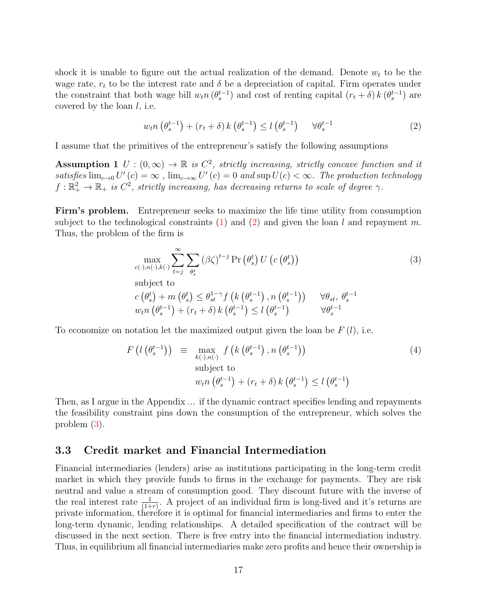shock it is unable to figure out the actual realization of the demand. Denote  $w_t$  to be the wage rate,  $r_t$  to be the interest rate and  $\delta$  be a depreciation of capital. Firm operates under the constraint that both wage bill  $w_t n$   $(\theta_s^{t-1})$  and cost of renting capital  $(r_t + \delta) k$   $(\theta_s^{t-1})$  are covered by the loan  $l$ , i.e.

<span id="page-16-1"></span><span id="page-16-0"></span>
$$
w_t n\left(\theta_s^{t-1}\right) + \left(r_t + \delta\right) k\left(\theta_s^{t-1}\right) \le l\left(\theta_s^{t-1}\right) \quad \forall \theta_s^{t-1} \tag{2}
$$

I assume that the primitives of the entrepreneur's satisfy the following assumptions

**Assumption 1** U :  $(0, \infty) \to \mathbb{R}$  is  $C^2$ , strictly increasing, strictly concave function and it satisfies  $\lim_{c\to 0} U'(c) = \infty$ ,  $\lim_{c\to\infty} U'(c) = 0$  and  $\sup U(c) < \infty$ . The production technology  $f: \mathbb{R}_+^2 \to \mathbb{R}_+$  is  $C^2$ , strictly increasing, has decreasing returns to scale of degree  $\gamma$ .

Firm's problem. Entrepreneur seeks to maximize the life time utility from consumption subject to the technological constraints [\(1\)](#page-15-0) and [\(2\)](#page-16-1) and given the loan l and repayment m. Thus, the problem of the firm is

<span id="page-16-2"></span>
$$
\max_{c(\cdot),n(\cdot),k(\cdot)}\sum_{t=j}^{\infty}\sum_{\theta_{s}^{t}}\left(\beta\zeta\right)^{t-j}\Pr\left(\theta_{s}^{t}\right)U\left(c\left(\theta_{s}^{t}\right)\right) \tag{3}
$$

subject to

$$
c(\theta_s^t) + m(\theta_s^t) \le \theta_{st}^{1-\gamma} f\left(k(\theta_s^{t-1}), n(\theta_s^{t-1})\right) \quad \forall \theta_{st}, \theta_s^{t-1}
$$
  

$$
w_t n(\theta_s^{t-1}) + (r_t + \delta) k(\theta_s^{t-1}) \le l(\theta_s^{t-1}) \quad \forall \theta_s^{t-1}
$$

To economize on notation let the maximized output given the loan be  $F(l)$ , i.e.

<span id="page-16-3"></span>
$$
F\left(l\left(\theta_s^{t-1}\right)\right) \equiv \max_{k(\cdot),n(\cdot)} f\left(k\left(\theta_s^{t-1}\right),n\left(\theta_s^{t-1}\right)\right) \qquad (4)
$$
\n
$$
\text{subject to}
$$
\n
$$
w_t n\left(\theta_s^{t-1}\right) + \left(r_t + \delta\right) k\left(\theta_s^{t-1}\right) \le l\left(\theta_s^{t-1}\right)
$$

Then, as I argue in the Appendix ... if the dynamic contract specifies lending and repayments the feasibility constraint pins down the consumption of the entrepreneur, which solves the problem [\(3\)](#page-16-2).

# 3.3 Credit market and Financial Intermediation

Financial intermediaries (lenders) arise as institutions participating in the long-term credit market in which they provide funds to firms in the exchange for payments. They are risk neutral and value a stream of consumption good. They discount future with the inverse of the real interest rate  $\frac{1}{(1+r)}$ . A project of an individual firm is long-lived and it's returns are private information, therefore it is optimal for financial intermediaries and firms to enter the long-term dynamic, lending relationships. A detailed specification of the contract will be discussed in the next section. There is free entry into the financial intermediation industry. Thus, in equilibrium all financial intermediaries make zero profits and hence their ownership is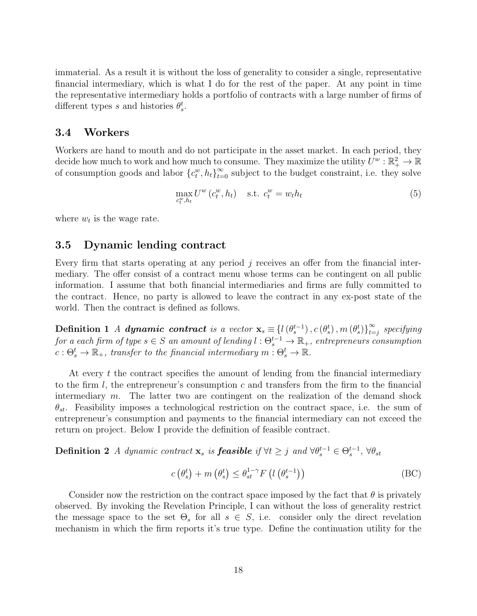immaterial. As a result it is without the loss of generality to consider a single, representative financial intermediary, which is what I do for the rest of the paper. At any point in time the representative intermediary holds a portfolio of contracts with a large number of firms of different types s and histories  $\theta_s^t$ .

### 3.4 Workers

Workers are hand to mouth and do not participate in the asset market. In each period, they decide how much to work and how much to consume. They maximize the utility  $U^w : \mathbb{R}_+^2 \to \mathbb{R}$ of consumption goods and labor  ${c_t^w, h_t}_{t=0}^\infty$  subject to the budget constraint, i.e. they solve

<span id="page-17-1"></span>
$$
\max_{c_t^w, h_t} U^w(c_t^w, h_t) \quad \text{s.t. } c_t^w = w_t h_t \tag{5}
$$

where  $w_t$  is the wage rate.

# 3.5 Dynamic lending contract

Every firm that starts operating at any period  $j$  receives an offer from the financial intermediary. The offer consist of a contract menu whose terms can be contingent on all public information. I assume that both financial intermediaries and firms are fully committed to the contract. Hence, no party is allowed to leave the contract in any ex-post state of the world. Then the contract is defined as follows.

Definition 1 A dynamic contract is a vector  $\mathbf{x}_s \equiv \{l(\theta_s^{t-1}), c(\theta_s^t), m(\theta_s^t)\}_{t=1}^{\infty}$  $\sum_{t=j}^{\infty}$  specifying for a each firm of type  $s \in S$  an amount of lending  $l: \Theta_s^{t-1} \to \mathbb{R}_+$ , entrepreneurs consumption  $c: \Theta_s^t \to \mathbb{R}_+$ , transfer to the financial intermediary  $m: \Theta_s^t \to \mathbb{R}$ .

At every  $t$  the contract specifies the amount of lending from the financial intermediary to the firm  $l$ , the entrepreneur's consumption c and transfers from the firm to the financial intermediary  $m$ . The latter two are contingent on the realization of the demand shock  $\theta_{st}$ . Feasibility imposes a technological restriction on the contract space, i.e. the sum of entrepreneur's consumption and payments to the financial intermediary can not exceed the return on project. Below I provide the definition of feasible contract.

**Definition 2** A dynamic contract  $\mathbf{x}_s$  is **feasible** if  $\forall t \geq j$  and  $\forall \theta_s^{t-1} \in \Theta_s^{t-1}$ ,  $\forall \theta_{st}$ 

<span id="page-17-0"></span>
$$
c\left(\theta_s^t\right) + m\left(\theta_s^t\right) \le \theta_{st}^{1-\gamma} F\left(l\left(\theta_s^{t-1}\right)\right) \tag{BC}
$$

Consider now the restriction on the contract space imposed by the fact that  $\theta$  is privately observed. By invoking the Revelation Principle, I can without the loss of generality restrict the message space to the set  $\Theta_s$  for all  $s \in S$ , i.e. consider only the direct revelation mechanism in which the firm reports it's true type. Define the continuation utility for the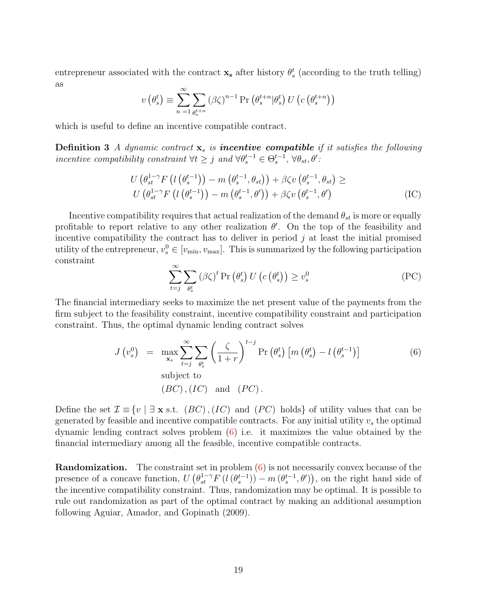entrepreneur associated with the contract  $\mathbf{x}_s$  after history  $\theta_s^t$  (according to the truth telling) as

$$
v(\theta_s^t) \equiv \sum_{n=1}^{\infty} \sum_{\theta_s^{t+n}} (\beta \zeta)^{n-1} \Pr\left(\theta_s^{t+n} | \theta_s^t\right) U\left(c\left(\theta_s^{t+n}\right)\right)
$$

which is useful to define an incentive compatible contract.

**Definition 3** A dynamic contract  $x_s$  is **incentive compatible** if it satisfies the following incentive compatibility constraint  $\forall t \geq j$  and  $\forall \theta_s^{t-1} \in \Theta_s^{t-1}, \forall \theta_{st}, \theta'$ :

$$
U\left(\theta_{st}^{1-\gamma}F\left(l\left(\theta_{s}^{t-1}\right)\right)-m\left(\theta_{s}^{t-1},\theta_{st}\right)\right)+\beta\zeta v\left(\theta_{s}^{t-1},\theta_{st}\right)\ge
$$

$$
U\left(\theta_{st}^{1-\gamma}F\left(l\left(\theta_{s}^{t-1}\right)\right)-m\left(\theta_{s}^{t-1},\theta'\right)\right)+\beta\zeta v\left(\theta_{s}^{t-1},\theta'\right)
$$
(IC)

Incentive compatibility requires that actual realization of the demand  $\theta_{st}$  is more or equally profitable to report relative to any other realization  $\theta'$ . On the top of the feasibility and incentive compatibility the contract has to deliver in period  $j$  at least the initial promised utility of the entrepreneur,  $v_s^0 \in [v_{\min}, v_{\max}]$ . This is summarized by the following participation constraint

$$
\sum_{t=j}^{\infty} \sum_{\theta_s^t} (\beta \zeta)^t \Pr\left(\theta_s^t\right) U\left(c\left(\theta_s^t\right)\right) \ge v_s^0 \tag{PC}
$$

The financial intermediary seeks to maximize the net present value of the payments from the firm subject to the feasibility constraint, incentive compatibility constraint and participation constraint. Thus, the optimal dynamic lending contract solves

$$
J(v_s^0) = \max_{\mathbf{x}_s} \sum_{t=j}^{\infty} \sum_{\theta_s^t} \left(\frac{\zeta}{1+r}\right)^{t-j} \Pr\left(\theta_s^t\right) \left[m\left(\theta_s^t\right) - l\left(\theta_s^{t-1}\right)\right]
$$
\nsubject to

\n
$$
(BC), (IC)
$$
 and  $(PC)$ .

Define the set  $\mathcal{I} \equiv \{v \mid \exists x \text{ s.t. } (BC), (IC) \text{ and } (PC) \text{ holds} \}$  of utility values that can be generated by feasible and incentive compatible contracts. For any initial utility  $v_s$  the optimal dynamic lending contract solves problem [\(6\)](#page-17-0) i.e. it maximizes the value obtained by the financial intermediary among all the feasible, incentive compatible contracts.

<span id="page-18-0"></span>**Randomization.** The constraint set in problem  $(6)$  is not necessarily convex because of the presence of a concave function,  $U\left(\theta_{st}^{1-\gamma}F\left(l\left(\theta_{s}^{t-1}\right)\right)-m\left(\theta_{s}^{t-1},\theta'\right)\right)$ , on the right hand side of the incentive compatibility constraint. Thus, randomization may be optimal. It is possible to rule out randomization as part of the optimal contract by making an additional assumption following Aguiar, Amador, and Gopinath (2009).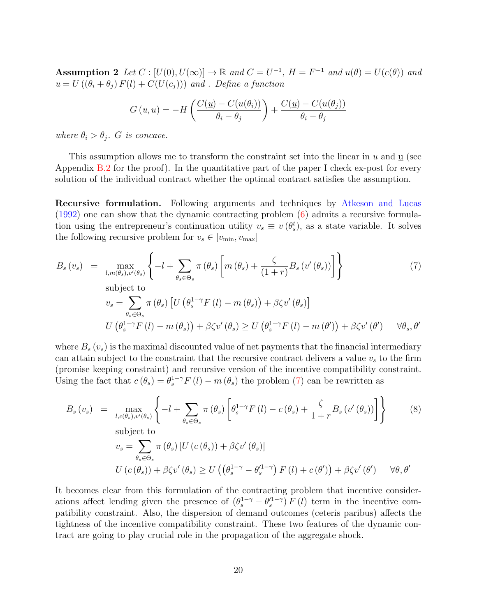Assumption 2 Let  $C : [U(0), U(\infty)] \to \mathbb{R}$  and  $C = U^{-1}$ ,  $H = F^{-1}$  and  $u(\theta) = U(c(\theta))$  and  $u = U((\theta_i + \theta_j) F(l) + C(U(c_j)))$  and . Define a function

<span id="page-19-0"></span>
$$
G(\underline{u}, u) = -H\left(\frac{C(\underline{u}) - C(u(\theta_i))}{\theta_i - \theta_j}\right) + \frac{C(\underline{u}) - C(u(\theta_j))}{\theta_i - \theta_j}
$$

where  $\theta_i > \theta_j$ . G is concave.

This assumption allows me to transform the constraint set into the linear in  $u$  and  $\underline{u}$  (see Appendix [B.2](#page-43-0) for the proof). In the quantitative part of the paper I check ex-post for every solution of the individual contract whether the optimal contract satisfies the assumption.

Recursive formulation. Following arguments and techniques by [Atkeson and Lucas](#page-58-9) [\(1992\)](#page-58-9) one can show that the dynamic contracting problem [\(6\)](#page-17-0) admits a recursive formulation using the entrepreneur's continuation utility  $v_s \equiv v(\theta_s^t)$ , as a state variable. It solves the following recursive problem for  $v_s \in [v_{\min}, v_{\max}]$ 

$$
B_{s}(v_{s}) = \max_{l,m(\theta_{s}),v'(\theta_{s})} \left\{-l + \sum_{\theta_{s} \in \Theta_{s}} \pi(\theta_{s}) \left[m(\theta_{s}) + \frac{\zeta}{(1+r)} B_{s}(v'(\theta_{s}))\right]\right\}
$$
(7)  
subject to  

$$
v_{s} = \sum_{\theta_{s} \in \Theta_{s}} \pi(\theta_{s}) \left[U(\theta_{s}^{1-\gamma} F(l) - m(\theta_{s})) + \beta \zeta v'(\theta_{s})\right]
$$

$$
U(\theta_{s}^{1-\gamma} F(l) - m(\theta_{s})) + \beta \zeta v'(\theta_{s}) \ge U(\theta_{s}^{1-\gamma} F(l) - m(\theta')) + \beta \zeta v'(\theta') \quad \forall \theta_{s}, \theta'
$$

where  $B_s(v_s)$  is the maximal discounted value of net payments that the financial intermediary can attain subject to the constraint that the recursive contract delivers a value  $v<sub>s</sub>$  to the firm (promise keeping constraint) and recursive version of the incentive compatibility constraint. Using the fact that  $c(\theta_s) = \theta_s^{1-\gamma} F(l) - m(\theta_s)$  the problem [\(7\)](#page-19-0) can be rewritten as

<span id="page-19-1"></span>
$$
B_s(v_s) = \max_{l,c(\theta_s),v'(\theta_s)} \left\{-l + \sum_{\theta_s \in \Theta_s} \pi(\theta_s) \left[\theta_s^{1-\gamma} F(l) - c(\theta_s) + \frac{\zeta}{1+r} B_s(v'(\theta_s))\right]\right\}
$$
(8)  
subject to  

$$
v_s = \sum_{\theta_s \in \Theta_s} \pi(\theta_s) \left[U(c(\theta_s)) + \beta \zeta v'(\theta_s)\right]
$$

$$
U(c(\theta_s)) + \beta \zeta v'(\theta_s) \ge U\left((\theta_s^{1-\gamma} - \theta_s'^{1-\gamma}) F(l) + c(\theta')\right) + \beta \zeta v'(\theta') \quad \forall \theta, \theta'
$$

It becomes clear from this formulation of the contracting problem that incentive considerations affect lending given the presence of  $(\theta_s^{1-\gamma} - \theta_s'^{1-\gamma}) F(l)$  term in the incentive compatibility constraint. Also, the dispersion of demand outcomes (ceteris paribus) affects the tightness of the incentive compatibility constraint. These two features of the dynamic contract are going to play crucial role in the propagation of the aggregate shock.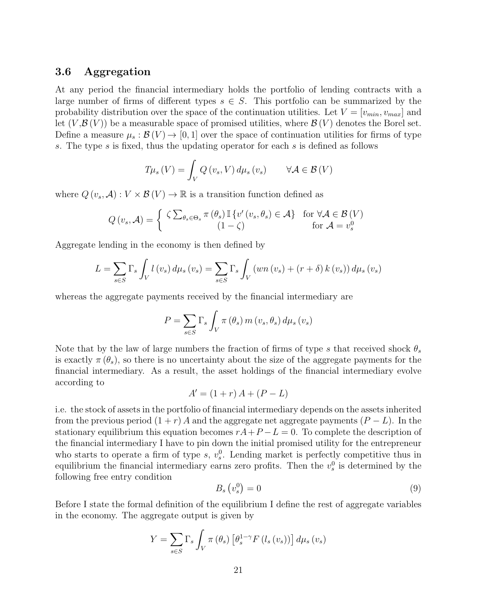# <span id="page-20-1"></span>3.6 Aggregation

At any period the financial intermediary holds the portfolio of lending contracts with a large number of firms of different types  $s \in S$ . This portfolio can be summarized by the probability distribution over the space of the continuation utilities. Let  $V = [v_{min}, v_{max}]$  and let  $(V,\mathcal{B}(V))$  be a measurable space of promised utilities, where  $\mathcal{B}(V)$  denotes the Borel set. Define a measure  $\mu_s : \mathcal{B}(V) \to [0,1]$  over the space of continuation utilities for firms of type s. The type s is fixed, thus the updating operator for each s is defined as follows

$$
T\mu_s(V) = \int_V Q(v_s, V) d\mu_s(v_s) \qquad \forall A \in \mathcal{B}(V)
$$

where  $Q(v_s, \mathcal{A}): V \times \mathcal{B}(V) \to \mathbb{R}$  is a transition function defined as

$$
Q(v_s, \mathcal{A}) = \begin{cases} \zeta \sum_{\theta_s \in \Theta_s} \pi(\theta_s) \mathbb{I} \{ v'(v_s, \theta_s) \in \mathcal{A} \} & \text{for } \forall \mathcal{A} \in \mathcal{B}(V) \\ (1 - \zeta) & \text{for } \mathcal{A} = v_s^0 \end{cases}
$$

Aggregate lending in the economy is then defined by

$$
L = \sum_{s \in S} \Gamma_s \int_V l(v_s) d\mu_s(v_s) = \sum_{s \in S} \Gamma_s \int_V (wn(v_s) + (r + \delta) k(v_s)) d\mu_s(v_s)
$$

whereas the aggregate payments received by the financial intermediary are

$$
P = \sum_{s \in S} \Gamma_s \int_V \pi(\theta_s) m(v_s, \theta_s) d\mu_s(v_s)
$$

Note that by the law of large numbers the fraction of firms of type s that received shock  $\theta_s$ is exactly  $\pi(\theta_s)$ , so there is no uncertainty about the size of the aggregate payments for the financial intermediary. As a result, the asset holdings of the financial intermediary evolve according to

$$
A' = (1+r) A + (P - L)
$$

i.e. the stock of assets in the portfolio of financial intermediary depends on the assets inherited from the previous period  $(1 + r) A$  and the aggregate net aggregate payments  $(P - L)$ . In the stationary equilibrium this equation becomes  $rA+P-L=0$ . To complete the description of the financial intermediary I have to pin down the initial promised utility for the entrepreneur who starts to operate a firm of type  $s, v_s^0$ . Lending market is perfectly competitive thus in equilibrium the financial intermediary earns zero profits. Then the  $v_s^0$  is determined by the following free entry condition

<span id="page-20-0"></span>
$$
B_s\left(v_s^0\right) = 0\tag{9}
$$

Before I state the formal definition of the equilibrium I define the rest of aggregate variables in the economy. The aggregate output is given by

$$
Y = \sum_{s \in S} \Gamma_s \int_V \pi(\theta_s) \left[ \theta_s^{1-\gamma} F(l_s(v_s)) \right] d\mu_s(v_s)
$$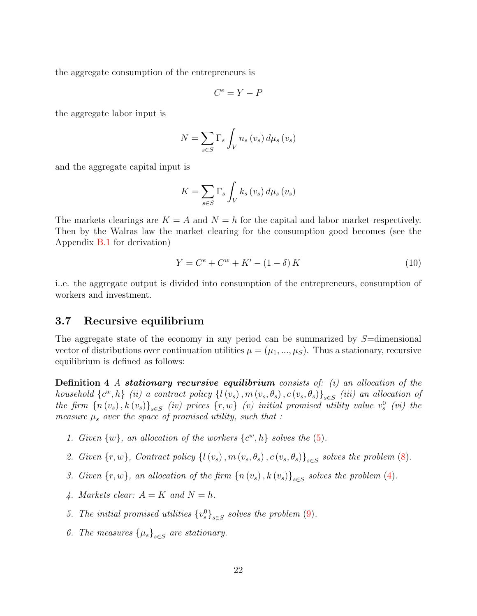the aggregate consumption of the entrepreneurs is

$$
C^e = Y - P
$$

the aggregate labor input is

$$
N = \sum_{s \in S} \Gamma_s \int_V n_s \left(v_s\right) d\mu_s \left(v_s\right)
$$

and the aggregate capital input is

$$
K = \sum_{s \in S} \Gamma_s \int_V k_s \left(v_s\right) d\mu_s \left(v_s\right)
$$

The markets clearings are  $K = A$  and  $N = h$  for the capital and labor market respectively. Then by the Walras law the market clearing for the consumption good becomes (see the Appendix [B.1](#page-42-0) for derivation)

<span id="page-21-0"></span>
$$
Y = C^{e} + C^{w} + K' - (1 - \delta) K
$$
\n(10)

i..e. the aggregate output is divided into consumption of the entrepreneurs, consumption of workers and investment.

### 3.7 Recursive equilibrium

The aggregate state of the economy in any period can be summarized by  $S=$ dimensional vector of distributions over continuation utilities  $\mu = (\mu_1, ..., \mu_S)$ . Thus a stationary, recursive equilibrium is defined as follows:

**Definition 4** A stationary recursive equilibrium consists of: (i) an allocation of the household  $\{c^w, h\}$  (ii) a contract policy  $\{l(v_s), m(v_s, \theta_s), c(v_s, \theta_s)\}_{s \in S}$  (iii) an allocation of the firm  $\{n(v_s), k(v_s)\}_{s\in S}$  (iv) prices  $\{r, w\}$  (v) initial promised utility value  $v_s^0$  (vi) the measure  $\mu_s$  over the space of promised utility, such that :

- 1. Given  $\{w\}$ , an allocation of the workers  $\{c^w, h\}$  solves the  $(5)$ .
- 2. Given  $\{r, w\}$ , Contract policy  $\{l(v_s), m(v_s, \theta_s), c(v_s, \theta_s)\}_{s \in S}$  solves the problem  $(8)$ .
- 3. Given  $\{r, w\}$ , an allocation of the firm  $\{n(v_s), k(v_s)\}_{s \in S}$  solves the problem [\(4\)](#page-16-3).
- 4. Markets clear:  $A = K$  and  $N = h$ .
- 5. The initial promised utilities  ${v_s^0}_{s \in S}$  solves the problem [\(9\)](#page-20-0).
- 6. The measures  $\{\mu_s\}_{s\in S}$  are stationary.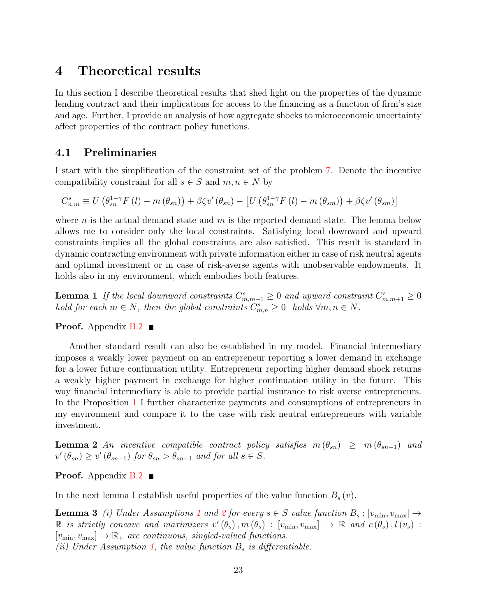# <span id="page-22-0"></span>4 Theoretical results

In this section I describe theoretical results that shed light on the properties of the dynamic lending contract and their implications for access to the financing as a function of firm's size and age. Further, I provide an analysis of how aggregate shocks to microeconomic uncertainty affect properties of the contract policy functions.

# 4.1 Preliminaries

I start with the simplification of the constraint set of the problem [7.](#page-19-0) Denote the incentive compatibility constraint for all  $s \in S$  and  $m, n \in N$  by

$$
C_{n,m}^{s} \equiv U\left(\theta_{sn}^{1-\gamma}F\left(l\right)-m\left(\theta_{sn}\right)\right)+\beta\zeta v'\left(\theta_{sn}\right)-\left[U\left(\theta_{sn}^{1-\gamma}F\left(l\right)-m\left(\theta_{sm}\right)\right)+\beta\zeta v'\left(\theta_{sm}\right)\right]
$$

where n is the actual demand state and  $m$  is the reported demand state. The lemma below allows me to consider only the local constraints. Satisfying local downward and upward constraints implies all the global constraints are also satisfied. This result is standard in dynamic contracting environment with private information either in case of risk neutral agents and optimal investment or in case of risk-averse agents with unobservable endowments. It holds also in my environment, which embodies both features.

<span id="page-22-2"></span>**Lemma 1** If the local downward constraints  $C_{m,m-1}^s \geq 0$  and upward constraint  $C_{m,m+1}^s \geq 0$ hold for each  $m \in N$ , then the global constraints  $C_{m,n}^s \geq 0$  holds  $\forall m, n \in N$ .

#### **Proof.** Appendix  $B.2$

Another standard result can also be established in my model. Financial intermediary imposes a weakly lower payment on an entrepreneur reporting a lower demand in exchange for a lower future continuation utility. Entrepreneur reporting higher demand shock returns a weakly higher payment in exchange for higher continuation utility in the future. This way financial intermediary is able to provide partial insurance to risk averse entrepreneurs. In the Proposition [1](#page-23-0) I further characterize payments and consumptions of entrepreneurs in my environment and compare it to the case with risk neutral entrepreneurs with variable investment.

<span id="page-22-3"></span>**Lemma 2** An incentive compatible contract policy satisfies  $m(\theta_{sn}) \geq m(\theta_{sn-1})$  and  $v'(\theta_{sn}) \ge v'(\theta_{sn-1})$  for  $\theta_{sn} > \theta_{sn-1}$  and for all  $s \in S$ .

**Proof.** Appendix  $B.2$ 

<span id="page-22-1"></span>In the next lemma I establish useful properties of the value function  $B_s(v)$ .

**Lemma 3** (i) Under Assumptions [1](#page-16-0) and [2](#page-18-0) for every  $s \in S$  value function  $B_s : [v_{\min}, v_{\max}] \rightarrow$  $\mathbb R$  is strictly concave and maximizers  $v'(\theta_s), m(\theta_s) : [v_{\min}, v_{\max}] \to \mathbb R$  and  $c(\theta_s), l(v_s)$ :  $[v_{\min}, v_{\max}] \rightarrow \mathbb{R}_+$  are continuous, singled-valued functions. (ii) Under Assumption [1,](#page-16-0) the value function  $B_s$  is differentiable.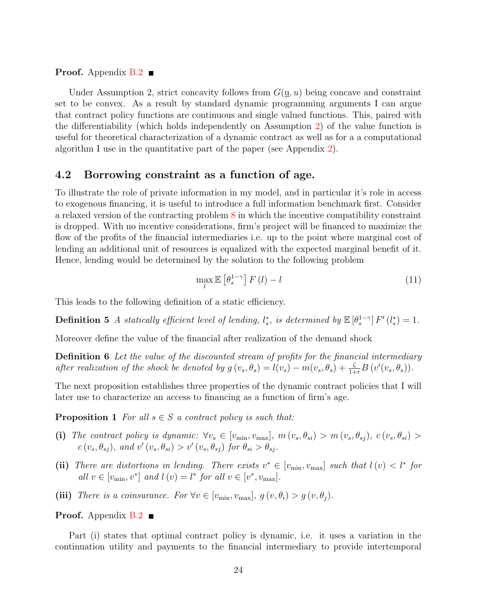**Proof.** Appendix  $B.2$ 

Under Assumption 2, strict concavity follows from  $G(\underline{u}, u)$  being concave and constraint set to be convex. As a result by standard dynamic programming arguments I can argue that contract policy functions are continuous and single valued functions. This, paired with the differentiability (which holds independently on Assumption [2\)](#page-18-0) of the value function is useful for theoretical characterization of a dynamic contract as well as for a a computational algorithm I use in the quantitative part of the paper (see Appendix [2\)](#page-54-0).

# <span id="page-23-2"></span>4.2 Borrowing constraint as a function of age.

To illustrate the role of private information in my model, and in particular it's role in access to exogenous financing, it is useful to introduce a full information benchmark first. Consider a relaxed version of the contracting problem [8](#page-19-1) in which the incentive compatibility constraint is dropped. With no incentive considerations, firm's project will be financed to maximize the flow of the profits of the financial intermediaries i.e. up to the point where marginal cost of lending an additional unit of resources is equalized with the expected marginal benefit of it. Hence, lending would be determined by the solution to the following problem

<span id="page-23-1"></span>
$$
\max_{l} \mathbb{E}\left[\theta_s^{1-\gamma}\right] F\left(l\right) - l \tag{11}
$$

This leads to the following definition of a static efficiency.

**Definition 5** A statically efficient level of lending,  $l_s^*$ , is determined by  $\mathbb{E}[\theta_s^{1-\gamma}] F'(l_s^*) = 1$ .

Moreover define the value of the financial after realization of the demand shock

**Definition 6** Let the value of the discounted stream of profits for the financial intermediary after realization of the shock be denoted by  $g(v_s, \theta_s) = l(v_s) - m(v_s, \theta_s) + \frac{\zeta}{1+r}B(v'(v_s, \theta_s)).$ 

The next proposition establishes three properties of the dynamic contract policies that I will later use to characterize an access to financing as a function of firm's age.

<span id="page-23-0"></span>**Proposition 1** For all  $s \in S$  a contract policy is such that:

- (i) The contract policy is dynamic:  $\forall v_s \in [v_{\min}, v_{\max}], m(v_s, \theta_{si}) > m(v_s, \theta_{sj}), c(v_s, \theta_{si}) >$  $c(v_s, \theta_{sj})$ , and  $v'(v_s, \theta_{si}) > v'(v_s, \theta_{sj})$  for  $\theta_{si} > \theta_{sj}$ .
- (ii) There are distortions in lending. There exists  $v^* \in [v_{\min}, v_{\max}]$  such that  $l(v) < l^*$  for all  $v \in [v_{\min}, v^*]$  and  $l(v) = l^*$  for all  $v \in [v^*, v_{\max}]$ .
- (iii) There is a coinsurance. For  $\forall v \in [v_{\min}, v_{\max}], g(v, \theta_i) > g(v, \theta_i)$ .

**Proof.** Appendix  $B.2$ 

Part (i) states that optimal contract policy is dynamic, i.e. it uses a variation in the continuation utility and payments to the financial intermediary to provide intertemporal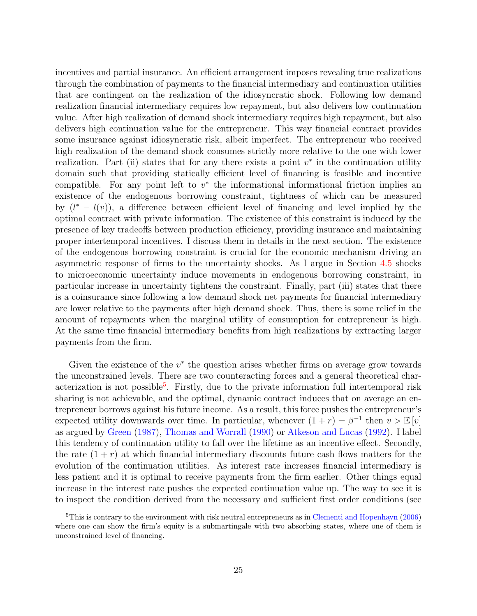incentives and partial insurance. An efficient arrangement imposes revealing true realizations through the combination of payments to the financial intermediary and continuation utilities that are contingent on the realization of the idiosyncratic shock. Following low demand realization financial intermediary requires low repayment, but also delivers low continuation value. After high realization of demand shock intermediary requires high repayment, but also delivers high continuation value for the entrepreneur. This way financial contract provides some insurance against idiosyncratic risk, albeit imperfect. The entrepreneur who received high realization of the demand shock consumes strictly more relative to the one with lower realization. Part (ii) states that for any there exists a point  $v^*$  in the continuation utility domain such that providing statically efficient level of financing is feasible and incentive compatible. For any point left to  $v^*$  the informational informational friction implies an existence of the endogenous borrowing constraint, tightness of which can be measured by  $(l^* - l(v))$ , a difference between efficient level of financing and level implied by the optimal contract with private information. The existence of this constraint is induced by the presence of key tradeoffs between production efficiency, providing insurance and maintaining proper intertemporal incentives. I discuss them in details in the next section. The existence of the endogenous borrowing constraint is crucial for the economic mechanism driving an asymmetric response of firms to the uncertainty shocks. As I argue in Section [4.5](#page-27-0) shocks to microeconomic uncertainty induce movements in endogenous borrowing constraint, in particular increase in uncertainty tightens the constraint. Finally, part (iii) states that there is a coinsurance since following a low demand shock net payments for financial intermediary are lower relative to the payments after high demand shock. Thus, there is some relief in the amount of repayments when the marginal utility of consumption for entrepreneur is high. At the same time financial intermediary benefits from high realizations by extracting larger payments from the firm.

Given the existence of the  $v^*$  the question arises whether firms on average grow towards the unconstrained levels. There are two counteracting forces and a general theoretical char-acterization is not possible<sup>[5](#page-24-0)</sup>. Firstly, due to the private information full intertemporal risk sharing is not achievable, and the optimal, dynamic contract induces that on average an entrepreneur borrows against his future income. As a result, this force pushes the entrepreneur's expected utility downwards over time. In particular, whenever  $(1 + r) = \beta^{-1}$  then  $v > \mathbb{E}[v]$ as argued by [Green](#page-59-5) [\(1987\)](#page-59-5), [Thomas and Worrall](#page-60-5) [\(1990\)](#page-60-5) or [Atkeson and Lucas](#page-58-9) [\(1992\)](#page-58-9). I label this tendency of continuation utility to fall over the lifetime as an incentive effect. Secondly, the rate  $(1 + r)$  at which financial intermediary discounts future cash flows matters for the evolution of the continuation utilities. As interest rate increases financial intermediary is less patient and it is optimal to receive payments from the firm earlier. Other things equal increase in the interest rate pushes the expected continuation value up. The way to see it is to inspect the condition derived from the necessary and sufficient first order conditions (see

<span id="page-24-0"></span><sup>5</sup>This is contrary to the environment with risk neutral entrepreneurs as in [Clementi and Hopenhayn](#page-59-7) [\(2006\)](#page-59-7) where one can show the firm's equity is a submartingale with two absorbing states, where one of them is unconstrained level of financing.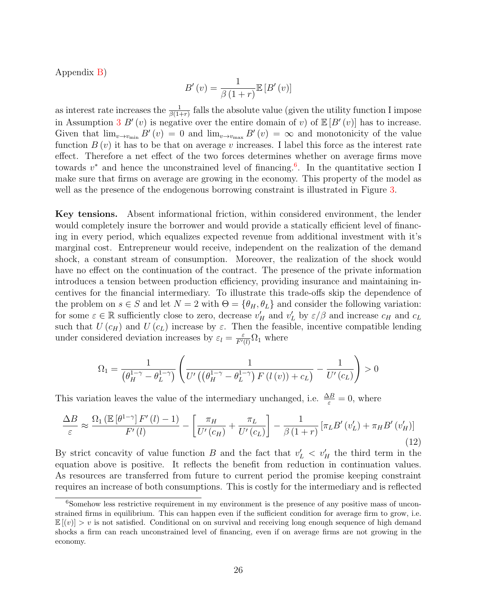Appendix [B\)](#page-42-1)

$$
B'(v) = \frac{1}{\beta(1+r)} \mathbb{E}\left[B'(v)\right]
$$

as interest rate increases the  $\frac{1}{\beta(1+r)}$  falls the absolute value (given the utility function I impose in Assumption [3](#page-26-0)  $B'(v)$  is negative over the entire domain of v) of  $\mathbb{E}[B'(v)]$  has to increase. Given that  $\lim_{v\to v_{\text{min}}} B'(v) = 0$  and  $\lim_{v\to v_{\text{max}}} B'(v) = \infty$  and monotonicity of the value function  $B(v)$  it has to be that on average v increases. I label this force as the interest rate effect. Therefore a net effect of the two forces determines whether on average firms move towards  $v^*$  and hence the unconstrained level of financing.<sup>[6](#page-25-0)</sup>. In the quantitative section I make sure that firms on average are growing in the economy. This property of the model as well as the presence of the endogenous borrowing constraint is illustrated in Figure [3.](#page-28-0)

Key tensions. Absent informational friction, within considered environment, the lender would completely insure the borrower and would provide a statically efficient level of financing in every period, which equalizes expected revenue from additional investment with it's marginal cost. Entrepreneur would receive, independent on the realization of the demand shock, a constant stream of consumption. Moreover, the realization of the shock would have no effect on the continuation of the contract. The presence of the private information introduces a tension between production efficiency, providing insurance and maintaining incentives for the financial intermediary. To illustrate this trade-offs skip the dependence of the problem on  $s \in S$  and let  $N = 2$  with  $\Theta = {\theta_H, \theta_L}$  and consider the following variation: for some  $\varepsilon \in \mathbb{R}$  sufficiently close to zero, decrease  $v'_H$  and  $v'_L$  by  $\varepsilon/\beta$  and increase  $c_H$  and  $c_L$ such that  $U(c_H)$  and  $U(c_L)$  increase by  $\varepsilon$ . Then the feasible, incentive compatible lending under considered deviation increases by  $\varepsilon_l = \frac{\varepsilon}{F'(l)} \Omega_1$  where

$$
\Omega_1 = \frac{1}{\left(\theta_H^{1-\gamma} - \theta_L^{1-\gamma}\right)} \left(\frac{1}{U'\left(\left(\theta_H^{1-\gamma} - \theta_L^{1-\gamma}\right)F\left(l\left(v\right)\right) + c_L\right)} - \frac{1}{U'\left(c_L\right)}\right) > 0
$$

This variation leaves the value of the intermediary unchanged, i.e.  $\frac{\Delta B}{\varepsilon} = 0$ , where

<span id="page-25-1"></span>
$$
\frac{\Delta B}{\varepsilon} \approx \frac{\Omega_1 \left( \mathbb{E} \left[ \theta^{1-\gamma} \right] F'(l) - 1 \right)}{F'(l)} - \left[ \frac{\pi_H}{U'(c_H)} + \frac{\pi_L}{U'(c_L)} \right] - \frac{1}{\beta \left( 1+r \right)} \left[ \pi_L B'(v'_L) + \pi_H B'(v'_H) \right] \tag{12}
$$

By strict concavity of value function B and the fact that  $v'_{L}$   $\langle v'_{H} \rangle$  the third term in the equation above is positive. It reflects the benefit from reduction in continuation values. As resources are transferred from future to current period the promise keeping constraint requires an increase of both consumptions. This is costly for the intermediary and is reflected

<span id="page-25-0"></span><sup>&</sup>lt;sup>6</sup>Somehow less restrictive requirement in my environment is the presence of any positive mass of unconstrained firms in equilibrium. This can happen even if the sufficient condition for average firm to grow, i.e.  $\mathbb{E}[(v)] > v$  is not satisfied. Conditional on on survival and receiving long enough sequence of high demand shocks a firm can reach unconstrained level of financing, even if on average firms are not growing in the economy.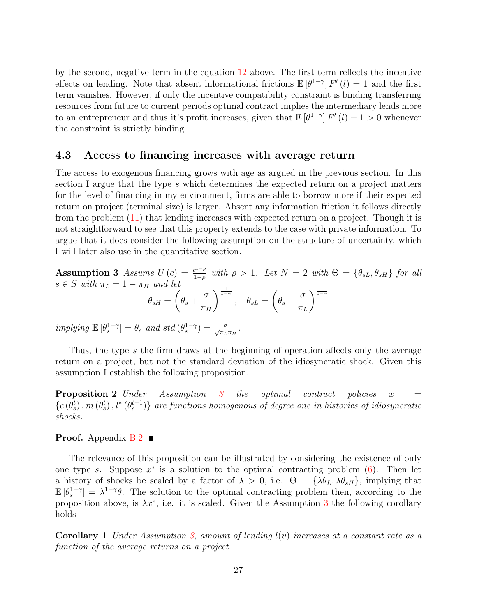by the second, negative term in the equation [12](#page-25-1) above. The first term reflects the incentive effects on lending. Note that absent informational frictions  $\mathbb{E}[\theta^{1-\gamma}] F'(l) = 1$  and the first term vanishes. However, if only the incentive compatibility constraint is binding transferring resources from future to current periods optimal contract implies the intermediary lends more to an entrepreneur and thus it's profit increases, given that  $\mathbb{E}[\theta^{1-\gamma}] F'(l) - 1 > 0$  whenever the constraint is strictly binding.

### 4.3 Access to financing increases with average return

The access to exogenous financing grows with age as argued in the previous section. In this section I argue that the type s which determines the expected return on a project matters for the level of financing in my environment, firms are able to borrow more if their expected return on project (terminal size) is larger. Absent any information friction it follows directly from the problem [\(11\)](#page-23-1) that lending increases with expected return on a project. Though it is not straightforward to see that this property extends to the case with private information. To argue that it does consider the following assumption on the structure of uncertainty, which I will later also use in the quantitative section.

<span id="page-26-0"></span>**Assumption 3** Assume  $U(c) = \frac{c^{1-\rho}}{1-\rho}$  $\frac{e^{1-\rho}}{1-\rho}$  with  $\rho > 1$ . Let  $N = 2$  with  $\Theta = \{\theta_{sL}, \theta_{sH}\}\$  for all  $s \in S$  with  $\pi_L = 1 - \pi_H$  and let  $\theta_{sH} =$  $\sqrt{ }$  $\theta_s+$ σ  $\pi_H$  $\Big)^{\frac{1}{1-\gamma}}\, ,\quad \theta_{sL}=$  $\sqrt{ }$  $\overline{\theta_s} - \frac{\sigma}{\overline{\theta_s}}$  $\pi_L$  $\frac{1}{1-\gamma}$ 

 $implying \mathbb{E}[\theta_s^{1-\gamma}] = \overline{\theta_s} \text{ and std}(\theta_s^{1-\gamma}) = \frac{\sigma}{\sqrt{\pi_L \pi_H}}.$ 

Thus, the type s the firm draws at the beginning of operation affects only the average return on a project, but not the standard deviation of the idiosyncratic shock. Given this assumption I establish the following proposition.

<span id="page-26-1"></span>**Proposition 2** Under Assumption [3](#page-26-0) the optimal contract policies  $x =$  ${c(\theta_s^t),m(\theta_s^t),l^*(\theta_s^{t-1})}$  are functions homogenous of degree one in histories of idiosyncratic shocks.

#### **Proof.** Appendix  $B.2$

The relevance of this proposition can be illustrated by considering the existence of only one type s. Suppose  $x^*$  is a solution to the optimal contracting problem  $(6)$ . Then let a history of shocks be scaled by a factor of  $\lambda > 0$ , i.e.  $\Theta = {\lambda \theta_L, \lambda \theta_{sH}}$ , implying that  $\mathbb{E}[\theta_s^{1-\gamma}] = \lambda^{1-\gamma} \overline{\theta}$ . The solution to the optimal contracting problem then, according to the proposition above, is  $\lambda x^*$ , i.e. it is scaled. Given the Assumption [3](#page-26-0) the following corollary holds

<span id="page-26-2"></span>**Corollary 1** Under Assumption [3,](#page-26-0) amount of lending  $l(v)$  increases at a constant rate as a function of the average returns on a project.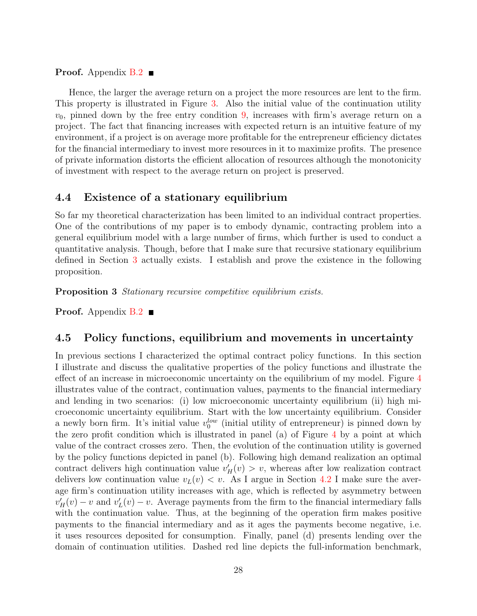**Proof.** Appendix  $B.2$ 

Hence, the larger the average return on a project the more resources are lent to the firm. This property is illustrated in Figure [3.](#page-28-0) Also the initial value of the continuation utility  $v_0$ , pinned down by the free entry condition [9,](#page-20-0) increases with firm's average return on a project. The fact that financing increases with expected return is an intuitive feature of my environment, if a project is on average more profitable for the entrepreneur efficiency dictates for the financial intermediary to invest more resources in it to maximize profits. The presence of private information distorts the efficient allocation of resources although the monotonicity of investment with respect to the average return on project is preserved.

## 4.4 Existence of a stationary equilibrium

So far my theoretical characterization has been limited to an individual contract properties. One of the contributions of my paper is to embody dynamic, contracting problem into a general equilibrium model with a large number of firms, which further is used to conduct a quantitative analysis. Though, before that I make sure that recursive stationary equilibrium defined in Section [3](#page-14-0) actually exists. I establish and prove the existence in the following proposition.

<span id="page-27-1"></span>Proposition 3 Stationary recursive competitive equilibrium exists.

**Proof.** Appendix  $B.2$ 

### <span id="page-27-0"></span>4.5 Policy functions, equilibrium and movements in uncertainty

In previous sections I characterized the optimal contract policy functions. In this section I illustrate and discuss the qualitative properties of the policy functions and illustrate the effect of an increase in microeconomic uncertainty on the equilibrium of my model. Figure [4](#page-30-1) illustrates value of the contract, continuation values, payments to the financial intermediary and lending in two scenarios: (i) low microeconomic uncertainty equilibrium (ii) high microeconomic uncertainty equilibrium. Start with the low uncertainty equilibrium. Consider a newly born firm. It's initial value  $v_0^{low}$  (initial utility of entrepreneur) is pinned down by the zero profit condition which is illustrated in panel (a) of Figure [4](#page-30-1) by a point at which value of the contract crosses zero. Then, the evolution of the continuation utility is governed by the policy functions depicted in panel (b). Following high demand realization an optimal contract delivers high continuation value  $v'_H(v) > v$ , whereas after low realization contract delivers low continuation value  $v<sub>L</sub>(v) < v$ . As I argue in Section [4.2](#page-23-2) I make sure the average firm's continuation utility increases with age, which is reflected by asymmetry between  $v_H'(v) - v$  and  $v_L'(v) - v$ . Average payments from the firm to the financial intermediary falls with the continuation value. Thus, at the beginning of the operation firm makes positive payments to the financial intermediary and as it ages the payments become negative, i.e. it uses resources deposited for consumption. Finally, panel (d) presents lending over the domain of continuation utilities. Dashed red line depicts the full-information benchmark,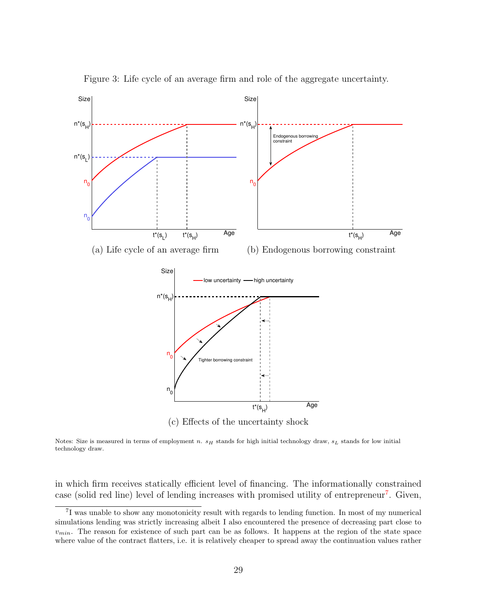<span id="page-28-0"></span>

Figure 3: Life cycle of an average firm and role of the aggregate uncertainty.

Notes: Size is measured in terms of employment n.  $s_H$  stands for high initial technology draw,  $s_L$  stands for low initial technology draw.

in which firm receives statically efficient level of financing. The informationally constrained case (solid red line) level of lending increases with promised utility of entrepreneur<sup>[7](#page-28-1)</sup>. Given,

<span id="page-28-1"></span><sup>&</sup>lt;sup>7</sup>I was unable to show any monotonicity result with regards to lending function. In most of my numerical simulations lending was strictly increasing albeit I also encountered the presence of decreasing part close to  $v_{min}$ . The reason for existence of such part can be as follows. It happens at the region of the state space where value of the contract flatters, i.e. it is relatively cheaper to spread away the continuation values rather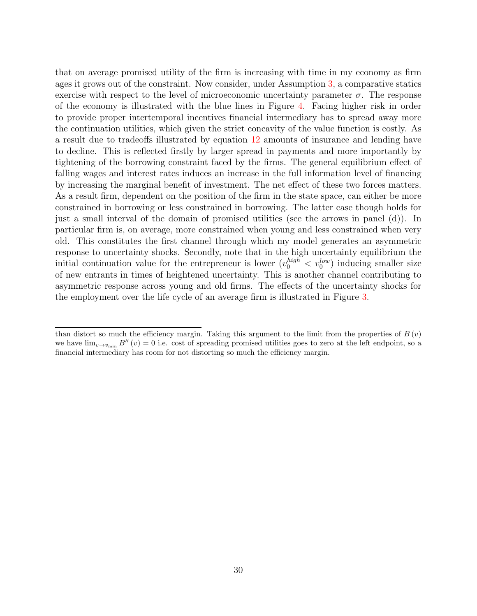that on average promised utility of the firm is increasing with time in my economy as firm ages it grows out of the constraint. Now consider, under Assumption [3,](#page-26-0) a comparative statics exercise with respect to the level of microeconomic uncertainty parameter  $\sigma$ . The response of the economy is illustrated with the blue lines in Figure [4.](#page-30-1) Facing higher risk in order to provide proper intertemporal incentives financial intermediary has to spread away more the continuation utilities, which given the strict concavity of the value function is costly. As a result due to tradeoffs illustrated by equation [12](#page-25-1) amounts of insurance and lending have to decline. This is reflected firstly by larger spread in payments and more importantly by tightening of the borrowing constraint faced by the firms. The general equilibrium effect of falling wages and interest rates induces an increase in the full information level of financing by increasing the marginal benefit of investment. The net effect of these two forces matters. As a result firm, dependent on the position of the firm in the state space, can either be more constrained in borrowing or less constrained in borrowing. The latter case though holds for just a small interval of the domain of promised utilities (see the arrows in panel (d)). In particular firm is, on average, more constrained when young and less constrained when very old. This constitutes the first channel through which my model generates an asymmetric response to uncertainty shocks. Secondly, note that in the high uncertainty equilibrium the initial continuation value for the entrepreneur is lower  $(v_0^{high} < v_0^{low})$  inducing smaller size of new entrants in times of heightened uncertainty. This is another channel contributing to asymmetric response across young and old firms. The effects of the uncertainty shocks for the employment over the life cycle of an average firm is illustrated in Figure [3.](#page-28-0)

than distort so much the efficiency margin. Taking this argument to the limit from the properties of  $B(v)$ we have  $\lim_{v\to v_{\text{min}}} B''(v) = 0$  i.e. cost of spreading promised utilities goes to zero at the left endpoint, so a financial intermediary has room for not distorting so much the efficiency margin.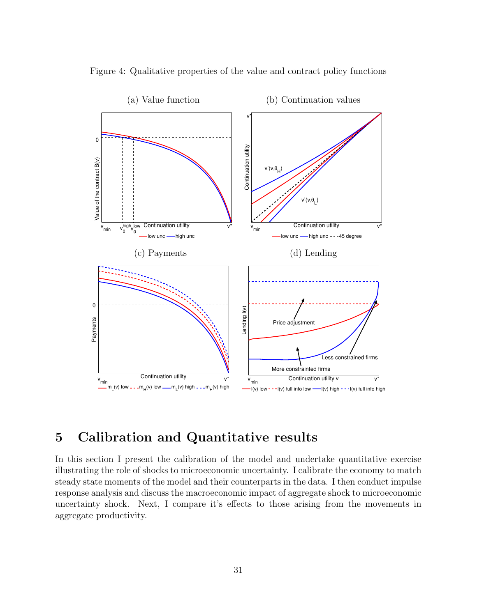<span id="page-30-1"></span>

Figure 4: Qualitative properties of the value and contract policy functions

# <span id="page-30-0"></span>5 Calibration and Quantitative results

In this section I present the calibration of the model and undertake quantitative exercise illustrating the role of shocks to microeconomic uncertainty. I calibrate the economy to match steady state moments of the model and their counterparts in the data. I then conduct impulse response analysis and discuss the macroeconomic impact of aggregate shock to microeconomic uncertainty shock. Next, I compare it's effects to those arising from the movements in aggregate productivity.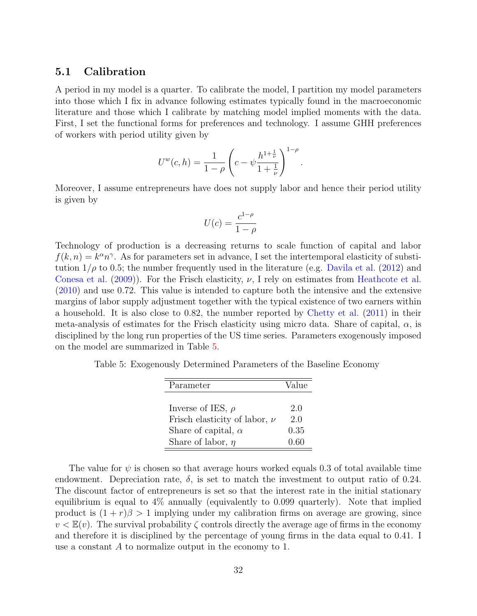### 5.1 Calibration

A period in my model is a quarter. To calibrate the model, I partition my model parameters into those which I fix in advance following estimates typically found in the macroeconomic literature and those which I calibrate by matching model implied moments with the data. First, I set the functional forms for preferences and technology. I assume GHH preferences of workers with period utility given by

$$
U^w(c,h) = \frac{1}{1-\rho} \left( c - \psi \frac{h^{1+\frac{1}{\nu}}}{1+\frac{1}{\nu}} \right)^{1-\rho}.
$$

Moreover, I assume entrepreneurs have does not supply labor and hence their period utility is given by

$$
U(c) = \frac{c^{1-\rho}}{1-\rho}
$$

Technology of production is a decreasing returns to scale function of capital and labor  $f(k, n) = k^{\alpha} n^{\gamma}$ . As for parameters set in advance, I set the intertemporal elasticity of substitution  $1/\rho$  to 0.5; the number frequently used in the literature (e.g. [Davila et al.](#page-59-9) [\(2012\)](#page-59-9) and [Conesa et al.](#page-59-10) [\(2009\)](#page-59-10)). For the Frisch elasticity,  $\nu$ , I rely on estimates from [Heathcote et al.](#page-60-9) [\(2010\)](#page-60-9) and use 0.72. This value is intended to capture both the intensive and the extensive margins of labor supply adjustment together with the typical existence of two earners within a household. It is also close to 0.82, the number reported by [Chetty et al.](#page-59-11) [\(2011\)](#page-59-11) in their meta-analysis of estimates for the Frisch elasticity using micro data. Share of capital,  $\alpha$ , is disciplined by the long run properties of the US time series. Parameters exogenously imposed on the model are summarized in Table [5.](#page-31-0)

<span id="page-31-0"></span>Table 5: Exogenously Determined Parameters of the Baseline Economy

| Parameter                         | Value |
|-----------------------------------|-------|
|                                   |       |
| Inverse of IES, $\rho$            | 2.0   |
| Frisch elasticity of labor, $\nu$ | 2.0   |
| Share of capital, $\alpha$        | 0.35  |
| Share of labor, $\eta$            | 0.60  |

The value for  $\psi$  is chosen so that average hours worked equals 0.3 of total available time endowment. Depreciation rate,  $\delta$ , is set to match the investment to output ratio of 0.24. The discount factor of entrepreneurs is set so that the interest rate in the initial stationary equilibrium is equal to 4% annually (equivalently to 0.099 quarterly). Note that implied product is  $(1 + r)\beta > 1$  implying under my calibration firms on average are growing, since  $v < \mathbb{E}(v)$ . The survival probability  $\zeta$  controls directly the average age of firms in the economy and therefore it is disciplined by the percentage of young firms in the data equal to 0.41. I use a constant A to normalize output in the economy to 1.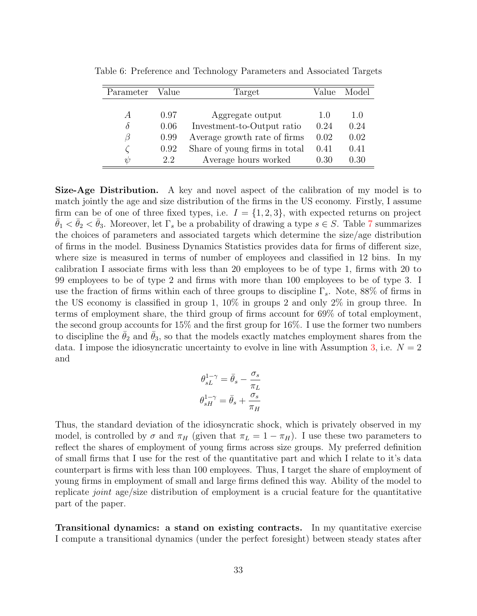| Parameter      | Value | Target                        | Value | Model |
|----------------|-------|-------------------------------|-------|-------|
|                |       |                               |       |       |
| $\overline{A}$ | 0.97  | Aggregate output              | 1.0   | 1.0   |
| $\delta$       | 0.06  | Investment-to-Output ratio    | 0.24  | 0.24  |
| B              | 0.99  | Average growth rate of firms  | 0.02  | 0.02  |
|                | 0.92  | Share of young firms in total | 0.41  | 0.41  |
| $\psi$         | 2.2   | Average hours worked          | 0.30  | 0.30  |

Table 6: Preference and Technology Parameters and Associated Targets

Size-Age Distribution. A key and novel aspect of the calibration of my model is to match jointly the age and size distribution of the firms in the US economy. Firstly, I assume firm can be of one of three fixed types, i.e.  $I = \{1, 2, 3\}$ , with expected returns on project  $\bar{\theta}_1 < \bar{\theta}_2 < \bar{\theta}_3$ . Moreover, let  $\Gamma_s$  be a probability of drawing a type  $s \in S$ . Table [7](#page-33-0) summarizes the choices of parameters and associated targets which determine the size/age distribution of firms in the model. Business Dynamics Statistics provides data for firms of different size, where size is measured in terms of number of employees and classified in 12 bins. In my calibration I associate firms with less than 20 employees to be of type 1, firms with 20 to 99 employees to be of type 2 and firms with more than 100 employees to be of type 3. I use the fraction of firms within each of three groups to discipline  $\Gamma_s$ . Note, 88% of firms in the US economy is classified in group 1, 10% in groups 2 and only 2% in group three. In terms of employment share, the third group of firms account for 69% of total employment, the second group accounts for 15% and the first group for 16%. I use the former two numbers to discipline the  $\theta_2$  and  $\theta_3$ , so that the models exactly matches employment shares from the data. I impose the idiosyncratic uncertainty to evolve in line with Assumption [3,](#page-26-0) i.e.  $N = 2$ and

$$
\begin{aligned} \theta_{sL}^{1-\gamma} &= \bar{\theta}_s - \frac{\sigma_s}{\pi_L} \\ \theta_{sH}^{1-\gamma} &= \bar{\theta}_s + \frac{\sigma_s}{\pi_H} \end{aligned}
$$

Thus, the standard deviation of the idiosyncratic shock, which is privately observed in my model, is controlled by  $\sigma$  and  $\pi_H$  (given that  $\pi_L = 1 - \pi_H$ ). I use these two parameters to reflect the shares of employment of young firms across size groups. My preferred definition of small firms that I use for the rest of the quantitative part and which I relate to it's data counterpart is firms with less than 100 employees. Thus, I target the share of employment of young firms in employment of small and large firms defined this way. Ability of the model to replicate joint age/size distribution of employment is a crucial feature for the quantitative part of the paper.

Transitional dynamics: a stand on existing contracts. In my quantitative exercise I compute a transitional dynamics (under the perfect foresight) between steady states after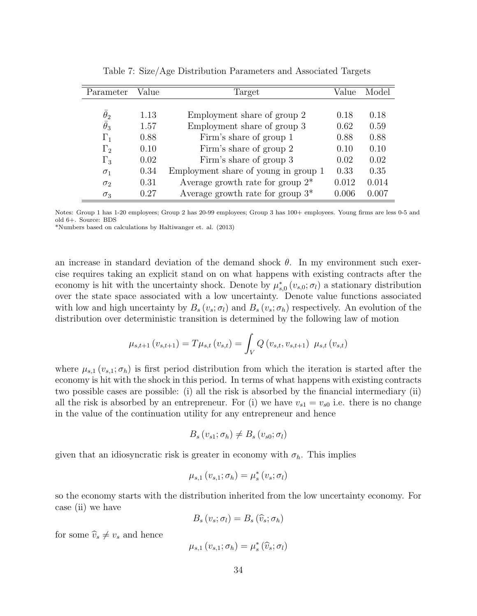<span id="page-33-0"></span>

| Parameter        | Value | Target                               | Value     | Model |
|------------------|-------|--------------------------------------|-----------|-------|
|                  |       |                                      |           |       |
| $\theta_2$       | 1.13  | Employment share of group 2          | 0.18      | 0.18  |
| $\bar{\theta}_3$ | 1.57  | Employment share of group 3          | 0.62      | 0.59  |
| $\Gamma_1$       | 0.88  | Firm's share of group 1              | 0.88      | 0.88  |
| $\Gamma_2$       | 0.10  | Firm's share of group 2              | 0.10      | 0.10  |
| $\Gamma_3$       | 0.02  | Firm's share of group 3              | 0.02      | 0.02  |
| $\sigma_1$       | 0.34  | Employment share of young in group 1 | 0.33      | 0.35  |
| $\sigma_2$       | 0.31  | Average growth rate for group $2^*$  | 0.012     | 0.014 |
| $\sigma_3$       | 0.27  | Average growth rate for group $3^*$  | $0.006\,$ | 0.007 |

Table 7: Size/Age Distribution Parameters and Associated Targets

Notes: Group 1 has 1-20 employees; Group 2 has 20-99 employees; Group 3 has 100+ employees. Young firms are less 0-5 and old 6+. Source: BDS

\*Numbers based on calculations by Haltiwanger et. al. (2013)

an increase in standard deviation of the demand shock  $\theta$ . In my environment such exercise requires taking an explicit stand on on what happens with existing contracts after the economy is hit with the uncertainty shock. Denote by  $\mu_{s,0}^*(v_{s,0}; \sigma_l)$  a stationary distribution over the state space associated with a low uncertainty. Denote value functions associated with low and high uncertainty by  $B_s(v_s;\sigma_l)$  and  $B_s(v_s;\sigma_h)$  respectively. An evolution of the distribution over deterministic transition is determined by the following law of motion

$$
\mu_{s,t+1}(v_{s,t+1}) = T\mu_{s,t}(v_{s,t}) = \int_V Q(v_{s,t}, v_{s,t+1}) \mu_{s,t}(v_{s,t})
$$

where  $\mu_{s,1}(v_{s,1}; \sigma_h)$  is first period distribution from which the iteration is started after the economy is hit with the shock in this period. In terms of what happens with existing contracts two possible cases are possible: (i) all the risk is absorbed by the financial intermediary (ii) all the risk is absorbed by an entrepreneur. For (i) we have  $v_{s1} = v_{s0}$  i.e. there is no change in the value of the continuation utility for any entrepreneur and hence

$$
B_s\left(v_{s1};\sigma_h\right) \neq B_s\left(v_{s0};\sigma_l\right)
$$

given that an idiosyncratic risk is greater in economy with  $\sigma_h$ . This implies

$$
\mu_{s,1}\left(v_{s,1};\sigma_{h}\right)=\mu_{s}^{*}\left(v_{s};\sigma_{l}\right)
$$

so the economy starts with the distribution inherited from the low uncertainty economy. For case (ii) we have

$$
B_s(v_s;\sigma_l)=B_s(\widehat{v}_s;\sigma_h)
$$

for some  $\widehat{v}_s \neq v_s$  and hence

$$
\mu_{s,1} (v_{s,1}; \sigma_h) = \mu_s^* (\widehat{v}_s; \sigma_l)
$$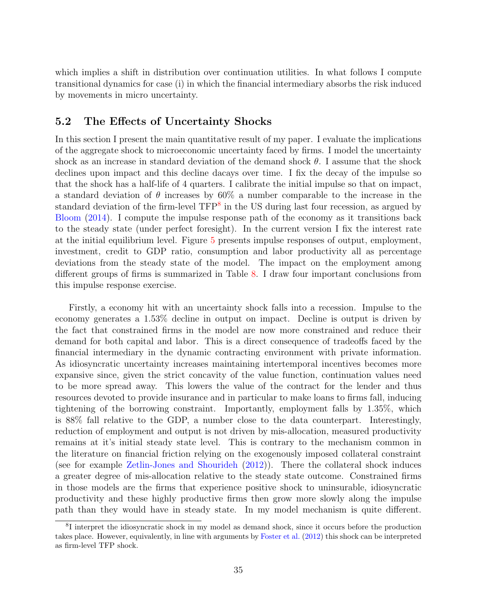which implies a shift in distribution over continuation utilities. In what follows I compute transitional dynamics for case (i) in which the financial intermediary absorbs the risk induced by movements in micro uncertainty.

# 5.2 The Effects of Uncertainty Shocks

In this section I present the main quantitative result of my paper. I evaluate the implications of the aggregate shock to microeconomic uncertainty faced by firms. I model the uncertainty shock as an increase in standard deviation of the demand shock  $\theta$ . I assume that the shock declines upon impact and this decline dacays over time. I fix the decay of the impulse so that the shock has a half-life of 4 quarters. I calibrate the initial impulse so that on impact, a standard deviation of  $\theta$  increases by 60% a number comparable to the increase in the standard deviation of the firm-level TFP<sup>[8](#page-34-0)</sup> in the US during last four recession, as argued by [Bloom](#page-58-7) [\(2014\)](#page-58-7). I compute the impulse response path of the economy as it transitions back to the steady state (under perfect foresight). In the current version I fix the interest rate at the initial equilibrium level. Figure [5](#page-36-0) presents impulse responses of output, employment, investment, credit to GDP ratio, consumption and labor productivity all as percentage deviations from the steady state of the model. The impact on the employment among different groups of firms is summarized in Table [8.](#page-37-0) I draw four important conclusions from this impulse response exercise.

Firstly, a economy hit with an uncertainty shock falls into a recession. Impulse to the economy generates a 1.53% decline in output on impact. Decline is output is driven by the fact that constrained firms in the model are now more constrained and reduce their demand for both capital and labor. This is a direct consequence of tradeoffs faced by the financial intermediary in the dynamic contracting environment with private information. As idiosyncratic uncertainty increases maintaining intertemporal incentives becomes more expansive since, given the strict concavity of the value function, continuation values need to be more spread away. This lowers the value of the contract for the lender and thus resources devoted to provide insurance and in particular to make loans to firms fall, inducing tightening of the borrowing constraint. Importantly, employment falls by 1.35%, which is 88% fall relative to the GDP, a number close to the data counterpart. Interestingly, reduction of employment and output is not driven by mis-allocation, measured productivity remains at it's initial steady state level. This is contrary to the mechanism common in the literature on financial friction relying on the exogenously imposed collateral constraint (see for example [Zetlin-Jones and Shourideh](#page-60-3) [\(2012\)](#page-60-3)). There the collateral shock induces a greater degree of mis-allocation relative to the steady state outcome. Constrained firms in those models are the firms that experience positive shock to uninsurable, idiosyncratic productivity and these highly productive firms then grow more slowly along the impulse path than they would have in steady state. In my model mechanism is quite different.

<span id="page-34-0"></span><sup>&</sup>lt;sup>8</sup>I interpret the idiosyncratic shock in my model as demand shock, since it occurs before the production takes place. However, equivalently, in line with arguments by [Foster et al.](#page-59-12) [\(2012\)](#page-59-12) this shock can be interpreted as firm-level TFP shock.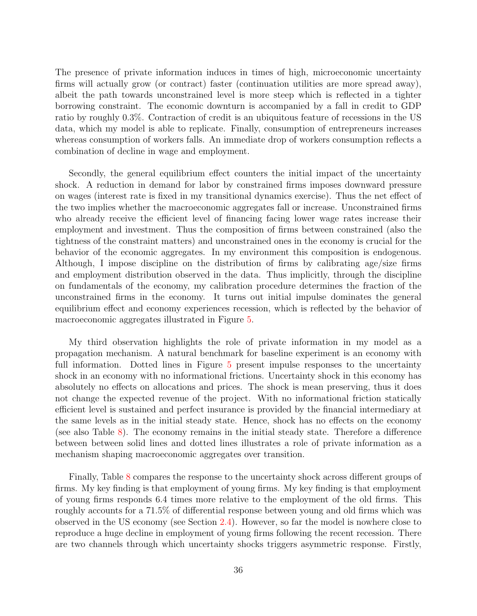The presence of private information induces in times of high, microeconomic uncertainty firms will actually grow (or contract) faster (continuation utilities are more spread away), albeit the path towards unconstrained level is more steep which is reflected in a tighter borrowing constraint. The economic downturn is accompanied by a fall in credit to GDP ratio by roughly 0.3%. Contraction of credit is an ubiquitous feature of recessions in the US data, which my model is able to replicate. Finally, consumption of entrepreneurs increases whereas consumption of workers falls. An immediate drop of workers consumption reflects a combination of decline in wage and employment.

Secondly, the general equilibrium effect counters the initial impact of the uncertainty shock. A reduction in demand for labor by constrained firms imposes downward pressure on wages (interest rate is fixed in my transitional dynamics exercise). Thus the net effect of the two implies whether the macroeconomic aggregates fall or increase. Unconstrained firms who already receive the efficient level of financing facing lower wage rates increase their employment and investment. Thus the composition of firms between constrained (also the tightness of the constraint matters) and unconstrained ones in the economy is crucial for the behavior of the economic aggregates. In my environment this composition is endogenous. Although, I impose discipline on the distribution of firms by calibrating age/size firms and employment distribution observed in the data. Thus implicitly, through the discipline on fundamentals of the economy, my calibration procedure determines the fraction of the unconstrained firms in the economy. It turns out initial impulse dominates the general equilibrium effect and economy experiences recession, which is reflected by the behavior of macroeconomic aggregates illustrated in Figure [5.](#page-36-0)

My third observation highlights the role of private information in my model as a propagation mechanism. A natural benchmark for baseline experiment is an economy with full information. Dotted lines in Figure [5](#page-36-0) present impulse responses to the uncertainty shock in an economy with no informational frictions. Uncertainty shock in this economy has absolutely no effects on allocations and prices. The shock is mean preserving, thus it does not change the expected revenue of the project. With no informational friction statically efficient level is sustained and perfect insurance is provided by the financial intermediary at the same levels as in the initial steady state. Hence, shock has no effects on the economy (see also Table [8\)](#page-37-0). The economy remains in the initial steady state. Therefore a difference between between solid lines and dotted lines illustrates a role of private information as a mechanism shaping macroeconomic aggregates over transition.

Finally, Table [8](#page-37-0) compares the response to the uncertainty shock across different groups of firms. My key finding is that employment of young firms. My key finding is that employment of young firms responds 6.4 times more relative to the employment of the old firms. This roughly accounts for a 71.5% of differential response between young and old firms which was observed in the US economy (see Section [2.4\)](#page-12-1). However, so far the model is nowhere close to reproduce a huge decline in employment of young firms following the recent recession. There are two channels through which uncertainty shocks triggers asymmetric response. Firstly,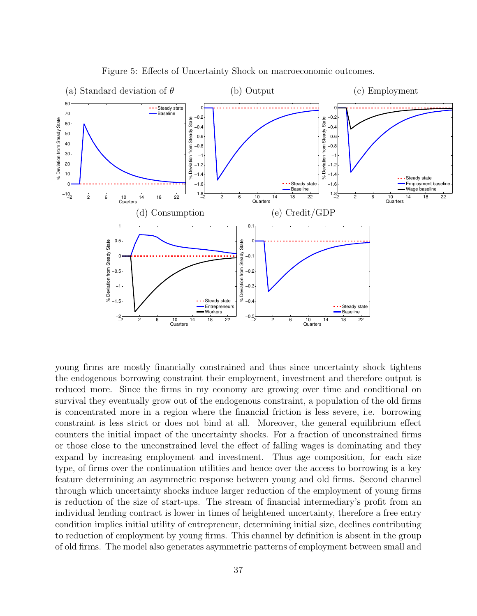<span id="page-36-0"></span>

Figure 5: Effects of Uncertainty Shock on macroeconomic outcomes.

young firms are mostly financially constrained and thus since uncertainty shock tightens the endogenous borrowing constraint their employment, investment and therefore output is reduced more. Since the firms in my economy are growing over time and conditional on survival they eventually grow out of the endogenous constraint, a population of the old firms is concentrated more in a region where the financial friction is less severe, i.e. borrowing constraint is less strict or does not bind at all. Moreover, the general equilibrium effect counters the initial impact of the uncertainty shocks. For a fraction of unconstrained firms or those close to the unconstrained level the effect of falling wages is dominating and they expand by increasing employment and investment. Thus age composition, for each size type, of firms over the continuation utilities and hence over the access to borrowing is a key feature determining an asymmetric response between young and old firms. Second channel through which uncertainty shocks induce larger reduction of the employment of young firms is reduction of the size of start-ups. The stream of financial intermediary's profit from an individual lending contract is lower in times of heightened uncertainty, therefore a free entry condition implies initial utility of entrepreneur, determining initial size, declines contributing to reduction of employment by young firms. This channel by definition is absent in the group of old firms. The model also generates asymmetric patterns of employment between small and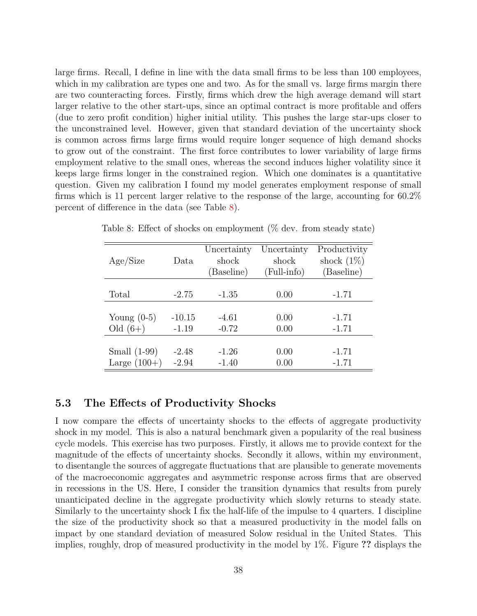large firms. Recall, I define in line with the data small firms to be less than 100 employees, which in my calibration are types one and two. As for the small vs. large firms margin there are two counteracting forces. Firstly, firms which drew the high average demand will start larger relative to the other start-ups, since an optimal contract is more profitable and offers (due to zero profit condition) higher initial utility. This pushes the large star-ups closer to the unconstrained level. However, given that standard deviation of the uncertainty shock is common across firms large firms would require longer sequence of high demand shocks to grow out of the constraint. The first force contributes to lower variability of large firms employment relative to the small ones, whereas the second induces higher volatility since it keeps large firms longer in the constrained region. Which one dominates is a quantitative question. Given my calibration I found my model generates employment response of small firms which is 11 percent larger relative to the response of the large, accounting for 60.2% percent of difference in the data (see Table [8\)](#page-37-0).

|                |          | Uncertainty | Uncertainty | Productivity  |
|----------------|----------|-------------|-------------|---------------|
| Age/Size       | Data     | shock       | shock       | shock $(1\%)$ |
|                |          | (Baseline)  | (Full-info) | (Baseline)    |
|                |          |             |             |               |
| Total          | $-2.75$  | $-1.35$     | 0.00        | $-1.71$       |
|                |          |             |             |               |
| Young $(0-5)$  | $-10.15$ | $-4.61$     | 0.00        | $-1.71$       |
| Old $(6+)$     | $-1.19$  | $-0.72$     | 0.00        | $-1.71$       |
|                |          |             |             |               |
| Small $(1-99)$ | $-2.48$  | $-1.26$     | 0.00        | $-1.71$       |
| Large $(100+)$ | $-2.94$  | $-1.40$     | 0.00        | $-1.71$       |

<span id="page-37-0"></span>Table 8: Effect of shocks on employment (% dev. from steady state)

## 5.3 The Effects of Productivity Shocks

I now compare the effects of uncertainty shocks to the effects of aggregate productivity shock in my model. This is also a natural benchmark given a popularity of the real business cycle models. This exercise has two purposes. Firstly, it allows me to provide context for the magnitude of the effects of uncertainty shocks. Secondly it allows, within my environment, to disentangle the sources of aggregate fluctuations that are plausible to generate movements of the macroeconomic aggregates and asymmetric response across firms that are observed in recessions in the US. Here, I consider the transition dynamics that results from purely unanticipated decline in the aggregate productivity which slowly returns to steady state. Similarly to the uncertainty shock I fix the half-life of the impulse to 4 quarters. I discipline the size of the productivity shock so that a measured productivity in the model falls on impact by one standard deviation of measured Solow residual in the United States. This implies, roughly, drop of measured productivity in the model by 1%. Figure ?? displays the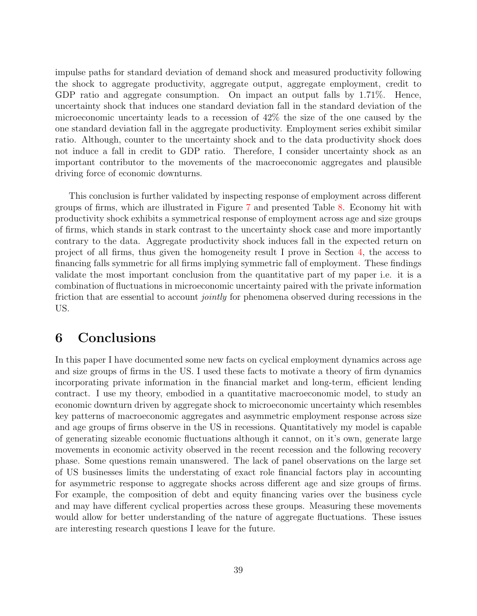impulse paths for standard deviation of demand shock and measured productivity following the shock to aggregate productivity, aggregate output, aggregate employment, credit to GDP ratio and aggregate consumption. On impact an output falls by 1.71%. Hence, uncertainty shock that induces one standard deviation fall in the standard deviation of the microeconomic uncertainty leads to a recession of 42% the size of the one caused by the one standard deviation fall in the aggregate productivity. Employment series exhibit similar ratio. Although, counter to the uncertainty shock and to the data productivity shock does not induce a fall in credit to GDP ratio. Therefore, I consider uncertainty shock as an important contributor to the movements of the macroeconomic aggregates and plausible driving force of economic downturns.

This conclusion is further validated by inspecting response of employment across different groups of firms, which are illustrated in Figure 7 and presented Table [8.](#page-37-0) Economy hit with productivity shock exhibits a symmetrical response of employment across age and size groups of firms, which stands in stark contrast to the uncertainty shock case and more importantly contrary to the data. Aggregate productivity shock induces fall in the expected return on project of all firms, thus given the homogeneity result I prove in Section [4,](#page-22-0) the access to financing falls symmetric for all firms implying symmetric fall of employment. These findings validate the most important conclusion from the quantitative part of my paper i.e. it is a combination of fluctuations in microeconomic uncertainty paired with the private information friction that are essential to account jointly for phenomena observed during recessions in the US.

# 6 Conclusions

In this paper I have documented some new facts on cyclical employment dynamics across age and size groups of firms in the US. I used these facts to motivate a theory of firm dynamics incorporating private information in the financial market and long-term, efficient lending contract. I use my theory, embodied in a quantitative macroeconomic model, to study an economic downturn driven by aggregate shock to microeconomic uncertainty which resembles key patterns of macroeconomic aggregates and asymmetric employment response across size and age groups of firms observe in the US in recessions. Quantitatively my model is capable of generating sizeable economic fluctuations although it cannot, on it's own, generate large movements in economic activity observed in the recent recession and the following recovery phase. Some questions remain unanswered. The lack of panel observations on the large set of US businesses limits the understating of exact role financial factors play in accounting for asymmetric response to aggregate shocks across different age and size groups of firms. For example, the composition of debt and equity financing varies over the business cycle and may have different cyclical properties across these groups. Measuring these movements would allow for better understanding of the nature of aggregate fluctuations. These issues are interesting research questions I leave for the future.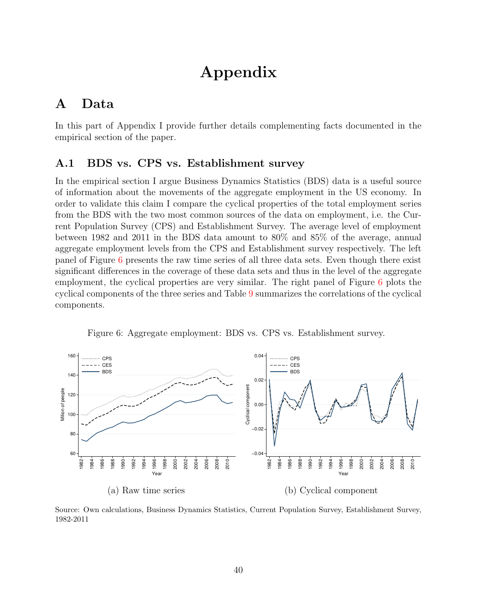# Appendix

# A Data

In this part of Appendix I provide further details complementing facts documented in the empirical section of the paper.

# <span id="page-39-0"></span>A.1 BDS vs. CPS vs. Establishment survey

In the empirical section I argue Business Dynamics Statistics (BDS) data is a useful source of information about the movements of the aggregate employment in the US economy. In order to validate this claim I compare the cyclical properties of the total employment series from the BDS with the two most common sources of the data on employment, i.e. the Current Population Survey (CPS) and Establishment Survey. The average level of employment between 1982 and 2011 in the BDS data amount to 80% and 85% of the average, annual aggregate employment levels from the CPS and Establishment survey respectively. The left panel of Figure [6](#page-39-1) presents the raw time series of all three data sets. Even though there exist significant differences in the coverage of these data sets and thus in the level of the aggregate employment, the cyclical properties are very similar. The right panel of Figure [6](#page-39-1) plots the cyclical components of the three series and Table [9](#page-40-2) summarizes the correlations of the cyclical components.

<span id="page-39-1"></span>

Figure 6: Aggregate employment: BDS vs. CPS vs. Establishment survey.

Source: Own calculations, Business Dynamics Statistics, Current Population Survey, Establishment Survey, 1982-2011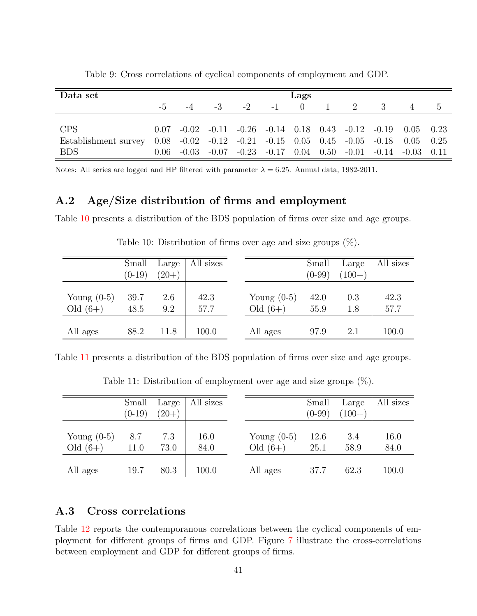<span id="page-40-2"></span>

| Data set             |           |      |                                                                                     |               | Lags |                |     |                |  |
|----------------------|-----------|------|-------------------------------------------------------------------------------------|---------------|------|----------------|-----|----------------|--|
|                      | $-5$ $-5$ | $-4$ |                                                                                     | $-2$ $-1$ 0 1 |      | 2 <sup>1</sup> | -3- | $\overline{4}$ |  |
|                      |           |      |                                                                                     |               |      |                |     |                |  |
| <b>CPS</b>           |           |      | $0.07$ $-0.02$ $-0.11$ $-0.26$ $-0.14$ $0.18$ $0.43$ $-0.12$ $-0.19$ $0.05$ $0.23$  |               |      |                |     |                |  |
| Establishment survey |           |      | $0.08$ $-0.02$ $-0.12$ $-0.21$ $-0.15$ $0.05$ $0.45$ $-0.05$ $-0.18$ $0.05$ $0.25$  |               |      |                |     |                |  |
| <b>BDS</b>           |           |      | $0.06$ $-0.03$ $-0.07$ $-0.23$ $-0.17$ $0.04$ $0.50$ $-0.01$ $-0.14$ $-0.03$ $0.11$ |               |      |                |     |                |  |

Table 9: Cross correlations of cyclical components of employment and GDP.

Notes: All series are logged and HP filtered with parameter  $\lambda = 6.25$ . Annual data, 1982-2011.

# <span id="page-40-0"></span>A.2 Age/Size distribution of firms and employment

<span id="page-40-3"></span>Table [10](#page-40-3) presents a distribution of the BDS population of firms over size and age groups.

|               | Small    | Large   | All sizes |               | Small    | Large    | All sizes |
|---------------|----------|---------|-----------|---------------|----------|----------|-----------|
|               | $(0-19)$ | $(20+)$ |           |               | $(0-99)$ | $(100+)$ |           |
| Young $(0-5)$ | 39.7     | 2.6     | 42.3      | Young $(0-5)$ | 42.0     | 0.3      | 42.3      |
| Old $(6+)$    | 48.5     | 9.2     | 57.7      | Old $(6+)$    | 55.9     | $1.8\,$  | 57.7      |
|               |          |         |           |               |          |          |           |
| All ages      | 88.2     | 11.8    | 100.0     | All ages      | 97.9     | 2.1      | 100.0     |

Table 10: Distribution of firms over age and size groups (%).

<span id="page-40-4"></span>Table [11](#page-40-4) presents a distribution of the BDS population of firms over size and age groups.

|                             | Small<br>$(0-19)$ | Large<br>$(20+)$ | All sizes    |                             | Small<br>$(0-99)$ | Large<br>$(100+)$ | All sizes    |
|-----------------------------|-------------------|------------------|--------------|-----------------------------|-------------------|-------------------|--------------|
| Young $(0-5)$<br>Old $(6+)$ | 8.7<br>11.0       | 7.3<br>73.0      | 16.0<br>84.0 | Young $(0-5)$<br>Old $(6+)$ | 12.6<br>25.1      | 3.4<br>58.9       | 16.0<br>84.0 |
| All ages                    | 19.7              | 80.3             | 100.0        | All ages                    | 37.7              | 62.3              | 100.0        |

Table 11: Distribution of employment over age and size groups (%).

# <span id="page-40-1"></span>A.3 Cross correlations

Table [12](#page-41-0) reports the contemporanous correlations between the cyclical components of employment for different groups of firms and GDP. Figure [7](#page-41-1) illustrate the cross-correlations between employment and GDP for different groups of firms.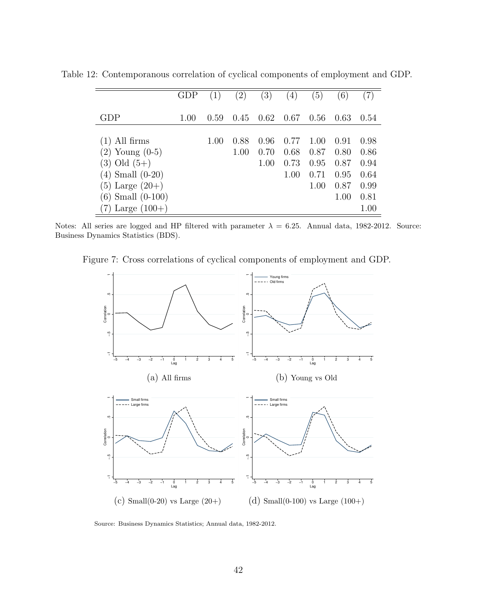|                       | $\operatorname{GDP}$ |      | $\left( 2\right)$ | (3)  | (4)  | $\left(5\right)$ | (6)  |      |
|-----------------------|----------------------|------|-------------------|------|------|------------------|------|------|
|                       |                      |      |                   |      |      |                  |      |      |
| GDP                   | 1.00                 | 0.59 | 0.45              | 0.62 | 0.67 | 0.56             | 0.63 | 0.54 |
|                       |                      |      |                   |      |      |                  |      |      |
| $(1)$ All firms       |                      | 1.00 | 0.88              | 0.96 | 0.77 | 1.00             | 0.91 | 0.98 |
| $(2)$ Young $(0-5)$   |                      |      | 1.00              | 0.70 | 0.68 | 0.87             | 0.80 | 0.86 |
| $(3)$ Old $(5+)$      |                      |      |                   | 1.00 | 0.73 | 0.95             | 0.87 | 0.94 |
| $(4)$ Small $(0-20)$  |                      |      |                   |      | 1.00 | 0.71             | 0.95 | 0.64 |
| $(5)$ Large $(20+)$   |                      |      |                   |      |      | 1.00             | 0.87 | 0.99 |
| $(6)$ Small $(0-100)$ |                      |      |                   |      |      |                  | 1.00 | 0.81 |
| Large $(100+)$        |                      |      |                   |      |      |                  |      | 1.00 |

<span id="page-41-0"></span>Table 12: Contemporanous correlation of cyclical components of employment and GDP.

<span id="page-41-1"></span>Notes: All series are logged and HP filtered with parameter  $\lambda = 6.25$ . Annual data, 1982-2012. Source: Business Dynamics Statistics (BDS).

Figure 7: Cross correlations of cyclical components of employment and GDP.



Source: Business Dynamics Statistics; Annual data, 1982-2012.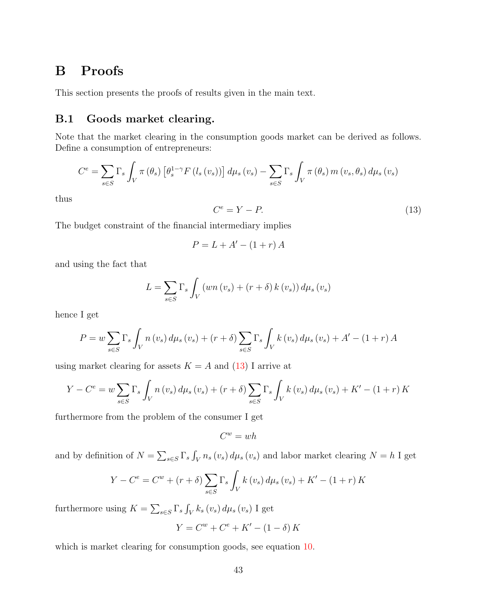# <span id="page-42-1"></span>B Proofs

This section presents the proofs of results given in the main text.

# <span id="page-42-0"></span>B.1 Goods market clearing.

Note that the market clearing in the consumption goods market can be derived as follows. Define a consumption of entrepreneurs:

$$
C^{e} = \sum_{s \in S} \Gamma_{s} \int_{V} \pi(\theta_{s}) \left[ \theta_{s}^{1-\gamma} F(l_{s}(v_{s})) \right] d\mu_{s}(v_{s}) - \sum_{s \in S} \Gamma_{s} \int_{V} \pi(\theta_{s}) m(v_{s}, \theta_{s}) d\mu_{s}(v_{s})
$$

thus

<span id="page-42-2"></span>
$$
C^e = Y - P.\t\t(13)
$$

The budget constraint of the financial intermediary implies

$$
P = L + A' - (1 + r) A
$$

and using the fact that

$$
L = \sum_{s \in S} \Gamma_s \int_V \left( w n(v_s) + (r + \delta) k(v_s) \right) d\mu_s(v_s)
$$

hence I get

$$
P = w \sum_{s \in S} \Gamma_s \int_V n(v_s) d\mu_s(v_s) + (r + \delta) \sum_{s \in S} \Gamma_s \int_V k(v_s) d\mu_s(v_s) + A' - (1 + r) A
$$

using market clearing for assets  $K = A$  and  $(13)$  I arrive at

$$
Y - C^{e} = w \sum_{s \in S} \Gamma_{s} \int_{V} n(v_{s}) d\mu_{s}(v_{s}) + (r + \delta) \sum_{s \in S} \Gamma_{s} \int_{V} k(v_{s}) d\mu_{s}(v_{s}) + K' - (1 + r) K
$$

furthermore from the problem of the consumer I get

$$
C^w = wh
$$

and by definition of  $N = \sum_{s \in S} \Gamma_s \int_V n_s(v_s) d\mu_s(v_s)$  and labor market clearing  $N = h$  I get

$$
Y - C^{e} = C^{w} + (r + \delta) \sum_{s \in S} \Gamma_{s} \int_{V} k(v_{s}) d\mu_{s}(v_{s}) + K' - (1 + r) K
$$

furthermore using  $K = \sum_{s \in S} \Gamma_s \int_V k_s(v_s) d\mu_s(v_s)$  I get

$$
Y = C^{w} + C^{e} + K' - (1 - \delta) K
$$

which is market clearing for consumption goods, see equation [10.](#page-21-0)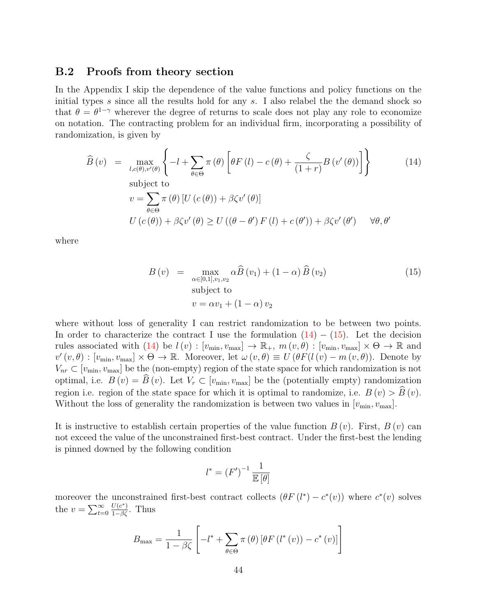### <span id="page-43-0"></span>B.2 Proofs from theory section

In the Appendix I skip the dependence of the value functions and policy functions on the initial types  $s$  since all the results hold for any  $s$ . I also relabel the the demand shock so that  $\theta = \theta^{1-\gamma}$  wherever the degree of returns to scale does not play any role to economize on notation. The contracting problem for an individual firm, incorporating a possibility of randomization, is given by

<span id="page-43-1"></span>
$$
\widehat{B}(v) = \max_{l,c(\theta),v'(\theta)} \left\{ -l + \sum_{\theta \in \Theta} \pi(\theta) \left[ \theta F(l) - c(\theta) + \frac{\zeta}{(1+r)} B(v'(\theta)) \right] \right\}
$$
(14)  
subject to  

$$
v = \sum_{\theta \in \Theta} \pi(\theta) \left[ U(c(\theta)) + \beta \zeta v'(\theta) \right]
$$

$$
U(c(\theta)) + \beta \zeta v'(\theta) \ge U((\theta - \theta') F(l) + c(\theta')) + \beta \zeta v'(\theta') \quad \forall \theta, \theta'
$$

where

<span id="page-43-2"></span>
$$
B(v) = \max_{\alpha \in [0,1], v_1, v_2} \alpha \widehat{B}(v_1) + (1 - \alpha) \widehat{B}(v_2)
$$
  
subject to  

$$
v = \alpha v_1 + (1 - \alpha) v_2
$$
 (15)

where without loss of generality I can restrict randomization to be between two points. In order to characterize the contract I use the formulation  $(14) - (15)$  $(14) - (15)$ . Let the decision rules associated with  $(14)$  be  $l(v) : [v_{min}, v_{max}] \to \mathbb{R}_+$ ,  $m(v, \theta) : [v_{min}, v_{max}] \times \Theta \to \mathbb{R}$  and  $v'(v,\theta) : [v_{\min}, v_{\max}] \times \Theta \to \mathbb{R}$ . Moreover, let  $\omega(v,\theta) \equiv U(\theta F(l(v) - m(v,\theta))$ . Denote by  $V_{nr} \subset [v_{min}, v_{max}]$  be the (non-empty) region of the state space for which randomization is not optimal, i.e.  $B(v) = \widehat{B}(v)$ . Let  $V_r \subset [v_{\min}, v_{\max}]$  be the (potentially empty) randomization region i.e. region of the state space for which it is optimal to randomize, i.e.  $B(v) > \hat{B}(v)$ . Without the loss of generality the randomization is between two values in  $[v_{\text{min}}, v_{\text{max}}]$ .

It is instructive to establish certain properties of the value function  $B(v)$ . First,  $B(v)$  can not exceed the value of the unconstrained first-best contract. Under the first-best the lending is pinned downed by the following condition

$$
l^* = \left(F'\right)^{-1} \frac{1}{\mathbb{E}\left[\theta\right]}
$$

moreover the unconstrained first-best contract collects  $(\theta F(l^*) - c^*(v))$  where  $c^*(v)$  solves the  $v = \sum_{t=0}^{\infty}$  $\frac{U(c^*)}{1-\beta\zeta}$ . Thus

$$
B_{\max} = \frac{1}{1 - \beta \zeta} \left[ -l^* + \sum_{\theta \in \Theta} \pi(\theta) \left[ \theta F(l^*(v)) - c^*(v) \right] \right]
$$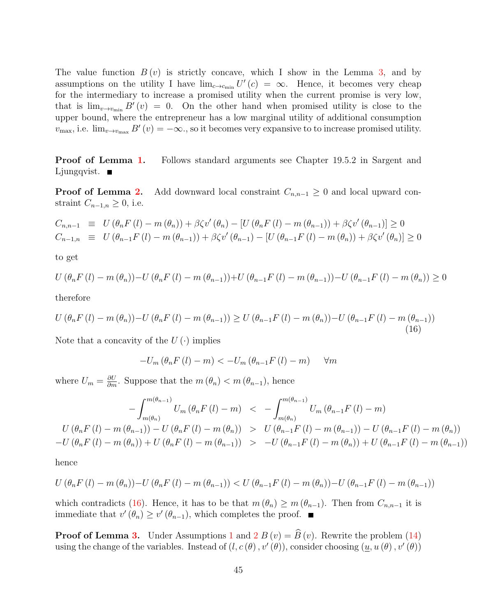The value function  $B(v)$  is strictly concave, which I show in the Lemma [3,](#page-22-1) and by assumptions on the utility I have  $\lim_{c \to c_{\text{min}}} U'(c) = \infty$ . Hence, it becomes very cheap for the intermediary to increase a promised utility when the current promise is very low, that is  $\lim_{v\to v_{\text{min}}} B'(v) = 0$ . On the other hand when promised utility is close to the upper bound, where the entrepreneur has a low marginal utility of additional consumption  $v_{\text{max}}$ , i.e.  $\lim_{v\to v_{\text{max}}} B'(v) = -\infty$ ., so it becomes very expansive to to increase promised utility.

**Proof of Lemma [1.](#page-22-2)** Follows standard arguments see Chapter 19.5.2 in Sargent and Ljungqvist.  $\blacksquare$ 

**Proof of Lemma [2.](#page-22-3)** Add downward local constraint  $C_{n,n-1} \geq 0$  and local upward constraint  $C_{n-1,n} \geq 0$ , i.e.

$$
C_{n,n-1} \equiv U(\theta_n F(l) - m(\theta_n)) + \beta \zeta v'(\theta_n) - [U(\theta_n F(l) - m(\theta_{n-1})) + \beta \zeta v'(\theta_{n-1})] \ge 0
$$
  
\n
$$
C_{n-1,n} \equiv U(\theta_{n-1} F(l) - m(\theta_{n-1})) + \beta \zeta v'(\theta_{n-1}) - [U(\theta_{n-1} F(l) - m(\theta_n)) + \beta \zeta v'(\theta_n)] \ge 0
$$

to get

$$
U(\theta_n F(l) - m(\theta_n)) - U(\theta_n F(l) - m(\theta_{n-1})) + U(\theta_{n-1} F(l) - m(\theta_{n-1})) - U(\theta_{n-1} F(l) - m(\theta_n)) \ge 0
$$

therefore

<span id="page-44-0"></span>
$$
U(\theta_n F(l) - m(\theta_n)) - U(\theta_n F(l) - m(\theta_{n-1})) \ge U(\theta_{n-1} F(l) - m(\theta_n)) - U(\theta_{n-1} F(l) - m(\theta_{n-1}))
$$
\n(16)

Note that a concavity of the  $U(\cdot)$  implies

$$
-U_m(\theta_n F(l) - m) < -U_m(\theta_{n-1} F(l) - m) \quad \forall m
$$

where  $U_m = \frac{\partial U}{\partial m}$ . Suppose that the  $m(\theta_n) < m(\theta_{n-1})$ , hence

$$
- \int_{m(\theta_{n})}^{m(\theta_{n-1})} U_m(\theta_n F(l) - m) < - \int_{m(\theta_n)}^{m(\theta_{n-1})} U_m(\theta_{n-1} F(l) - m)
$$
\n
$$
U(\theta_n F(l) - m(\theta_{n-1})) - U(\theta_n F(l) - m(\theta_n)) > U(\theta_{n-1} F(l) - m(\theta_{n-1})) - U(\theta_{n-1} F(l) - m(\theta_n))
$$
\n
$$
-U(\theta_n F(l) - m(\theta_n)) + U(\theta_n F(l) - m(\theta_{n-1})) > -U(\theta_{n-1} F(l) - m(\theta_n)) + U(\theta_{n-1} F(l) - m(\theta_{n-1}))
$$

hence

$$
U(\theta_{n} F(l) - m(\theta_{n})) - U(\theta_{n} F(l) - m(\theta_{n-1})) < U(\theta_{n-1} F(l) - m(\theta_{n})) - U(\theta_{n-1} F(l) - m(\theta_{n-1}))
$$

which contradicts [\(16\)](#page-44-0). Hence, it has to be that  $m(\theta_n) \geq m(\theta_{n-1})$ . Then from  $C_{n,n-1}$  it is immediate that  $v'(\theta_n) \geq v'(\theta_{n-1})$ , which completes the proof.

**Proof of Lemma [3.](#page-22-1)** Under Assumptions [1](#page-16-0) and [2](#page-18-0)  $B(v) = \widehat{B}(v)$ . Rewrite the problem [\(14\)](#page-43-1) using the change of the variables. Instead of  $(l, c(\theta), v'(\theta))$ , consider choosing  $(\underline{u}, u(\theta), v'(\theta))$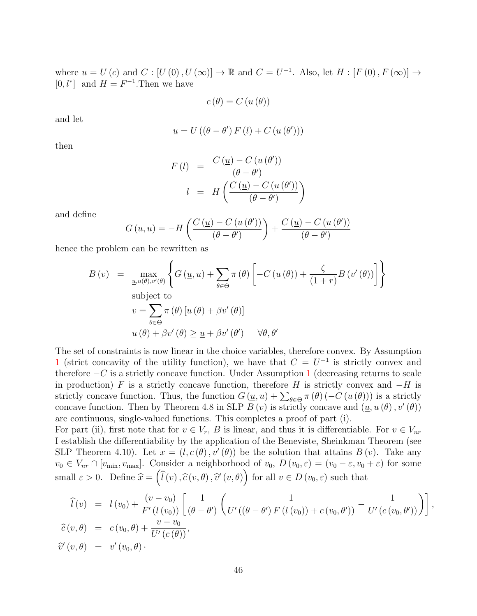where  $u = U(c)$  and  $C : [U(0), U(\infty)] \to \mathbb{R}$  and  $C = U^{-1}$ . Also, let  $H : [F(0), F(\infty)] \to$ [0,  $l^*$ ] and  $H = F^{-1}$ . Then we have

$$
c(\theta) = C(u(\theta))
$$

and let

$$
\underline{u} = U((\theta - \theta') F(l) + C(u(\theta')))
$$

then

$$
F(l) = \frac{C(\underline{u}) - C(u(\theta'))}{(\theta - \theta')}
$$

$$
l = H\left(\frac{C(\underline{u}) - C(u(\theta'))}{(\theta - \theta')}\right)
$$

and define

$$
G(\underline{u}, u) = -H\left(\frac{C(\underline{u}) - C(u(\theta'))}{(\theta - \theta')}\right) + \frac{C(\underline{u}) - C(u(\theta'))}{(\theta - \theta')}
$$

hence the problem can be rewritten as

$$
B(v) = \max_{\underline{u}, u(\theta), v'(\theta)} \left\{ G(\underline{u}, u) + \sum_{\theta \in \Theta} \pi(\theta) \left[ -C(u(\theta)) + \frac{\zeta}{(1+r)} B(v'(\theta)) \right] \right\}
$$
  
subject to  

$$
v = \sum_{\theta \in \Theta} \pi(\theta) [u(\theta) + \beta v'(\theta)]
$$

$$
u(\theta) + \beta v'(\theta) \ge \underline{u} + \beta v'(\theta') \quad \forall \theta, \theta'
$$

The set of constraints is now linear in the choice variables, therefore convex. By Assumption [1](#page-16-0) (strict concavity of the utility function), we have that  $C = U^{-1}$  is strictly convex and therefore  $-C$  is a strictly concave function. Under Assumption [1](#page-16-0) (decreasing returns to scale in production) F is a strictly concave function, therefore H is strictly convex and  $-H$  is strictly concave function. Thus, the function  $G(\underline{u},u) + \sum_{\theta \in \Theta} \pi(\theta) (-C(u(\theta)))$  is a strictly concave function. Then by Theorem 4.8 in SLP  $B(v)$  is strictly concave and  $(\underline{u}, u(\theta), v'(\theta))$ are continuous, single-valued functions. This completes a proof of part (i).

For part (ii), first note that for  $v \in V_r$ , B is linear, and thus it is differentiable. For  $v \in V_{nr}$ I establish the differentiability by the application of the Beneviste, Sheinkman Theorem (see SLP Theorem 4.10). Let  $x = (l, c(\theta), v'(\theta))$  be the solution that attains  $B(v)$ . Take any  $v_0 \in V_{nr} \cap [v_{\min}, v_{\max}]$ . Consider a neighborhood of  $v_0$ ,  $D(v_0, \varepsilon) = (v_0 - \varepsilon, v_0 + \varepsilon)$  for some small  $\varepsilon > 0$ . Define  $\hat{x} = (\hat{l}(v), \hat{c}(v, \theta), \hat{v}'(v, \theta))$  for all  $v \in D(v_0, \varepsilon)$  such that

$$
\begin{array}{rcl}\n\widehat{l}(v) & = & l(v_0) + \frac{(v - v_0)}{F'(l(v_0))} \left[ \frac{1}{(\theta - \theta')} \left( \frac{1}{U'((\theta - \theta') \ F(l(v_0)) + c(v_0, \theta'))} - \frac{1}{U'(c(v_0, \theta'))} \right) \right], \\
\widehat{c}(v, \theta) & = & c(v_0, \theta) + \frac{v - v_0}{U'(c(\theta))}, \\
\widehat{v}'(v, \theta) & = & v'(v_0, \theta).\n\end{array}
$$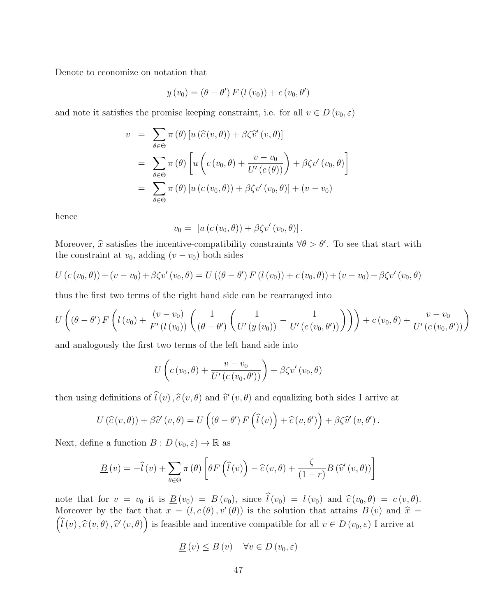Denote to economize on notation that

$$
y(v_0) = (\theta - \theta') F(l(v_0)) + c(v_0, \theta')
$$

and note it satisfies the promise keeping constraint, i.e. for all  $v \in D(v_0, \varepsilon)$ 

$$
v = \sum_{\theta \in \Theta} \pi(\theta) [u(\widehat{c}(v,\theta)) + \beta \zeta \widehat{v}'(v,\theta)]
$$
  
= 
$$
\sum_{\theta \in \Theta} \pi(\theta) [u(c(v_0,\theta) + \frac{v - v_0}{U'(c(\theta))}) + \beta \zeta v'(v_0,\theta)]
$$
  
= 
$$
\sum_{\theta \in \Theta} \pi(\theta) [u(c(v_0,\theta)) + \beta \zeta v'(v_0,\theta)] + (v - v_0)
$$

hence

$$
v_0 = [u (c (v_0, \theta)) + \beta \zeta v' (v_0, \theta)].
$$

Moreover,  $\hat{x}$  satisfies the incentive-compatibility constraints  $\forall \theta > \theta'$ . To see that start with the constraint at  $v_{\text{tot}}$  adding  $(v_{\text{tot}} - v_{\text{tot}})$  both sides the constraint at  $v_0$ , adding  $(v - v_0)$  both sides

$$
U(c(v_0, \theta)) + (v - v_0) + \beta \zeta v'(v_0, \theta) = U((\theta - \theta') F(l(v_0)) + c(v_0, \theta)) + (v - v_0) + \beta \zeta v'(v_0, \theta)
$$

thus the first two terms of the right hand side can be rearranged into

$$
U\left((\theta-\theta')\,F\left(l\left(v_0\right)+\frac{\left(v-v_0\right)}{F'\left(l\left(v_0\right)\right)}\left(\frac{1}{\left(\theta-\theta'\right)}\left(\frac{1}{U'\left(y\left(v_0\right)\right)}-\frac{1}{U'\left(c\left(v_0,\theta'\right)\right)}\right)\right)\right)+c\left(v_0,\theta\right)+\frac{v-v_0}{U'\left(c\left(v_0,\theta'\right)\right)}\right)
$$

and analogously the first two terms of the left hand side into

$$
U\left(c\left(v_0,\theta\right)+\frac{v-v_0}{U'\left(c\left(v_0,\theta'\right)\right)}\right)+\beta\zeta v'\left(v_0,\theta\right)
$$

then using definitions of  $\hat{l}(v), \hat{c}(v, \theta)$  and  $\hat{v}'(v, \theta)$  and equalizing both sides I arrive at

$$
U(\widehat{c}(v,\theta)) + \beta \widehat{v}'(v,\theta) = U((\theta - \theta')F(\widehat{l}(v)) + \widehat{c}(v,\theta')) + \beta \zeta \widehat{v}'(v,\theta').
$$

Next, define a function  $\underline{B}: D(v_0, \varepsilon) \to \mathbb{R}$  as

$$
\underline{B}(v) = -\widehat{l}(v) + \sum_{\theta \in \Theta} \pi(\theta) \left[ \theta F\left(\widehat{l}(v)\right) - \widehat{c}(v,\theta) + \frac{\zeta}{(1+r)} B\left(\widehat{v}'(v,\theta)\right) \right]
$$

note that for  $v = v_0$  it is  $\underline{B}(v_0) = B(v_0)$ , since  $\hat{l}(v_0) = l(v_0)$  and  $\hat{c}(v_0, \theta) = c(v, \theta)$ . Moreover by the fact that  $x = (l, c(\theta), v'(\theta))$  is the solution that attains  $B(v)$  and  $\hat{x} = (\hat{i}, \hat{c}, \hat{c}, \hat{c}, \hat{c})$  $(\widehat{l}(v), \widehat{c}(v, \theta), \widehat{v}'(v, \theta))$  is feasible and incentive compatible for all  $v \in D(v_0, \varepsilon)$  I arrive at

$$
\underline{B}(v) \le B(v) \quad \forall v \in D(v_0, \varepsilon)
$$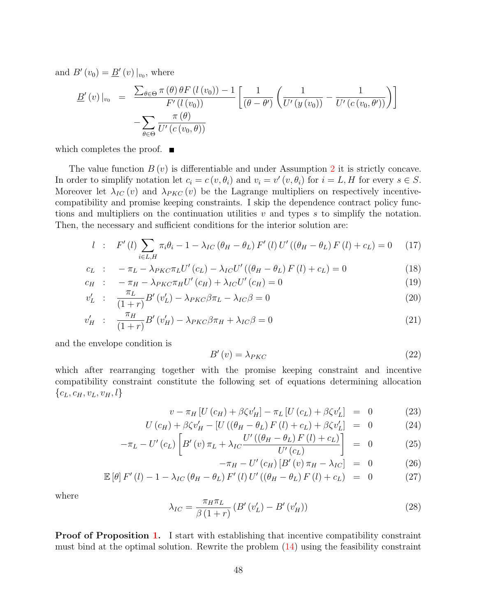and  $B'(v_0) = \underline{B}'(v)|_{v_0}$ , where

$$
\underline{B}'(v)|_{v_0} = \frac{\sum_{\theta \in \Theta} \pi(\theta) \theta F(l(v_0)) - 1}{F'(l(v_0))} \left[ \frac{1}{(\theta - \theta')} \left( \frac{1}{U'(y(v_0))} - \frac{1}{U'(c(v_0, \theta'))} \right) \right]
$$

$$
-\sum_{\theta \in \Theta} \frac{\pi(\theta)}{U'(c(v_0, \theta))}
$$

which completes the proof.  $\blacksquare$ 

The value function  $B(v)$  is differentiable and under Assumption [2](#page-18-0) it is strictly concave. In order to simplify notation let  $c_i = c(v, \theta_i)$  and  $v_i = v'(v, \theta_i)$  for  $i = L, H$  for every  $s \in S$ . Moreover let  $\lambda_{IC}(v)$  and  $\lambda_{PKC}(v)$  be the Lagrange multipliers on respectively incentivecompatibility and promise keeping constraints. I skip the dependence contract policy functions and multipliers on the continuation utilities  $v$  and types  $s$  to simplify the notation. Then, the necessary and sufficient conditions for the interior solution are:

<span id="page-47-1"></span>
$$
l : F'(l) \sum_{i \in L, H} \pi_i \theta_i - 1 - \lambda_{IC} (\theta_H - \theta_L) F'(l) U' ((\theta_H - \theta_L) F(l) + c_L) = 0 \quad (17)
$$

$$
c_L : -\pi_L - \lambda_{PKC}\pi_L U'(c_L) - \lambda_{IC} U'((\theta_H - \theta_L) F(l) + c_L) = 0
$$
\n(18)

$$
c_H : -\pi_H - \lambda_{PKC}\pi_H U'(c_H) + \lambda_{IC} U'(c_H) = 0
$$
\n
$$
c_H : \pi_L - \mathcal{P}'(c_H) \longrightarrow \mathcal{P}'(c_H) \longrightarrow 0
$$
\n
$$
(19)
$$

$$
v'_{L} : \frac{\pi_L}{(1+r)} B'(v'_{L}) - \lambda_{PKC} \beta \pi_L - \lambda_{IC} \beta = 0
$$
\n(20)

$$
v_H' \quad : \quad \frac{\pi_H}{(1+r)} B'(v_H') - \lambda_{PKC} \beta \pi_H + \lambda_{IC} \beta = 0 \tag{21}
$$

and the envelope condition is

<span id="page-47-2"></span>
$$
B'(v) = \lambda_{PKC} \tag{22}
$$

which after rearranging together with the promise keeping constraint and incentive compatibility constraint constitute the following set of equations determining allocation  ${c_L, c_H, v_L, v_H, l}$ 

<span id="page-47-0"></span>
$$
v - \pi_H \left[ U \left( c_H \right) + \beta \zeta v_H' \right] - \pi_L \left[ U \left( c_L \right) + \beta \zeta v_L' \right] = 0 \tag{23}
$$

$$
U\left(c_H\right) + \beta\zeta v_H' - \left[U\left(\left(\theta_H - \theta_L\right)F\left(l\right) + c_L\right) + \beta\zeta v_L'\right] = 0 \tag{24}
$$

$$
-\pi_L - U'(c_L) \left[ B'(v) \pi_L + \lambda_{IC} \frac{U'((\theta_H - \theta_L) F(l) + c_L)}{U'(c_L)} \right] = 0 \tag{25}
$$

$$
-\pi_H - U'(c_H) \left[ B'(v) \pi_H - \lambda_{IC} \right] = 0 \tag{26}
$$

$$
\mathbb{E}\left[\theta\right]F'(l) - 1 - \lambda_{IC}\left(\theta_H - \theta_L\right)F'(l)U'\left((\theta_H - \theta_L)F(l) + c_L\right) = 0 \tag{27}
$$

where

$$
\lambda_{IC} = \frac{\pi_H \pi_L}{\beta (1+r)} \left( B'(v'_L) - B'(v'_H) \right) \tag{28}
$$

Proof of Proposition [1.](#page-23-0) I start with establishing that incentive compatibility constraint must bind at the optimal solution. Rewrite the problem [\(14\)](#page-43-1) using the feasibility constraint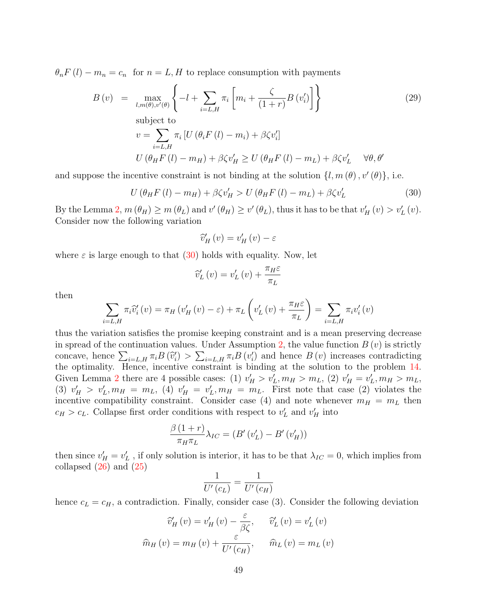$\theta_n F(l) - m_n = c_n$  for  $n = L, H$  to replace consumption with payments

$$
B(v) = \max_{l,m(\theta),v'(\theta)} \left\{ -l + \sum_{i=L,H} \pi_i \left[ m_i + \frac{\zeta}{(1+r)} B(v'_i) \right] \right\}
$$
(29)  
subject to  

$$
v = \sum_{i=L,H} \pi_i \left[ U(\theta_i F(l) - m_i) + \beta \zeta v'_i \right]
$$

$$
U(\theta_H F(l) - m_H) + \beta \zeta v'_H \ge U(\theta_H F(l) - m_L) + \beta \zeta v'_L \quad \forall \theta, \theta'
$$

and suppose the incentive constraint is not binding at the solution  $\{l, m(\theta), v'(\theta)\}\)$ , i.e.

<span id="page-48-0"></span>
$$
U\left(\theta_{H}F\left(l\right)-m_{H}\right)+\beta\zeta v'_{H} > U\left(\theta_{H}F\left(l\right)-m_{L}\right)+\beta\zeta v'_{L} \tag{30}
$$

By the Lemma [2,](#page-22-3)  $m(\theta_H) \ge m(\theta_L)$  and  $v'(\theta_H) \ge v'(\theta_L)$ , thus it has to be that  $v'_H(v) > v'_L(v)$ . Consider now the following variation

$$
\widehat{v}'_H(v) = v'_H(v) - \varepsilon
$$

where  $\varepsilon$  is large enough to that [\(30\)](#page-48-0) holds with equality. Now, let

$$
\widehat{v}'_L(v) = v'_L(v) + \frac{\pi_H \varepsilon}{\pi_L}
$$

then

$$
\sum_{i=L,H} \pi_i \hat{v}'_i(v) = \pi_H \left( v'_H(v) - \varepsilon \right) + \pi_L \left( v'_L(v) + \frac{\pi_H \varepsilon}{\pi_L} \right) = \sum_{i=L,H} \pi_i v'_i(v)
$$

thus the variation satisfies the promise keeping constraint and is a mean preserving decrease in spread of the continuation values. Under Assumption [2,](#page-18-0) the value function  $B(v)$  is strictly concave, hence  $\sum_{i=L,H} \pi_i B(\hat{v}_i') > \sum_{i=L,H} \pi_i B(v_i')$  and hence  $B(v)$  increases contradicting<br>the optimality. Hence, incentive constraint is binding at the solution to the problem 14 the optimality. Hence, incentive constraint is binding at the solution to the problem [14.](#page-43-1) Given Lemma [2](#page-22-3) there are 4 possible cases: (1)  $v'_H > v'_L, m_H > m_L$ , (2)  $v'_H = v'_L, m_H > m_L$ , (3)  $v'_H > v'_L, m_H = m_L$ , (4)  $v'_H = v'_L, m_H = m_L$ . First note that case (2) violates the incentive compatibility constraint. Consider case (4) and note whenever  $m_H = m_L$  then  $c_H > c_L$ . Collapse first order conditions with respect to  $v'_L$  and  $v'_H$  into

$$
\frac{\beta(1+r)}{\pi_H \pi_L} \lambda_{IC} = (B'(v'_L) - B'(v'_H))
$$

then since  $v'_H = v'_L$ , if only solution is interior, it has to be that  $\lambda_{IC} = 0$ , which implies from collapsed  $(26)$  and  $(25)$ 

$$
\frac{1}{U'(c_L)} = \frac{1}{U'(c_H)}
$$

hence  $c_L = c_H$ , a contradiction. Finally, consider case (3). Consider the following deviation

$$
\widehat{v}'_H(v) = v'_H(v) - \frac{\varepsilon}{\beta \zeta}, \qquad \widehat{v}'_L(v) = v'_L(v)
$$

$$
\widehat{m}_H(v) = m_H(v) + \frac{\varepsilon}{U'(c_H)}, \qquad \widehat{m}_L(v) = m_L(v)
$$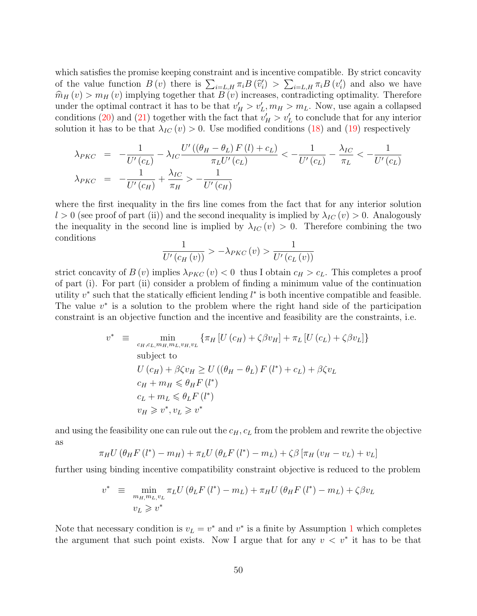which satisfies the promise keeping constraint and is incentive compatible. By strict concavity of the value function  $B(v)$  there is  $\sum_{i=L,H} \pi_i B(\hat{v}_i^{\prime}) > \sum_{i=L,H} \pi_i B(v_i^{\prime})$  and also we have  $\hat{m}_H(v) > m_H(v)$  implying together that  $B(v)$  increases, contradicting optimality. Therefore under the optimal contract it has to be that  $v'_H > v'_L, m_H > m_L$ . Now, use again a collapsed conditions [\(20\)](#page-47-1) and [\(21\)](#page-47-1) together with the fact that  $v'_H > v'_L$  to conclude that for any interior solution it has to be that  $\lambda_{IC}(v) > 0$ . Use modified conditions [\(18\)](#page-47-1) and [\(19\)](#page-47-1) respectively

$$
\lambda_{PKC} = -\frac{1}{U'(c_L)} - \lambda_{IC} \frac{U'((\theta_H - \theta_L) F(l) + c_L)}{\pi_L U'(c_L)} < -\frac{1}{U'(c_L)} - \frac{\lambda_{IC}}{\pi_L} < -\frac{1}{U'(c_L)}
$$

$$
\lambda_{PKC} = -\frac{1}{U'(c_H)} + \frac{\lambda_{IC}}{\pi_H} > -\frac{1}{U'(c_H)}
$$

where the first inequality in the firs line comes from the fact that for any interior solution  $l > 0$  (see proof of part (ii)) and the second inequality is implied by  $\lambda_{IC}(v) > 0$ . Analogously the inequality in the second line is implied by  $\lambda_{IC}(v) > 0$ . Therefore combining the two conditions

$$
\frac{1}{U'(c_H(v))} > -\lambda_{PKC}(v) > \frac{1}{U'(c_L(v))}
$$

strict concavity of  $B(v)$  implies  $\lambda_{PKC}(v) < 0$  thus I obtain  $c_H > c_L$ . This completes a proof of part (i). For part (ii) consider a problem of finding a minimum value of the continuation utility  $v^*$  such that the statically efficient lending  $l^*$  is both incentive compatible and feasible. The value  $v^*$  is a solution to the problem where the right hand side of the participation constraint is an objective function and the incentive and feasibility are the constraints, i.e.

$$
v^* \equiv \min_{c_H, c_L, m_H, m_L, v_H, v_L} \{ \pi_H \left[ U\left( c_H \right) + \zeta \beta v_H \right] + \pi_L \left[ U\left( c_L \right) + \zeta \beta v_L \right] \}
$$
\nsubject to\n
$$
U\left( c_H \right) + \beta \zeta v_H \ge U\left( \left( \theta_H - \theta_L \right) F\left( l^* \right) + c_L \right) + \beta \zeta v_L
$$
\n
$$
c_H + m_H \le \theta_H F\left( l^* \right)
$$
\n
$$
c_L + m_L \le \theta_L F\left( l^* \right)
$$
\n
$$
v_H \ge v^*, v_L \ge v^*
$$

and using the feasibility one can rule out the  $c_H$ ,  $c_L$  from the problem and rewrite the objective as

$$
\pi_H U \left( \theta_H F \left( l^* \right) - m_H \right) + \pi_L U \left( \theta_L F \left( l^* \right) - m_L \right) + \zeta \beta \left[ \pi_H \left( v_H - v_L \right) + v_L \right]
$$

further using binding incentive compatibility constraint objective is reduced to the problem

$$
v^* \equiv \min_{m_{H,}m_{L,}v_{L}} \pi_{L}U(\theta_{L}F(l^*) - m_{L}) + \pi_{H}U(\theta_{H}F(l^*) - m_{L}) + \zeta\beta v_{L}
$$
  

$$
v_{L} \geq v^*
$$

Note that necessary condition is  $v_L = v^*$  and  $v^*$  is a finite by Assumption [1](#page-16-0) which completes the argument that such point exists. Now I argue that for any  $v < v^*$  it has to be that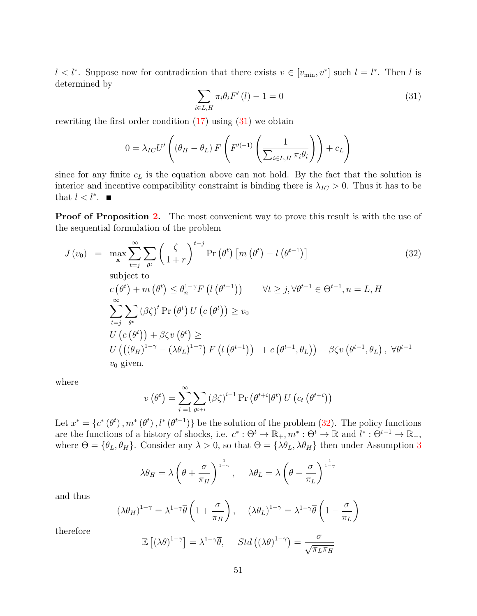$l < l^*$ . Suppose now for contradiction that there exists  $v \in [v_{\min}, v^*]$  such  $l = l^*$ . Then l is determined by

<span id="page-50-0"></span>
$$
\sum_{i \in L, H} \pi_i \theta_i F'(l) - 1 = 0 \tag{31}
$$

rewriting the first order condition  $(17)$  using  $(31)$  we obtain

$$
0 = \lambda_{IC} U' \left( (\theta_H - \theta_L) \, F \left( F'^{(-1)} \left( \frac{1}{\sum_{i \in L, H} \pi_i \theta_i} \right) \right) + c_L \right)
$$

since for any finite  $c<sub>L</sub>$  is the equation above can not hold. By the fact that the solution is interior and incentive compatibility constraint is binding there is  $\lambda_{IC} > 0$ . Thus it has to be that  $l < l^*$ .

**Proof of Proposition [2.](#page-26-1)** The most convenient way to prove this result is with the use of the sequential formulation of the problem

<span id="page-50-1"></span>
$$
J(v_0) = \max_{\mathbf{x}} \sum_{t=j}^{\infty} \sum_{\theta^t} \left(\frac{\zeta}{1+r}\right)^{t-j} \Pr\left(\theta^t\right) \left[m\left(\theta^t\right) - l\left(\theta^{t-1}\right)\right]
$$
\nsubject to

\n
$$
c\left(\theta^t\right) + m\left(\theta^t\right) \leq \theta_n^{1-\gamma} F\left(l\left(\theta^{t-1}\right)\right) \qquad \forall t \geq j, \forall \theta^{t-1} \in \Theta^{t-1}, n = L, H
$$
\n
$$
\sum_{t=j}^{\infty} \sum_{\theta^t} (\beta \zeta)^t \Pr\left(\theta^t\right) U\left(c\left(\theta^t\right)\right) \geq v_0
$$
\n
$$
U\left(c\left(\theta^t\right)\right) + \beta \zeta v\left(\theta^t\right) \geq U\left(\left((\theta_H)^{1-\gamma} - (\lambda \theta_L)^{1-\gamma}\right) F\left(l\left(\theta^{t-1}\right)\right) + c\left(\theta^{t-1}, \theta_L\right)\right) + \beta \zeta v\left(\theta^{t-1}, \theta_L\right), \forall \theta^{t-1}
$$
\nwhere

\n
$$
v_0 \text{ given.}
$$
\n(32)

where

$$
v(\theta^{t}) = \sum_{i=1}^{\infty} \sum_{\theta^{t+i}} (\beta \zeta)^{i-1} \Pr(\theta^{t+i} | \theta^{t}) U(c_t(\theta^{t+i}))
$$

Let  $x^* = \{c^*(\theta^t), m^*(\theta^t), l^*(\theta^{t-1})\}$  be the solution of the problem [\(32\)](#page-50-1). The policy functions are the functions of a history of shocks, i.e.  $c^* : \Theta^t \to \mathbb{R}_+, m^* : \Theta^t \to \mathbb{R}$  and  $l^* : \Theta^{t-1} \to \mathbb{R}_+$ , where  $\Theta = {\theta_L, \theta_H}$ . Consider any  $\lambda > 0$ , so that  $\Theta = {\lambda \theta_L, \lambda \theta_H}$  then under Assumption [3](#page-26-0)

$$
\lambda \theta_H = \lambda \left( \overline{\theta} + \frac{\sigma}{\pi_H} \right)^{\frac{1}{1-\gamma}}, \quad \lambda \theta_L = \lambda \left( \overline{\theta} - \frac{\sigma}{\pi_L} \right)^{\frac{1}{1-\gamma}}
$$

and thus

 $($ 

$$
\lambda \theta_H \right)^{1-\gamma} = \lambda^{1-\gamma} \overline{\theta} \left( 1 + \frac{\sigma}{\pi_H} \right), \quad (\lambda \theta_L)^{1-\gamma} = \lambda^{1-\gamma} \overline{\theta} \left( 1 - \frac{\sigma}{\pi_L} \right)
$$

therefore

$$
\mathbb{E}\left[\left(\lambda\theta\right)^{1-\gamma}\right] = \lambda^{1-\gamma}\overline{\theta}, \quad \text{Std}\left(\left(\lambda\theta\right)^{1-\gamma}\right) = \frac{\sigma}{\sqrt{\pi_L \pi_H}}
$$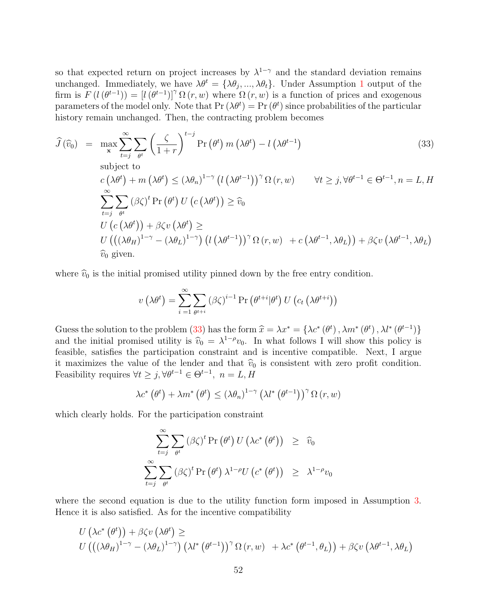so that expected return on project increases by  $\lambda^{1-\gamma}$  and the standard deviation remains unchanged. Immediately, we have  $\lambda \theta^t = {\lambda \theta_j, ..., \lambda \theta_t}$ . Under Assumption [1](#page-16-0) output of the firm is  $F(l(\theta^{t-1})) = [l(\theta^{t-1})]^{\gamma} \Omega(r, w)$  where  $\Omega(r, w)$  is a function of prices and exogenous parameters of the model only. Note that  $Pr(\lambda \theta^t) = Pr(\theta^t)$  since probabilities of the particular history remain unchanged. Then, the contracting problem becomes

<span id="page-51-0"></span>
$$
\hat{J}(\hat{v}_0) = \max_{\mathbf{x}} \sum_{t=j}^{\infty} \sum_{\theta^t} \left(\frac{\zeta}{1+r}\right)^{t-j} \Pr\left(\theta^t\right) m\left(\lambda \theta^t\right) - l\left(\lambda \theta^{t-1}\right)
$$
\nsubject to\n
$$
c\left(\lambda \theta^t\right) + m\left(\lambda \theta^t\right) \leq \left(\lambda \theta_n\right)^{1-\gamma} \left(l\left(\lambda \theta^{t-1}\right)\right)^{\gamma} \Omega\left(r, w\right) \quad \forall t \geq j, \forall \theta^{t-1} \in \Theta^{t-1}, n = L, H
$$
\n
$$
\sum_{t=j}^{\infty} \sum_{\theta^t} \left(\beta \zeta\right)^t \Pr\left(\theta^t\right) U\left(c\left(\lambda \theta^t\right)\right) \geq \hat{v}_0
$$
\n
$$
U\left(c\left(\lambda \theta^t\right)\right) + \beta \zeta v\left(\lambda \theta^t\right) \geq U\left(\left((\lambda \theta_H)^{1-\gamma} - (\lambda \theta_L)^{1-\gamma}\right) \left(l\left(\lambda \theta^{t-1}\right)\right)^{\gamma} \Omega\left(r, w\right) + c\left(\lambda \theta^{t-1}, \lambda \theta_L\right)\right) + \beta \zeta v\left(\lambda \theta^{t-1}, \lambda \theta_L\right)
$$
\n
$$
\hat{v}_0 \text{ given.}
$$
\n(33)

where  $\widehat{v}_0$  is the initial promised utility pinned down by the free entry condition.

$$
v\left(\lambda\theta^{t}\right) = \sum_{i=1}^{\infty} \sum_{\theta^{t+i}} \left(\beta\zeta\right)^{i-1} \Pr\left(\theta^{t+i}|\theta^{t}\right) U\left(c_{t}\left(\lambda\theta^{t+i}\right)\right)
$$

Guess the solution to the problem [\(33\)](#page-51-0) has the form  $\hat{x} = \lambda x^* = {\lambda c^*(\theta^t), \lambda m^*(\theta^t), \lambda l^*(\theta^{t-1})}$ and the initial promised utility is  $\hat{v}_0 = \lambda^{1-\rho} v_0$ . In what follows I will show this policy is<br>fossible, satisfies the participation constraint and is incentive compatible. Next, I argue feasible, satisfies the participation constraint and is incentive compatible. Next, I argue it maximizes the value of the lender and that  $\hat{v}_0$  is consistent with zero profit condition. Feasibility requires  $\forall t \geq j, \forall \theta^{t-1} \in \Theta^{t-1}, n = L, H$ 

$$
\lambda c^* \left( \theta^t \right) + \lambda m^* \left( \theta^t \right) \leq \left( \lambda \theta_n \right)^{1-\gamma} \left( \lambda l^* \left( \theta^{t-1} \right) \right)^{\gamma} \Omega \left( r, w \right)
$$

which clearly holds. For the participation constraint

$$
\sum_{t=j}^{\infty} \sum_{\theta^t} (\beta \zeta)^t \Pr(\theta^t) U(\lambda c^* (\theta^t)) \geq \hat{v}_0
$$
  

$$
\sum_{t=j}^{\infty} \sum_{\theta^t} (\beta \zeta)^t \Pr(\theta^t) \lambda^{1-\rho} U(c^* (\theta^t)) \geq \lambda^{1-\rho} v_0
$$

where the second equation is due to the utility function form imposed in Assumption [3.](#page-26-0) Hence it is also satisfied. As for the incentive compatibility

$$
U\left(\lambda c^*\left(\theta^t\right)\right) + \beta \zeta v\left(\lambda \theta^t\right) \ge
$$
  
 
$$
U\left(\left((\lambda \theta_H)^{1-\gamma} - (\lambda \theta_L)^{1-\gamma}\right) \left(\lambda l^*\left(\theta^{t-1}\right)\right)^{\gamma} \Omega\left(r, w\right) + \lambda c^*\left(\theta^{t-1}, \theta_L\right)\right) + \beta \zeta v\left(\lambda \theta^{t-1}, \lambda \theta_L\right)
$$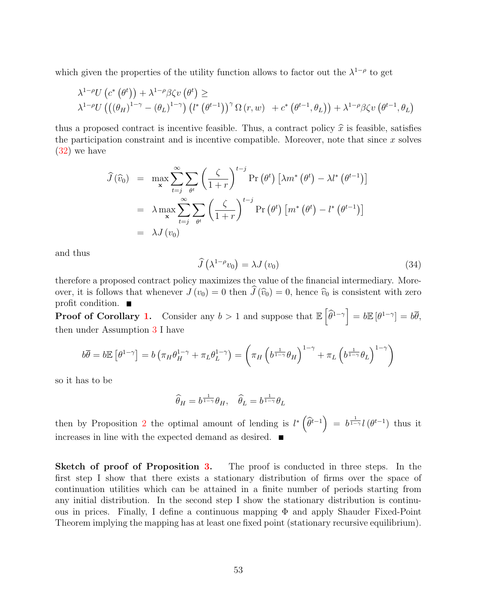which given the properties of the utility function allows to factor out the  $\lambda^{1-\rho}$  to get

$$
\lambda^{1-\rho}U\left(c^*\left(\theta^t\right)\right) + \lambda^{1-\rho}\beta\zeta v\left(\theta^t\right) \ge \lambda^{1-\rho}U\left(\left((\theta_H)^{1-\gamma} - (\theta_L)^{1-\gamma}\right)\left(l^*\left(\theta^{t-1}\right)\right)^{\gamma}\Omega\left(r,w\right) + c^*\left(\theta^{t-1},\theta_L\right)\right) + \lambda^{1-\rho}\beta\zeta v\left(\theta^{t-1},\theta_L\right)
$$

thus a proposed contract is incentive feasible. Thus, a contract policy  $\hat{x}$  is feasible, satisfies the participation constraint and is incentive compatible. Moreover, note that since  $x$  solves [\(32\)](#page-50-1) we have

$$
\hat{J}(\widehat{v}_0) = \max_{\mathbf{x}} \sum_{t=j}^{\infty} \sum_{\theta^t} \left( \frac{\zeta}{1+r} \right)^{t-j} \Pr(\theta^t) \left[ \lambda m^* (\theta^t) - \lambda l^* (\theta^{t-1}) \right]
$$

$$
= \lambda \max_{\mathbf{x}} \sum_{t=j}^{\infty} \sum_{\theta^t} \left( \frac{\zeta}{1+r} \right)^{t-j} \Pr(\theta^t) \left[ m^* (\theta^t) - l^* (\theta^{t-1}) \right]
$$

$$
= \lambda J(v_0)
$$

and thus

$$
\widehat{J}\left(\lambda^{1-\rho}v_0\right) = \lambda J\left(v_0\right) \tag{34}
$$

therefore a proposed contract policy maximizes the value of the financial intermediary. Moreover, it is follows that whenever  $J(v_0) = 0$  then  $\hat{J}(\hat{v}_0) = 0$ , hence  $\hat{v}_0$  is consistent with zero profit condition.  $\blacksquare$ 

**Proof of Corollary [1.](#page-26-2)** Consider any  $b > 1$  and suppose that  $\mathbb{E}\left[\widehat{\theta}^{1-\gamma}\right] = b\mathbb{E}\left[\theta^{1-\gamma}\right] = b\overline{\theta}$ , then under Assumption [3](#page-26-0) I have

$$
b\overline{\theta} = b\mathbb{E}\left[\theta^{1-\gamma}\right] = b\left(\pi_H\theta_H^{1-\gamma} + \pi_L\theta_L^{1-\gamma}\right) = \left(\pi_H\left(b^{\frac{1}{1-\gamma}}\theta_H\right)^{1-\gamma} + \pi_L\left(b^{\frac{1}{1-\gamma}}\theta_L\right)^{1-\gamma}\right)
$$

so it has to be

$$
\widehat{\theta}_H = b^{\frac{1}{1-\gamma}} \theta_H, \quad \widehat{\theta}_L = b^{\frac{1}{1-\gamma}} \theta_L
$$

then by Proposition [2](#page-26-1) the optimal amount of lending is  $l^*\left(\widehat{\theta}^{t-1}\right) = b^{\frac{1}{1-\gamma}}l\left(\theta^{t-1}\right)$  thus it increases in line with the expected demand as desired.

Sketch of proof of Proposition [3.](#page-27-1) The proof is conducted in three steps. In the first step I show that there exists a stationary distribution of firms over the space of continuation utilities which can be attained in a finite number of periods starting from any initial distribution. In the second step I show the stationary distribution is continuous in prices. Finally, I define a continuous mapping Φ and apply Shauder Fixed-Point Theorem implying the mapping has at least one fixed point (stationary recursive equilibrium).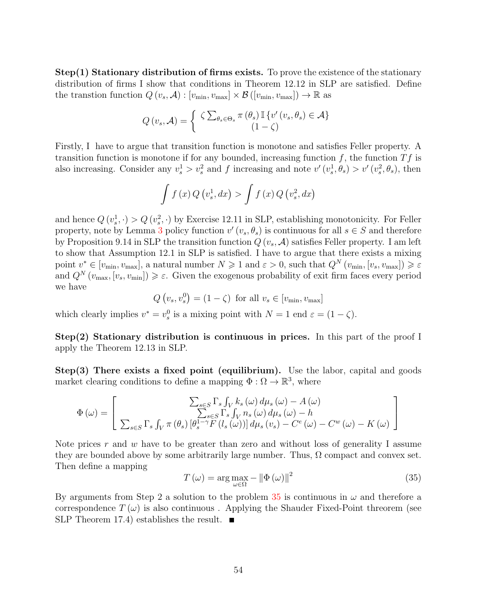Step(1) Stationary distribution of firms exists. To prove the existence of the stationary distribution of firms I show that conditions in Theorem 12.12 in SLP are satisfied. Define the transtion function  $Q(v_s, \mathcal{A}) : [v_{\min}, v_{\max}] \times \mathcal{B}([v_{\min}, v_{\max}]) \to \mathbb{R}$  as

$$
Q(v_s, \mathcal{A}) = \begin{cases} \zeta \sum_{\theta_s \in \Theta_s} \pi(\theta_s) \mathbb{I} \{ v'(v_s, \theta_s) \in \mathcal{A} \} \\ (1 - \zeta) \end{cases}
$$

Firstly, I have to argue that transition function is monotone and satisfies Feller property. A transition function is monotone if for any bounded, increasing function  $f$ , the function  $Tf$  is also increasing. Consider any  $v_s^1 > v_s^2$  and f increasing and note  $v'(v_s^1, \theta_s) > v'(v_s^2, \theta_s)$ , then

$$
\int f(x) Q(v_s^1, dx) > \int f(x) Q(v_s^2, dx)
$$

and hence  $Q(v_s^1, \cdot) > Q(v_s^2, \cdot)$  by Exercise 12.11 in SLP, establishing monotonicity. For Feller property, note by Lemma [3](#page-22-1) policy function  $v'(v_s, \theta_s)$  is continuous for all  $s \in S$  and therefore by Proposition 9.14 in SLP the transition function  $Q(v_s, A)$  satisfies Feller property. I am left to show that Assumption 12.1 in SLP is satisfied. I have to argue that there exists a mixing point  $v^* \in [v_{\min}, v_{\max}]$ , a natural number  $N \geq 1$  and  $\varepsilon > 0$ , such that  $Q^N(v_{\min}, [v_s, v_{\max}]) \geq \varepsilon$ and  $Q^N(v_{\text{max}}, [v_s, v_{\text{min}}]) \geq \varepsilon$ . Given the exogenous probability of exit firm faces every period we have

$$
Q(v_s, v_s^0) = (1 - \zeta) \text{ for all } v_s \in [v_{\min}, v_{\max}]
$$

which clearly implies  $v^* = v_s^0$  is a mixing point with  $N = 1$  end  $\varepsilon = (1 - \zeta)$ .

Step(2) Stationary distribution is continuous in prices. In this part of the proof I apply the Theorem 12.13 in SLP.

Step(3) There exists a fixed point (equilibrium). Use the labor, capital and goods market clearing conditions to define a mapping  $\Phi : \Omega \to \mathbb{R}^3$ , where

$$
\Phi(\omega) = \left[ \frac{\sum_{s \in S} \Gamma_s \int_V k_s(\omega) d\mu_s(\omega) - A(\omega)}{\sum_{s \in S} \Gamma_s \int_V n_s(\omega) d\mu_s(\omega) - h} \right]
$$

$$
\sum_{s \in S} \Gamma_s \int_V \pi(\theta_s) \left[ \theta_s^{1-\gamma} F(l_s(\omega)) \right] d\mu_s(v_s) - C^e(\omega) - C^w(\omega) - K(\omega) \right]
$$

Note prices r and w have to be greater than zero and without loss of generality I assume they are bounded above by some arbitrarily large number. Thus,  $\Omega$  compact and convex set. Then define a mapping

<span id="page-53-0"></span>
$$
T(\omega) = \arg \max_{\omega \in \Omega} - \|\Phi(\omega)\|^2 \tag{35}
$$

By arguments from Step 2 a solution to the problem [35](#page-53-0) is continuous in  $\omega$  and therefore a correspondence  $T(\omega)$  is also continuous. Applying the Shauder Fixed-Point threorem (see SLP Theorem 17.4) establishes the result.  $\blacksquare$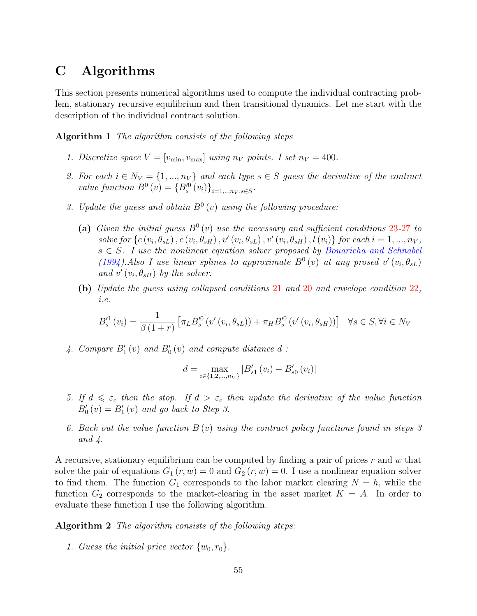# C Algorithms

This section presents numerical algorithms used to compute the individual contracting problem, stationary recursive equilibrium and then transitional dynamics. Let me start with the description of the individual contract solution.

<span id="page-54-1"></span>Algorithm 1 The algorithm consists of the following steps

- 1. Discretize space  $V = [v_{\min}, v_{\max}]$  using  $n_V$  points. I set  $n_V = 400$ .
- 2. For each  $i \in N_V = \{1, ..., n_V\}$  and each type  $s \in S$  guess the derivative of the contract value function  $B^{0}(v) = \{B_{s}^{\prime 0}(v_{i})\}_{i=1,..,n_{V},s \in S}$ .
- 3. Update the guess and obtain  $B^0(v)$  using the following procedure:
	- (a) Given the initial guess  $B^0(v)$  use the necessary and sufficient conditions [23](#page-47-0)-[27](#page-47-0) to solve for  $\{c(v_i, \theta_{sL}), c(v_i, \theta_{sH}), v'(v_i, \theta_{sL}), v'(v_i, \theta_{sH}), l(v_i)\}$  for each  $i = 1, ..., n_V$ ,  $s \in S$ . I use the nonlinear equation solver proposed by [Bouaricha and Schnabel](#page-58-11) [\(1994\)](#page-58-11). Also I use linear splines to approximate  $B^0(v)$  at any prosed  $v'(v_i, \theta_{sL})$ and  $v'(v_i, \theta_{sH})$  by the solver.
	- (b) Update the guess using collapsed conditions [21](#page-47-1) and [20](#page-47-1) and envelope condition [22](#page-47-2), i.e.

$$
B_{s}^{\prime 1}(v_{i}) = \frac{1}{\beta(1+r)} \left[ \pi_{L} B_{s}^{\prime 0}(v'(v_{i}, \theta_{sL})) + \pi_{H} B_{s}^{\prime 0}(v'(v_{i}, \theta_{sH})) \right] \quad \forall s \in S, \forall i \in N_{V}
$$

4. Compare  $B_1'(v)$  and  $B_0'(v)$  and compute distance  $d$ :

$$
d = \max_{i \in \{1, 2, \dots, n_V\}} |B'_{s1}(v_i) - B'_{s0}(v_i)|
$$

- 5. If  $d \leq \varepsilon_c$  then the stop. If  $d > \varepsilon_c$  then update the derivative of the value function  $B'_{0}(v) = B'_{1}(v)$  and go back to Step 3.
- 6. Back out the value function  $B(v)$  using the contract policy functions found in steps 3 and 4.

A recursive, stationary equilibrium can be computed by finding a pair of prices  $r$  and  $w$  that solve the pair of equations  $G_1(r, w) = 0$  and  $G_2(r, w) = 0$ . I use a nonlinear equation solver to find them. The function  $G_1$  corresponds to the labor market clearing  $N = h$ , while the function  $G_2$  corresponds to the market-clearing in the asset market  $K = A$ . In order to evaluate these function I use the following algorithm.

<span id="page-54-0"></span>Algorithm 2 The algorithm consists of the following steps:

1. Guess the initial price vector  $\{w_0, r_0\}$ .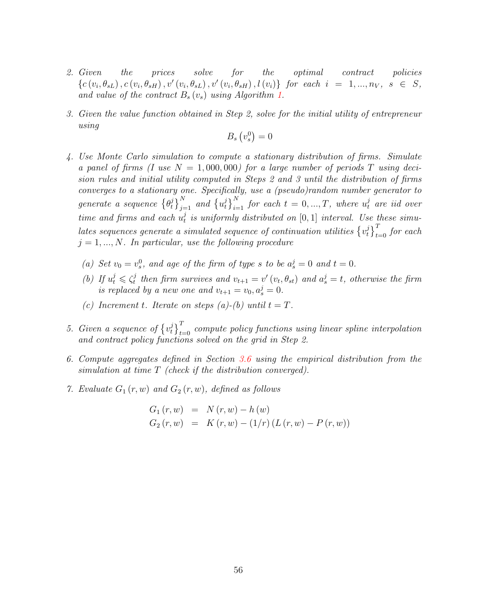- 2. Given the prices solve for the optimal contract policies  ${c(v_i, \theta_{sL}), c(v_i, \theta_{sH}), v'(v_i, \theta_{sL}), v'(v_i, \theta_{sH}), l(v_i)}$  for each  $i = 1, ..., n_V, s \in S$ , and value of the contract  $B_s(v_s)$  using Algorithm [1.](#page-54-1)
- 3. Given the value function obtained in Step 2, solve for the initial utility of entrepreneur using

$$
B_s\left(v_s^0\right) = 0
$$

- 4. Use Monte Carlo simulation to compute a stationary distribution of firms. Simulate a panel of firms (I use  $N = 1,000,000$ ) for a large number of periods T using decision rules and initial utility computed in Steps 2 and 3 until the distribution of firms converges to a stationary one. Specifically, use a (pseudo)random number generator to  $\emph{generate a sequence $\{\theta^j_t\}$}$  $\left\{ \int_{t}^{j} \right\}_{j=1}^{N}$  and  $\left\{ u_{t}^{j} \right\}_{t}$  $\left\{ \begin{array}{l} i \ l \end{array} \right\}_{i=1}^N$  for each  $t\,=\,0,...,T,$  where  $u^j_t$  are iid over time and firms and each  $u_t^j$  $t_t^j$  is uniformly distributed on  $[0,1]$  interval. Use these simulates sequences generate a simulated sequence of continuation utilities  $\{v_t^j\}$  $\left\{\frac{j}{t}\right\}_{t=0}^{T}$  for each  $j = 1, ..., N$ . In particular, use the following procedure
	- (a) Set  $v_0 = v_s^0$ , and age of the firm of type s to be  $a_s^j = 0$  and  $t = 0$ .
	- (b) If  $u_t^j \leqslant \zeta_t^j$  $t_t^j$  then firm survives and  $v_{t+1} = v'(v_t, \theta_{st})$  and  $a_s^j = t$ , otherwise the firm is replaced by a new one and  $v_{t+1} = v_0, a_s^j = 0$ .
	- (c) Increment t. Iterate on steps (a)-(b) until  $t = T$ .
- 5. Given a sequence of  $\{v_t^j\}$  $\left( \begin{smallmatrix} j \ t \end{smallmatrix} \right)_{t=0}^T$  compute policy functions using linear spline interpolation and contract policy functions solved on the grid in Step 2.
- 6. Compute aggregates defined in Section [3.6](#page-20-1) using the empirical distribution from the simulation at time T (check if the distribution converged).
- 7. Evaluate  $G_1(r, w)$  and  $G_2(r, w)$ , defined as follows

$$
G_1 (r, w) = N (r, w) - h (w)
$$
  
\n
$$
G_2 (r, w) = K (r, w) - (1/r) (L (r, w) - P (r, w))
$$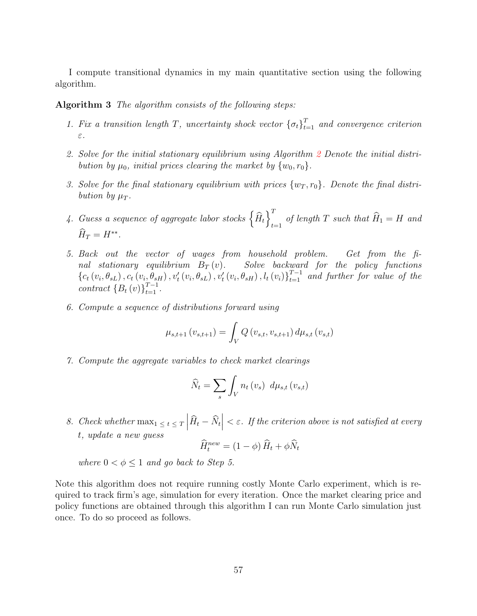I compute transitional dynamics in my main quantitative section using the following algorithm.

<span id="page-56-0"></span>Algorithm 3 The algorithm consists of the following steps:

- 1. Fix a transition length T, uncertainty shock vector  ${\lbrace \sigma_t \rbrace}_{t=1}^T$  and convergence criterion ε.
- 2. Solve for the initial stationary equilibrium using Algorithm [2](#page-54-0) Denote the initial distribution by  $\mu_0$ , initial prices clearing the market by  $\{w_0, r_0\}$ .
- 3. Solve for the final stationary equilibrium with prices  $\{w_T, r_0\}$ . Denote the final distribution by  $\mu_T$ .
- 4. Guess a sequence of aggregate labor stocks  $\left\{\widehat{H}_t\right\}_{t=1}^{T}$  $t=1$  of length T such that  $H_1 = H$  and  $\widehat{H}_T = H^{**}.$
- 5. Back out the vector of wages from household problem. Get from the final stationary equilibrium  $B_T(v)$ . Solve backward for the policy functions  ${c_t(v_i, \theta_{sL})}, c_t(v_i, \theta_{sH}), v'_t(v_i, \theta_{sL}), v'_t(v_i, \theta_{sH}), l_t(v_i)$ <sub>t=1</sub><sup>T-1</sup> and further for value of the contract  ${B_t (v)}_{t=1}^{T-1}$ .
- 6. Compute a sequence of distributions forward using

$$
\mu_{s,t+1}(v_{s,t+1}) = \int_V Q(v_{s,t}, v_{s,t+1}) d\mu_{s,t}(v_{s,t})
$$

7. Compute the aggregate variables to check market clearings

$$
\widehat{N}_t = \sum_s \int_V n_t \left( v_s \right) \ d\mu_{s,t} \left( v_{s,t} \right)
$$

8. Check whether  $\max_1 \leq t \leq T \left| \widehat{H}_t - \widehat{N}_t \right|$  $\epsilon \leq \varepsilon$ . If the criterion above is not satisfied at every t, update a new guess

$$
\widehat{H}_t^{new} = (1 - \phi) \widehat{H}_t + \phi \widehat{N}_t
$$

where  $0 < \phi \leq 1$  and go back to Step 5.

Note this algorithm does not require running costly Monte Carlo experiment, which is required to track firm's age, simulation for every iteration. Once the market clearing price and policy functions are obtained through this algorithm I can run Monte Carlo simulation just once. To do so proceed as follows.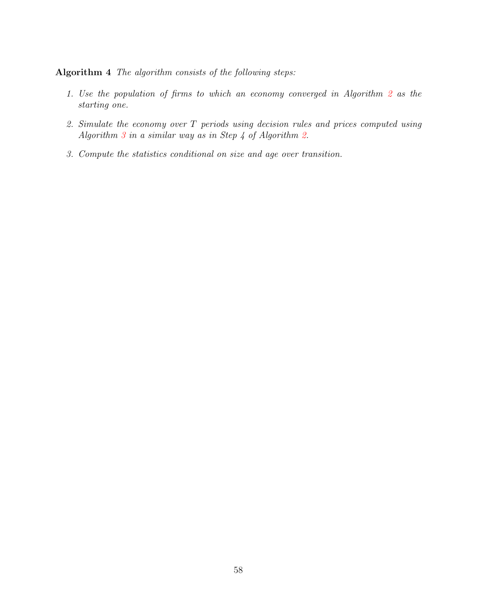### Algorithm 4 The algorithm consists of the following steps:

- 1. Use the population of firms to which an economy converged in Algorithm [2](#page-54-0) as the starting one.
- 2. Simulate the economy over T periods using decision rules and prices computed using Algorithm  $3$  in a similar way as in Step 4 of Algorithm [2.](#page-54-0)
- 3. Compute the statistics conditional on size and age over transition.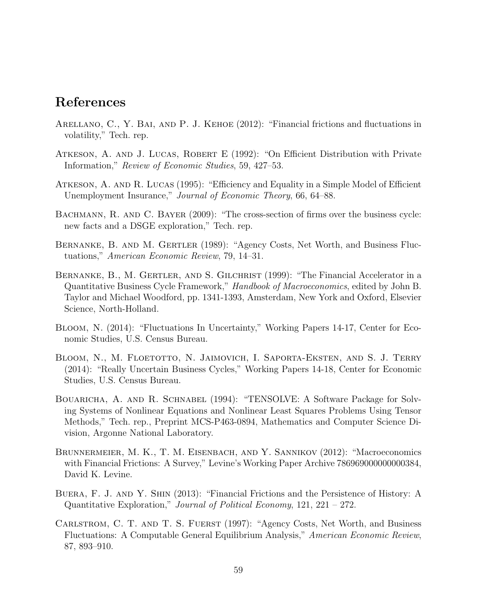# References

- <span id="page-58-8"></span>Arellano, C., Y. Bai, and P. J. Kehoe (2012): "Financial frictions and fluctuations in volatility," Tech. rep.
- <span id="page-58-9"></span>Atkeson, A. and J. Lucas, Robert E (1992): "On Efficient Distribution with Private Information," Review of Economic Studies, 59, 427–53.
- <span id="page-58-10"></span>Atkeson, A. and R. Lucas (1995): "Efficiency and Equality in a Simple Model of Efficient Unemployment Insurance," Journal of Economic Theory, 66, 64–88.
- <span id="page-58-5"></span>BACHMANN, R. AND C. BAYER (2009): "The cross-section of firms over the business cycle: new facts and a DSGE exploration," Tech. rep.
- <span id="page-58-0"></span>Bernanke, B. and M. Gertler (1989): "Agency Costs, Net Worth, and Business Fluctuations," American Economic Review, 79, 14–31.
- <span id="page-58-2"></span>BERNANKE, B., M. GERTLER, AND S. GILCHRIST (1999): "The Financial Accelerator in a Quantitative Business Cycle Framework," Handbook of Macroeconomics, edited by John B. Taylor and Michael Woodford, pp. 1341-1393, Amsterdam, New York and Oxford, Elsevier Science, North-Holland.
- <span id="page-58-7"></span>Bloom, N. (2014): "Fluctuations In Uncertainty," Working Papers 14-17, Center for Economic Studies, U.S. Census Bureau.
- <span id="page-58-6"></span>Bloom, N., M. Floetotto, N. Jaimovich, I. Saporta-Eksten, and S. J. Terry (2014): "Really Uncertain Business Cycles," Working Papers 14-18, Center for Economic Studies, U.S. Census Bureau.
- <span id="page-58-11"></span>Bouaricha, A. and R. Schnabel (1994): "TENSOLVE: A Software Package for Solving Systems of Nonlinear Equations and Nonlinear Least Squares Problems Using Tensor Methods," Tech. rep., Preprint MCS-P463-0894, Mathematics and Computer Science Division, Argonne National Laboratory.
- <span id="page-58-3"></span>BRUNNERMEIER, M. K., T. M. EISENBACH, AND Y. SANNIKOV (2012): "Macroeconomics with Financial Frictions: A Survey," Levine's Working Paper Archive 786969000000000384, David K. Levine.
- <span id="page-58-4"></span>Buera, F. J. and Y. Shin (2013): "Financial Frictions and the Persistence of History: A Quantitative Exploration," Journal of Political Economy, 121, 221 – 272.
- <span id="page-58-1"></span>CARLSTROM, C. T. AND T. S. FUERST (1997): "Agency Costs, Net Worth, and Business Fluctuations: A Computable General Equilibrium Analysis," American Economic Review, 87, 893–910.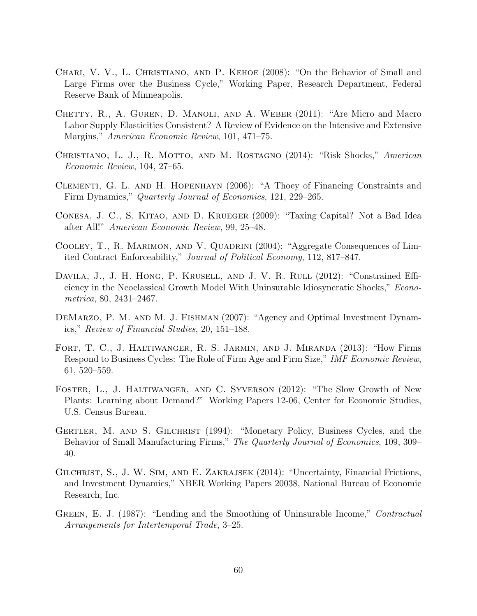- <span id="page-59-1"></span>Chari, V. V., L. Christiano, and P. Kehoe (2008): "On the Behavior of Small and Large Firms over the Business Cycle," Working Paper, Research Department, Federal Reserve Bank of Minneapolis.
- <span id="page-59-11"></span>Chetty, R., A. Guren, D. Manoli, and A. Weber (2011): "Are Micro and Macro Labor Supply Elasticities Consistent? A Review of Evidence on the Intensive and Extensive Margins," American Economic Review, 101, 471–75.
- <span id="page-59-3"></span>Christiano, L. J., R. Motto, and M. Rostagno (2014): "Risk Shocks," American Economic Review, 104, 27–65.
- <span id="page-59-7"></span>Clementi, G. L. and H. Hopenhayn (2006): "A Thoey of Financing Constraints and Firm Dynamics," Quarterly Journal of Economics, 121, 229–265.
- <span id="page-59-10"></span>Conesa, J. C., S. Kitao, and D. Krueger (2009): "Taxing Capital? Not a Bad Idea after All!" American Economic Review, 99, 25–48.
- <span id="page-59-6"></span>Cooley, T., R. Marimon, and V. Quadrini (2004): "Aggregate Consequences of Limited Contract Enforceability," Journal of Political Economy, 112, 817–847.
- <span id="page-59-9"></span>Davila, J., J. H. Hong, P. Krusell, and J. V. R. Rull (2012): "Constrained Efficiency in the Neoclassical Growth Model With Uninsurable Idiosyncratic Shocks," Econometrica, 80, 2431–2467.
- <span id="page-59-8"></span>DEMARZO, P. M. AND M. J. FISHMAN (2007): "Agency and Optimal Investment Dynamics," Review of Financial Studies, 20, 151–188.
- <span id="page-59-2"></span>Fort, T. C., J. Haltiwanger, R. S. Jarmin, and J. Miranda (2013): "How Firms Respond to Business Cycles: The Role of Firm Age and Firm Size," IMF Economic Review, 61, 520–559.
- <span id="page-59-12"></span>Foster, L., J. Haltiwanger, and C. Syverson (2012): "The Slow Growth of New Plants: Learning about Demand?" Working Papers 12-06, Center for Economic Studies, U.S. Census Bureau.
- <span id="page-59-0"></span>Gertler, M. and S. Gilchrist (1994): "Monetary Policy, Business Cycles, and the Behavior of Small Manufacturing Firms," The Quarterly Journal of Economics, 109, 309– 40.
- <span id="page-59-4"></span>GILCHRIST, S., J. W. SIM, AND E. ZAKRAJSEK (2014): "Uncertainty, Financial Frictions, and Investment Dynamics," NBER Working Papers 20038, National Bureau of Economic Research, Inc.
- <span id="page-59-5"></span>GREEN, E. J. (1987): "Lending and the Smoothing of Uninsurable Income," Contractual Arrangements for Intertemporal Trade, 3–25.